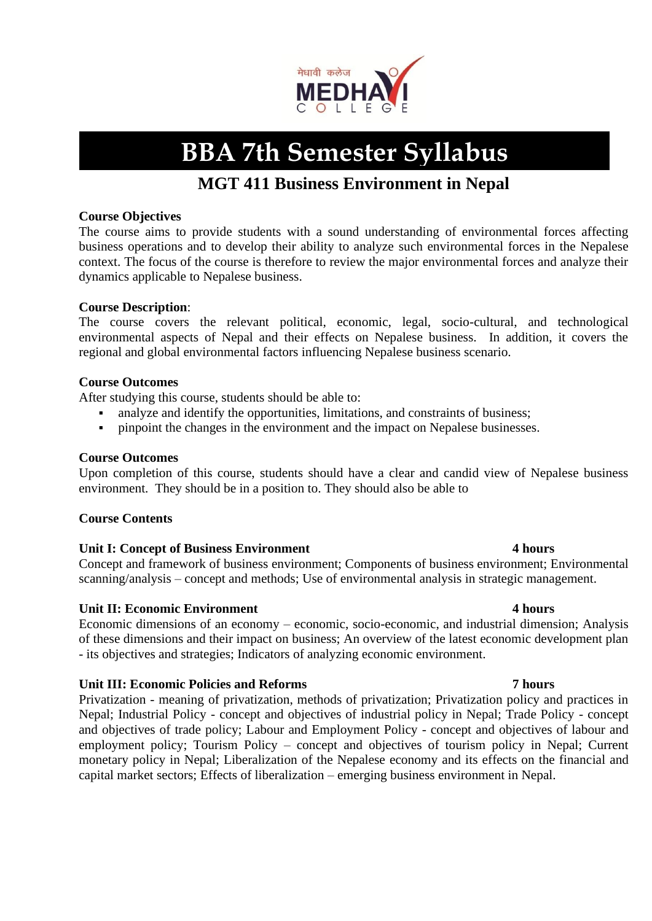

# **BBA 7th Semester Syllabus**

## **MGT 411 Business Environment in Nepal**

## **Course Objectives**

The course aims to provide students with a sound understanding of environmental forces affecting business operations and to develop their ability to analyze such environmental forces in the Nepalese context. The focus of the course is therefore to review the major environmental forces and analyze their dynamics applicable to Nepalese business.

## **Course Description**:

The course covers the relevant political, economic, legal, socio-cultural, and technological environmental aspects of Nepal and their effects on Nepalese business. In addition, it covers the regional and global environmental factors influencing Nepalese business scenario.

## **Course Outcomes**

After studying this course, students should be able to:

- analyze and identify the opportunities, limitations, and constraints of business;
- **•** pinpoint the changes in the environment and the impact on Nepalese businesses.

## **Course Outcomes**

Upon completion of this course, students should have a clear and candid view of Nepalese business environment. They should be in a position to. They should also be able to

## **Course Contents**

## **Unit I: Concept of Business Environment 4 hours**

Concept and framework of business environment; Components of business environment; Environmental scanning/analysis – concept and methods; Use of environmental analysis in strategic management.

## **Unit II: Economic Environment 4 hours**

Economic dimensions of an economy – economic, socio-economic, and industrial dimension; Analysis of these dimensions and their impact on business; An overview of the latest economic development plan - its objectives and strategies; Indicators of analyzing economic environment.

## **Unit III: Economic Policies and Reforms 7 hours**

Privatization - meaning of privatization, methods of privatization; Privatization policy and practices in Nepal; Industrial Policy - concept and objectives of industrial policy in Nepal; Trade Policy - concept and objectives of trade policy; Labour and Employment Policy - concept and objectives of labour and employment policy; Tourism Policy – concept and objectives of tourism policy in Nepal; Current monetary policy in Nepal; Liberalization of the Nepalese economy and its effects on the financial and capital market sectors; Effects of liberalization – emerging business environment in Nepal.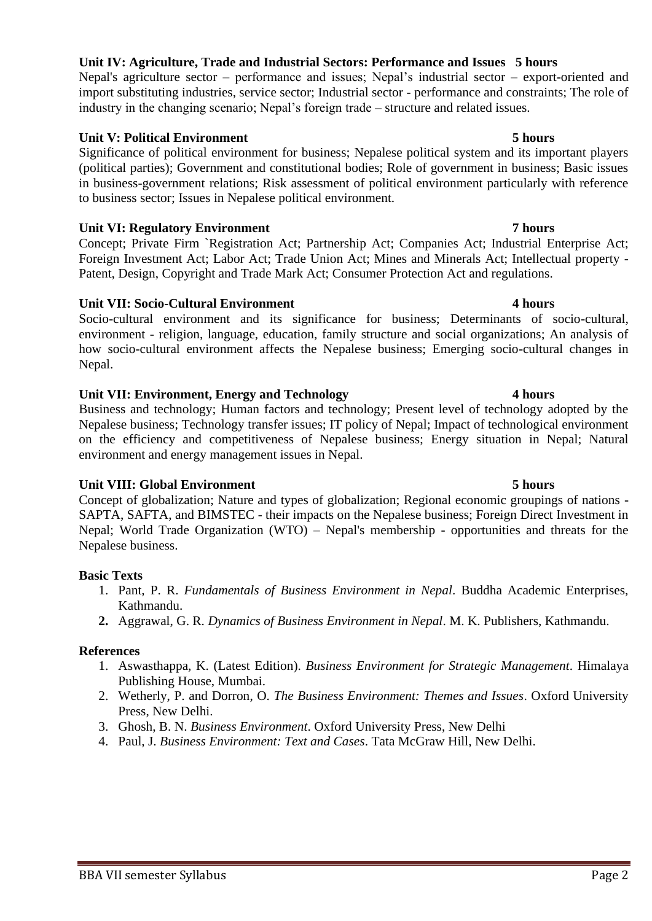## **Unit IV: Agriculture, Trade and Industrial Sectors: Performance and Issues 5 hours**

Nepal's agriculture sector – performance and issues; Nepal's industrial sector – export-oriented and import substituting industries, service sector; Industrial sector - performance and constraints; The role of industry in the changing scenario; Nepal's foreign trade – structure and related issues.

## **Unit V: Political Environment 5 hours**

Significance of political environment for business; Nepalese political system and its important players (political parties); Government and constitutional bodies; Role of government in business; Basic issues in business-government relations; Risk assessment of political environment particularly with reference to business sector; Issues in Nepalese political environment.

## **Unit VI: Regulatory Environment 7 hours** 7 hours

Concept; Private Firm `Registration Act; Partnership Act; Companies Act; Industrial Enterprise Act; Foreign Investment Act; Labor Act; Trade Union Act; Mines and Minerals Act; Intellectual property - Patent, Design, Copyright and Trade Mark Act; Consumer Protection Act and regulations.

## **Unit VII: Socio-Cultural Environment 4 hours**

Socio-cultural environment and its significance for business; Determinants of socio-cultural, environment - religion, language, education, family structure and social organizations; An analysis of how socio-cultural environment affects the Nepalese business; Emerging socio-cultural changes in Nepal.

## **Unit VII: Environment, Energy and Technology 4 hours**

Business and technology; Human factors and technology; Present level of technology adopted by the Nepalese business; Technology transfer issues; IT policy of Nepal; Impact of technological environment on the efficiency and competitiveness of Nepalese business; Energy situation in Nepal; Natural environment and energy management issues in Nepal.

## **Unit VIII: Global Environment 5 hours**

Concept of globalization; Nature and types of globalization; Regional economic groupings of nations - SAPTA, SAFTA, and BIMSTEC - their impacts on the Nepalese business; Foreign Direct Investment in Nepal; World Trade Organization (WTO) – Nepal's membership - opportunities and threats for the Nepalese business.

## **Basic Texts**

- 1. Pant, P. R. *Fundamentals of Business Environment in Nepal*. Buddha Academic Enterprises, Kathmandu.
- **2.** Aggrawal, G. R. *Dynamics of Business Environment in Nepal*. M. K. Publishers, Kathmandu.

- 1. Aswasthappa, K. (Latest Edition). *Business Environment for Strategic Management*. Himalaya Publishing House, Mumbai.
- 2. Wetherly, P. and Dorron, O. *The Business Environment: Themes and Issues*. Oxford University Press, New Delhi.
- 3. Ghosh, B. N. *Business Environment*. Oxford University Press, New Delhi
- 4. Paul, J. *Business Environment: Text and Cases*. Tata McGraw Hill, New Delhi.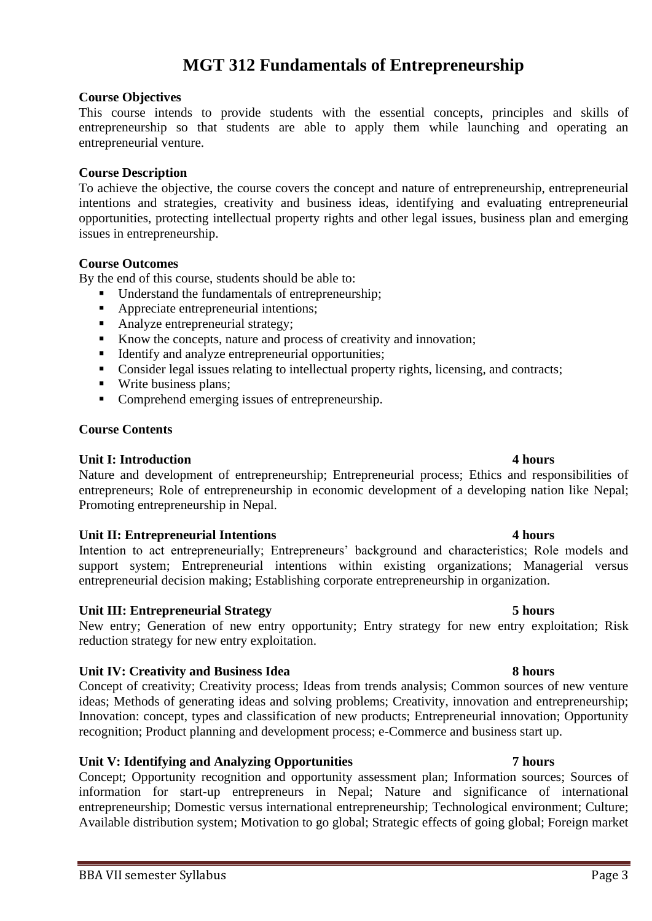## **MGT 312 Fundamentals of Entrepreneurship**

### **Course Objectives**

This course intends to provide students with the essential concepts, principles and skills of entrepreneurship so that students are able to apply them while launching and operating an entrepreneurial venture.

## **Course Description**

To achieve the objective, the course covers the concept and nature of entrepreneurship, entrepreneurial intentions and strategies, creativity and business ideas, identifying and evaluating entrepreneurial opportunities, protecting intellectual property rights and other legal issues, business plan and emerging issues in entrepreneurship.

### **Course Outcomes**

By the end of this course, students should be able to:

- Understand the fundamentals of entrepreneurship:
- Appreciate entrepreneurial intentions;
- Analyze entrepreneurial strategy;
- Know the concepts, nature and process of creativity and innovation;
- Identify and analyze entrepreneurial opportunities;
- Consider legal issues relating to intellectual property rights, licensing, and contracts;
- Write business plans;
- Comprehend emerging issues of entrepreneurship.

### **Course Contents**

### **Unit I: Introduction 4 hours**

Nature and development of entrepreneurship; Entrepreneurial process; Ethics and responsibilities of entrepreneurs; Role of entrepreneurship in economic development of a developing nation like Nepal; Promoting entrepreneurship in Nepal.

### **Unit II: Entrepreneurial Intentions 4 hours**

Intention to act entrepreneurially; Entrepreneurs' background and characteristics; Role models and support system; Entrepreneurial intentions within existing organizations; Managerial versus entrepreneurial decision making; Establishing corporate entrepreneurship in organization.

### **Unit III: Entrepreneurial Strategy 5 hours**

New entry; Generation of new entry opportunity; Entry strategy for new entry exploitation; Risk reduction strategy for new entry exploitation.

### **Unit IV: Creativity and Business Idea 8 hours**

Concept of creativity; Creativity process; Ideas from trends analysis; Common sources of new venture ideas; Methods of generating ideas and solving problems; Creativity, innovation and entrepreneurship; Innovation: concept, types and classification of new products; Entrepreneurial innovation; Opportunity recognition; Product planning and development process; e-Commerce and business start up.

## **Unit V: Identifying and Analyzing Opportunities 7 hours**

Concept; Opportunity recognition and opportunity assessment plan; Information sources; Sources of information for start-up entrepreneurs in Nepal; Nature and significance of international entrepreneurship; Domestic versus international entrepreneurship; Technological environment; Culture; Available distribution system; Motivation to go global; Strategic effects of going global; Foreign market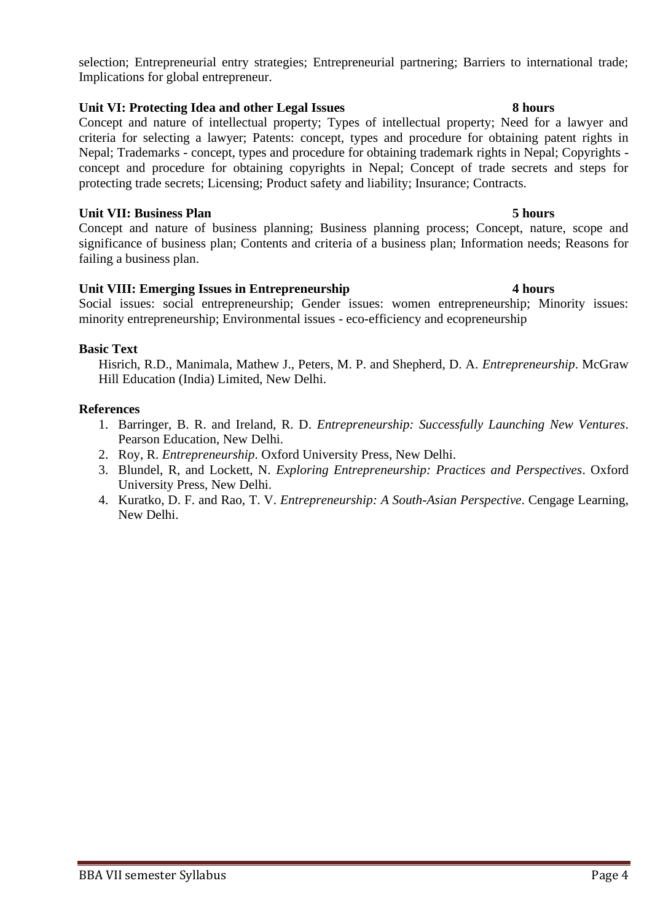selection; Entrepreneurial entry strategies; Entrepreneurial partnering; Barriers to international trade; Implications for global entrepreneur.

## **Unit VI: Protecting Idea and other Legal Issues 8 hours**

Concept and nature of intellectual property; Types of intellectual property; Need for a lawyer and criteria for selecting a lawyer; Patents: concept, types and procedure for obtaining patent rights in Nepal; Trademarks - concept, types and procedure for obtaining trademark rights in Nepal; Copyrights concept and procedure for obtaining copyrights in Nepal; Concept of trade secrets and steps for protecting trade secrets; Licensing; Product safety and liability; Insurance; Contracts.

## **Unit VII: Business Plan 5 hours**

Concept and nature of business planning; Business planning process; Concept, nature, scope and significance of business plan; Contents and criteria of a business plan; Information needs; Reasons for failing a business plan.

## **Unit VIII: Emerging Issues in Entrepreneurship 4 hours**

Social issues: social entrepreneurship; Gender issues: women entrepreneurship; Minority issues: minority entrepreneurship; Environmental issues - eco-efficiency and ecopreneurship

## **Basic Text**

Hisrich, R.D., Manimala, Mathew J., Peters, M. P. and Shepherd, D. A. *Entrepreneurship*. McGraw Hill Education (India) Limited, New Delhi.

- 1. Barringer, B. R. and Ireland, R. D. *Entrepreneurship: Successfully Launching New Ventures*. Pearson Education, New Delhi.
- 2. Roy, R. *Entrepreneurship*. Oxford University Press, New Delhi.
- 3. Blundel, R, and Lockett, N. *Exploring Entrepreneurship: Practices and Perspectives*. Oxford University Press, New Delhi.
- 4. Kuratko, D. F. and Rao, T. V. *Entrepreneurship: A South-Asian Perspective*. Cengage Learning, New Delhi.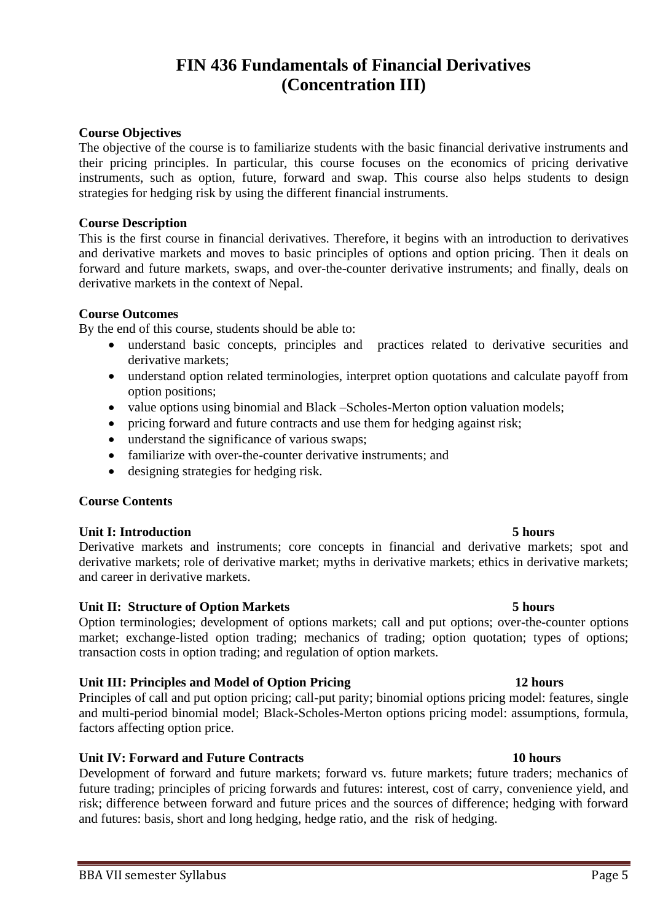## **FIN 436 Fundamentals of Financial Derivatives (Concentration III)**

## **Course Objectives**

The objective of the course is to familiarize students with the basic financial derivative instruments and their pricing principles. In particular, this course focuses on the economics of pricing derivative instruments, such as option, future, forward and swap. This course also helps students to design strategies for hedging risk by using the different financial instruments.

## **Course Description**

This is the first course in financial derivatives. Therefore, it begins with an introduction to derivatives and derivative markets and moves to basic principles of options and option pricing. Then it deals on forward and future markets, swaps, and over-the-counter derivative instruments; and finally, deals on derivative markets in the context of Nepal.

## **Course Outcomes**

By the end of this course, students should be able to:

- understand basic concepts, principles and practices related to derivative securities and derivative markets;
- understand option related terminologies, interpret option quotations and calculate payoff from option positions;
- value options using binomial and Black –Scholes-Merton option valuation models;
- pricing forward and future contracts and use them for hedging against risk;
- understand the significance of various swaps;
- familiarize with over-the-counter derivative instruments; and
- designing strategies for hedging risk.

## **Course Contents**

## **Unit I: Introduction 5 hours**

Derivative markets and instruments; core concepts in financial and derivative markets; spot and derivative markets; role of derivative market; myths in derivative markets; ethics in derivative markets; and career in derivative markets.

## Unit II: Structure of Option Markets **5 hours** 5 hours

Option terminologies; development of options markets; call and put options; over-the-counter options market; exchange-listed option trading; mechanics of trading; option quotation; types of options; transaction costs in option trading; and regulation of option markets.

## **Unit III: Principles and Model of Option Pricing 12 hours**

Principles of call and put option pricing; call-put parity; binomial options pricing model: features, single and multi-period binomial model; Black-Scholes-Merton options pricing model: assumptions, formula, factors affecting option price.

## **Unit IV: Forward and Future Contracts 10 hours**

Development of forward and future markets; forward vs. future markets; future traders; mechanics of future trading; principles of pricing forwards and futures: interest, cost of carry, convenience yield, and risk; difference between forward and future prices and the sources of difference; hedging with forward and futures: basis, short and long hedging, hedge ratio, and the risk of hedging.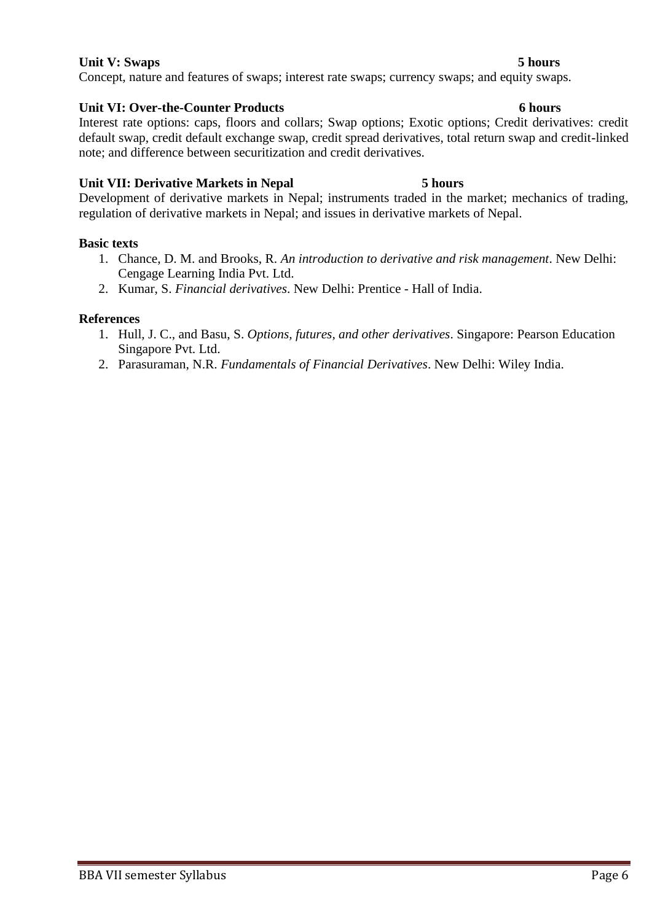## **Unit V:** Swaps 5 hours

Concept, nature and features of swaps; interest rate swaps; currency swaps; and equity swaps.

## **Unit VI: Over-the-Counter Products 6 hours**

Interest rate options: caps, floors and collars; Swap options; Exotic options; Credit derivatives: credit default swap, credit default exchange swap, credit spread derivatives, total return swap and credit-linked note; and difference between securitization and credit derivatives.

## **Unit VII: Derivative Markets in Nepal 5 hours**

Development of derivative markets in Nepal; instruments traded in the market; mechanics of trading, regulation of derivative markets in Nepal; and issues in derivative markets of Nepal.

## **Basic texts**

- 1. Chance, D. M. and Brooks, R. *An introduction to derivative and risk management*. New Delhi: Cengage Learning India Pvt. Ltd.
- 2. Kumar, S. *Financial derivatives*. New Delhi: Prentice Hall of India.

- 1. Hull, J. C., and Basu, S. *Options, futures, and other derivatives*. Singapore: Pearson Education Singapore Pvt. Ltd.
- 2. Parasuraman, N.R. *Fundamentals of Financial Derivatives*. New Delhi: Wiley India.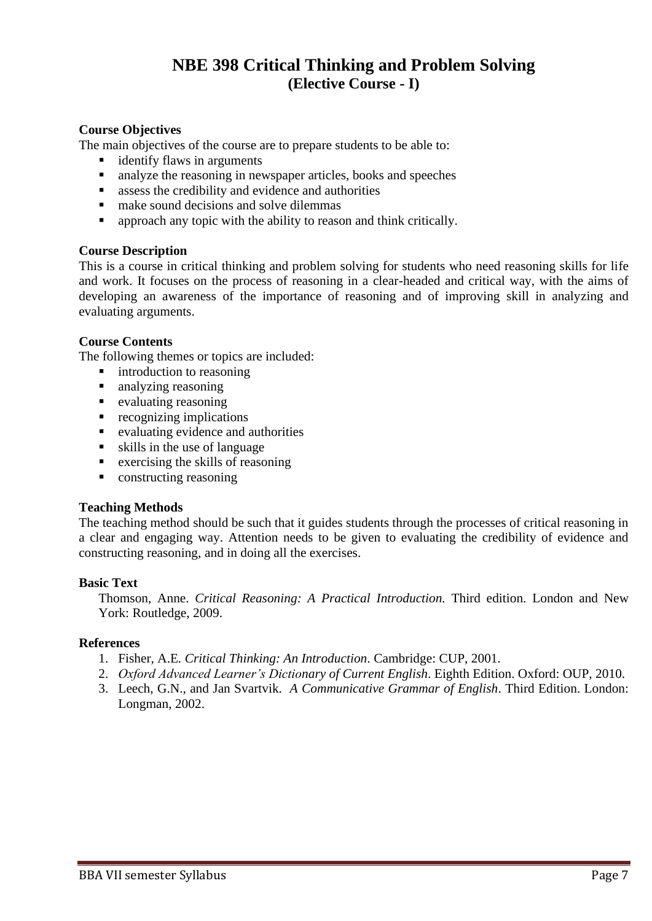## **NBE 398 Critical Thinking and Problem Solving (Elective Course - I)**

## **Course Objectives**

The main objectives of the course are to prepare students to be able to:

- identify flaws in arguments
- analyze the reasoning in newspaper articles, books and speeches
- assess the credibility and evidence and authorities
- make sound decisions and solve dilemmas
- **•** approach any topic with the ability to reason and think critically.

## **Course Description**

This is a course in critical thinking and problem solving for students who need reasoning skills for life and work. It focuses on the process of reasoning in a clear-headed and critical way, with the aims of developing an awareness of the importance of reasoning and of improving skill in analyzing and evaluating arguments.

## **Course Contents**

The following themes or topics are included:

- introduction to reasoning
- analyzing reasoning
- evaluating reasoning
- $\blacksquare$  recognizing implications
- evaluating evidence and authorities
- $\bullet$  skills in the use of language
- $\blacksquare$  exercising the skills of reasoning
- constructing reasoning

## **Teaching Methods**

The teaching method should be such that it guides students through the processes of critical reasoning in a clear and engaging way. Attention needs to be given to evaluating the credibility of evidence and constructing reasoning, and in doing all the exercises.

## **Basic Text**

Thomson, Anne. *Critical Reasoning: A Practical Introduction.* Third edition. London and New York: Routledge, 2009.

- 1. Fisher, A.E*. Critical Thinking: An Introduction*. Cambridge: CUP, 2001*.*
- 2. *Oxford Advanced Learner's Dictionary of Current English*. Eighth Edition. Oxford: OUP, 2010.
- 3. Leech, G.N., and Jan Svartvik. *A Communicative Grammar of English*. Third Edition. London: Longman, 2002.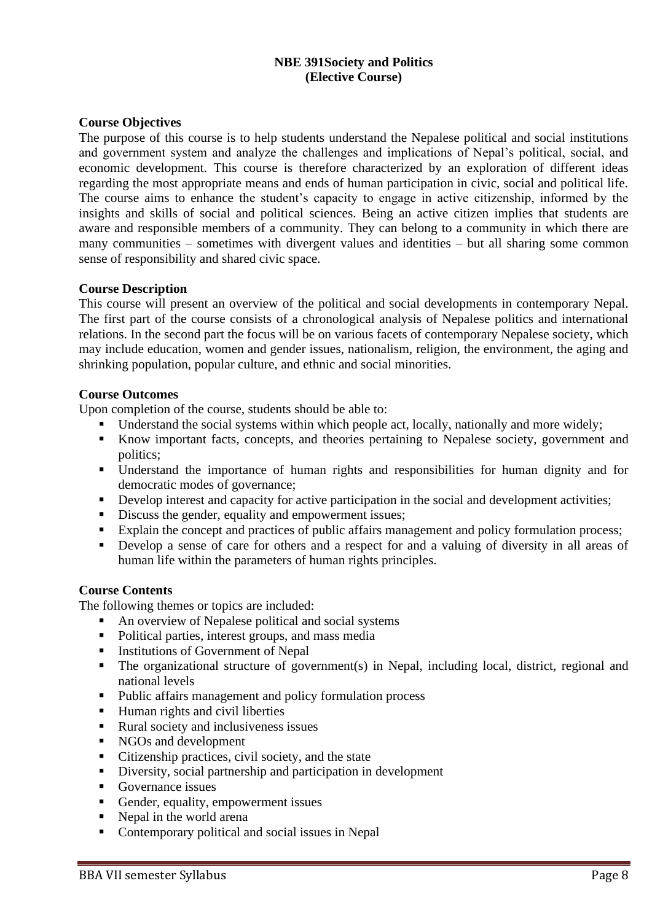## **NBE 391Society and Politics (Elective Course)**

## **Course Objectives**

The purpose of this course is to help students understand the Nepalese political and social institutions and government system and analyze the challenges and implications of Nepal's political, social, and economic development. This course is therefore characterized by an exploration of different ideas regarding the most appropriate means and ends of human participation in civic, social and political life. The course aims to enhance the student's capacity to engage in active citizenship, informed by the insights and skills of social and political sciences. Being an active citizen implies that students are aware and responsible members of a community. They can belong to a community in which there are many communities – sometimes with divergent values and identities – but all sharing some common sense of responsibility and shared civic space.

## **Course Description**

This course will present an overview of the political and social developments in contemporary Nepal. The first part of the course consists of a chronological analysis of Nepalese politics and international relations. In the second part the focus will be on various facets of contemporary Nepalese society, which may include education, women and gender issues, nationalism, religion, the environment, the aging and shrinking population, popular culture, and ethnic and social minorities.

## **Course Outcomes**

Upon completion of the course, students should be able to:

- Understand the social systems within which people act, locally, nationally and more widely;
- Know important facts, concepts, and theories pertaining to Nepalese society, government and politics;
- Understand the importance of human rights and responsibilities for human dignity and for democratic modes of governance;
- **•** Develop interest and capacity for active participation in the social and development activities;
- Discuss the gender, equality and empowerment issues;
- Explain the concept and practices of public affairs management and policy formulation process;
- Develop a sense of care for others and a respect for and a valuing of diversity in all areas of human life within the parameters of human rights principles.

## **Course Contents**

The following themes or topics are included:

- An overview of Nepalese political and social systems
- Political parties, interest groups, and mass media
- **■** Institutions of Government of Nepal
- The organizational structure of government(s) in Nepal, including local, district, regional and national levels
- Public affairs management and policy formulation process
- Human rights and civil liberties
- Rural society and inclusiveness issues
- NGOs and development
- Citizenship practices, civil society, and the state
- Diversity, social partnership and participation in development
- Governance issues
- Gender, equality, empowerment issues
- Nepal in the world arena
- Contemporary political and social issues in Nepal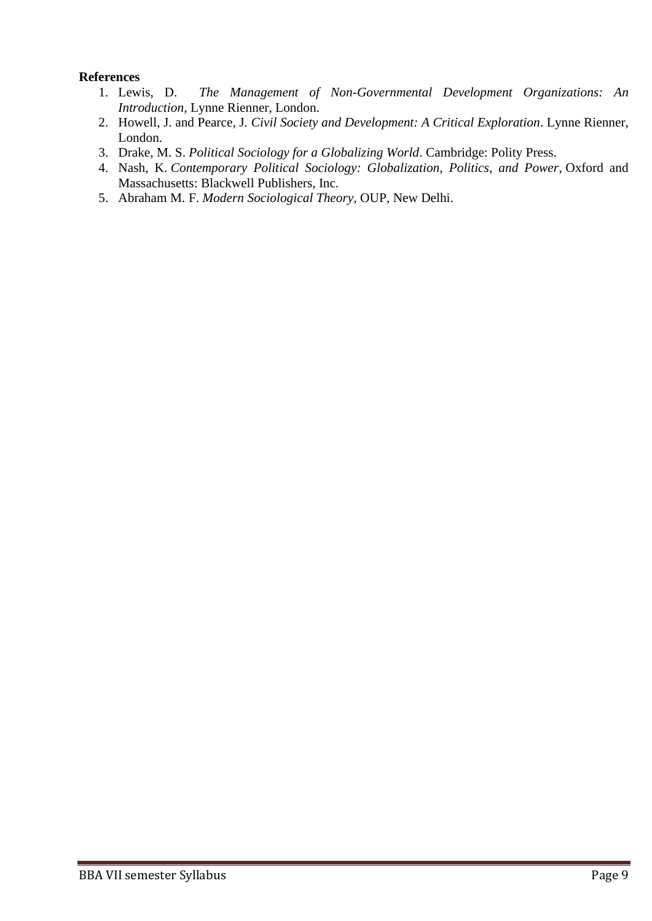- 1. Lewis, D. *The Management of Non-Governmental Development Organizations: An Introduction,* Lynne Rienner, London.
- 2. Howell, J. and Pearce, J. *Civil Society and Development: A Critical Exploration*. Lynne Rienner, London.
- 3. Drake, M. S. *Political Sociology for a Globalizing World*. Cambridge: Polity Press.
- 4. Nash, K. *Contemporary Political Sociology: Globalization, Politics, and Power*, Oxford and Massachusetts: Blackwell Publishers, Inc.
- 5. Abraham M. F. *Modern Sociological Theory,* OUP, New Delhi.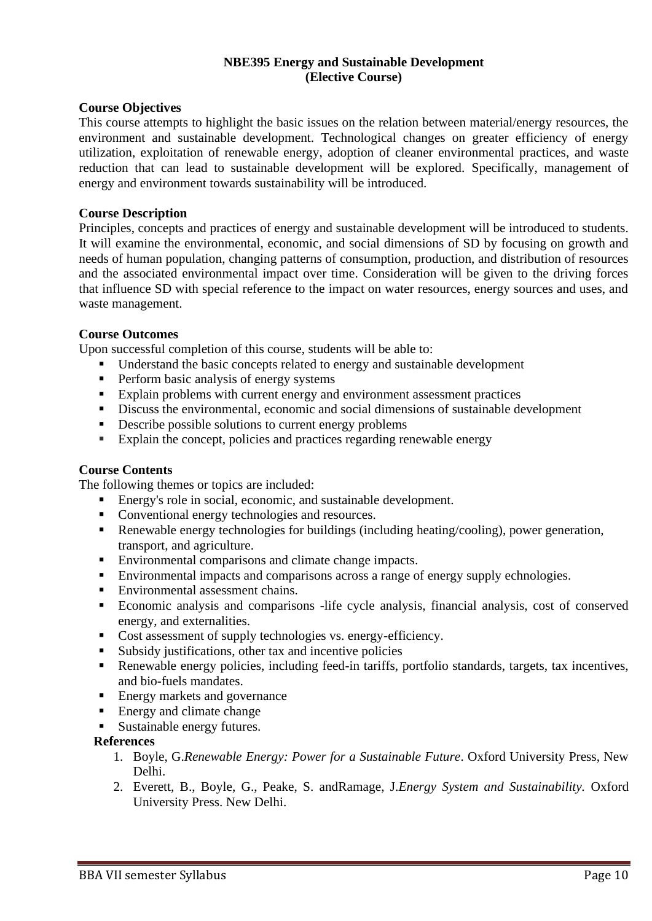## **NBE395 Energy and Sustainable Development (Elective Course)**

## **Course Objectives**

This course attempts to highlight the basic issues on the relation between material/energy resources, the environment and sustainable development. Technological changes on greater efficiency of energy utilization, exploitation of renewable energy, adoption of cleaner environmental practices, and waste reduction that can lead to sustainable development will be explored. Specifically, management of energy and environment towards sustainability will be introduced.

## **Course Description**

Principles, concepts and practices of energy and sustainable development will be introduced to students. It will examine the environmental, economic, and social dimensions of SD by focusing on growth and needs of human population, changing patterns of consumption, production, and distribution of resources and the associated environmental impact over time. Consideration will be given to the driving forces that influence SD with special reference to the impact on water resources, energy sources and uses, and waste management.

## **Course Outcomes**

Upon successful completion of this course, students will be able to:

- Understand the basic concepts related to energy and sustainable development
- **•** Perform basic analysis of energy systems
- Explain problems with current energy and environment assessment practices
- Discuss the environmental, economic and social dimensions of sustainable development
- Describe possible solutions to current energy problems
- Explain the concept, policies and practices regarding renewable energy

## **Course Contents**

The following themes or topics are included:

- Energy's role in social, economic, and sustainable development.
- Conventional energy technologies and resources.
- Renewable energy technologies for buildings (including heating/cooling), power generation, transport, and agriculture.
- Environmental comparisons and climate change impacts.
- Environmental impacts and comparisons across a range of energy supply echnologies.
- Environmental assessment chains.
- Economic analysis and comparisons -life cycle analysis, financial analysis, cost of conserved energy, and externalities.
- Cost assessment of supply technologies vs. energy-efficiency.
- Subsidy justifications, other tax and incentive policies
- Renewable energy policies, including feed-in tariffs, portfolio standards, targets, tax incentives, and bio-fuels mandates.
- Energy markets and governance
- Energy and climate change
- Sustainable energy futures.

- 1. Boyle, G.*Renewable Energy: Power for a Sustainable Future*. Oxford University Press, New Delhi.
- 2. Everett, B., Boyle, G., Peake, S. andRamage, J.*Energy System and Sustainability.* Oxford University Press. New Delhi.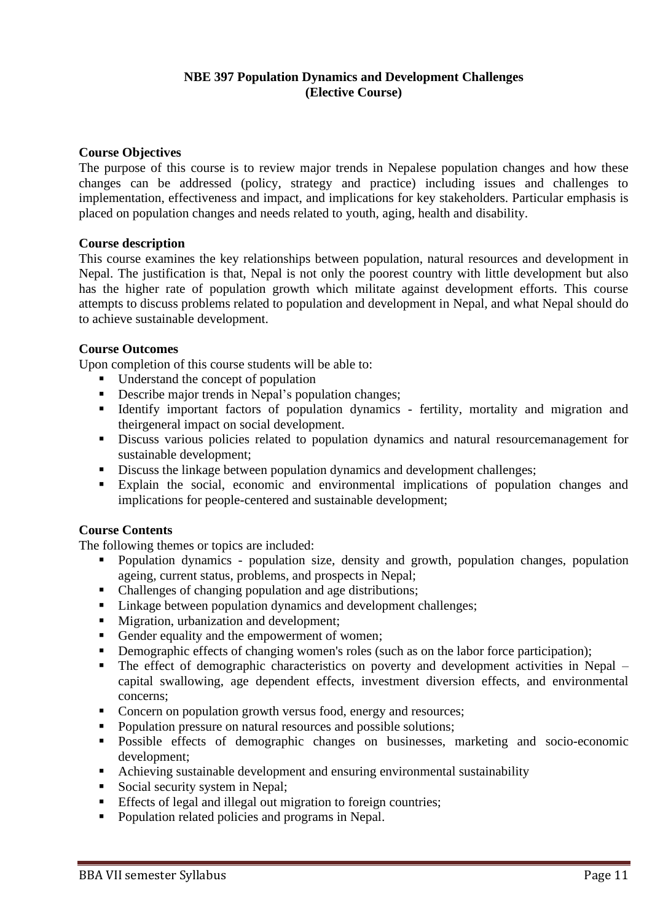## **NBE 397 Population Dynamics and Development Challenges (Elective Course)**

## **Course Objectives**

The purpose of this course is to review major trends in Nepalese population changes and how these changes can be addressed (policy, strategy and practice) including issues and challenges to implementation, effectiveness and impact, and implications for key stakeholders. Particular emphasis is placed on population changes and needs related to youth, aging, health and disability.

## **Course description**

This course examines the key relationships between population, natural resources and development in Nepal. The justification is that, Nepal is not only the poorest country with little development but also has the higher rate of population growth which militate against development efforts. This course attempts to discuss problems related to population and development in Nepal, and what Nepal should do to achieve sustainable development.

## **Course Outcomes**

Upon completion of this course students will be able to:

- Understand the concept of population
- **•** Describe major trends in Nepal's population changes;
- Identify important factors of population dynamics fertility, mortality and migration and theirgeneral impact on social development.
- Discuss various policies related to population dynamics and natural resourcemanagement for sustainable development;
- Discuss the linkage between population dynamics and development challenges;
- Explain the social, economic and environmental implications of population changes and implications for people-centered and sustainable development;

## **Course Contents**

The following themes or topics are included:

- Population dynamics population size, density and growth, population changes, population ageing, current status, problems, and prospects in Nepal;
- Challenges of changing population and age distributions;
- Linkage between population dynamics and development challenges;
- Migration, urbanization and development;
- Gender equality and the empowerment of women;
- **•** Demographic effects of changing women's roles (such as on the labor force participation);
- The effect of demographic characteristics on poverty and development activities in Nepal capital swallowing, age dependent effects, investment diversion effects, and environmental concerns;
- Concern on population growth versus food, energy and resources;
- Population pressure on natural resources and possible solutions;
- Possible effects of demographic changes on businesses, marketing and socio-economic development;
- Achieving sustainable development and ensuring environmental sustainability
- Social security system in Nepal;
- **Effects of legal and illegal out migration to foreign countries;**
- Population related policies and programs in Nepal.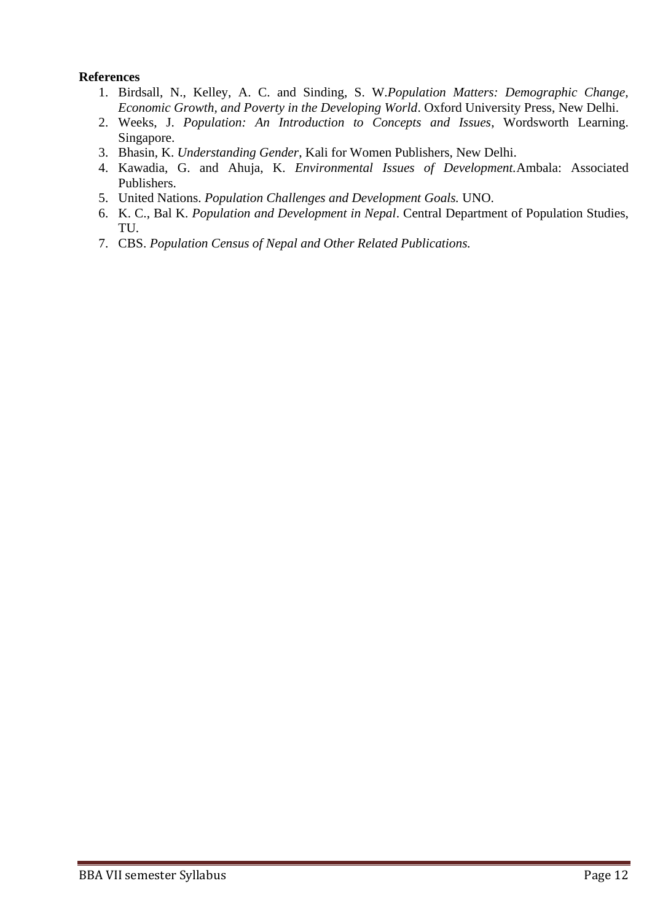- 1. Birdsall, N., Kelley, A. C. and Sinding, S. W.*Population Matters: Demographic Change, Economic Growth, and Poverty in the Developing World*. Oxford University Press, New Delhi.
- 2. Weeks, J. *Population: An Introduction to Concepts and Issues*, Wordsworth Learning. Singapore.
- 3. Bhasin, K. *Understanding Gender*, Kali for Women Publishers, New Delhi.
- 4. Kawadia, G. and Ahuja, K. *Environmental Issues of Development.*Ambala: Associated Publishers.
- 5. United Nations. *Population Challenges and Development Goals.* UNO.
- 6. K. C., Bal K. *Population and Development in Nepal*. Central Department of Population Studies, TU.
- 7. CBS. *Population Census of Nepal and Other Related Publications.*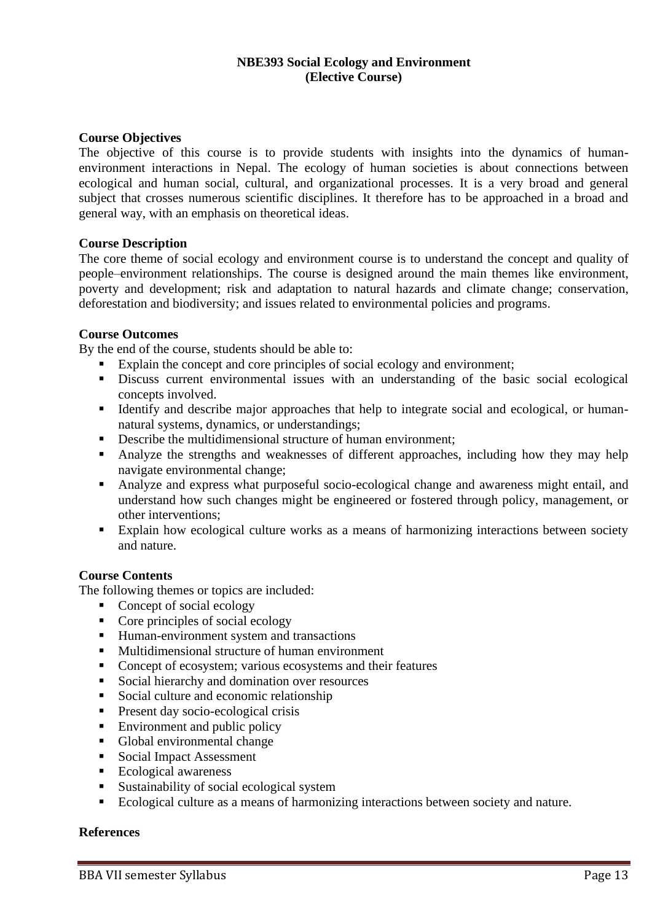## **NBE393 Social Ecology and Environment (Elective Course)**

## **Course Objectives**

The objective of this course is to provide students with insights into the dynamics of humanenvironment interactions in Nepal. The ecology of human societies is about connections between ecological and human social, cultural, and organizational processes. It is a very broad and general subject that crosses numerous scientific disciplines. It therefore has to be approached in a broad and general way, with an emphasis on theoretical ideas.

## **Course Description**

The core theme of social ecology and environment course is to understand the concept and quality of people–environment relationships. The course is designed around the main themes like environment, poverty and development; risk and adaptation to natural hazards and climate change; conservation, deforestation and biodiversity; and issues related to environmental policies and programs.

## **Course Outcomes**

By the end of the course, students should be able to:

- Explain the concept and core principles of social ecology and environment;
- **EXECUTE:** Discuss current environmental issues with an understanding of the basic social ecological concepts involved.
- Identify and describe major approaches that help to integrate social and ecological, or humannatural systems, dynamics, or understandings;
- **•** Describe the multidimensional structure of human environment;
- Analyze the strengths and weaknesses of different approaches, including how they may help navigate environmental change;
- Analyze and express what purposeful socio-ecological change and awareness might entail, and understand how such changes might be engineered or fostered through policy, management, or other interventions;
- Explain how ecological culture works as a means of harmonizing interactions between society and nature.

## **Course Contents**

The following themes or topics are included:

- Concept of social ecology
- [Core principles of social ecology](http://www.ecologyandsociety.org/vol18/iss1/art7/#coreprincipl8)
- Human-environment system and transactions
- Multidimensional structure of human environment
- Concept of ecosystem; various ecosystems and their features
- Social hierarchy and domination over resources
- Social culture and economic relationship
- Present day socio-ecological crisis
- $\blacksquare$  Environment and public policy
- Global environmental change
- Social Impact Assessment
- Ecological awareness
- Sustainability of social ecological system
- Ecological culture as a means of harmonizing interactions between society and nature.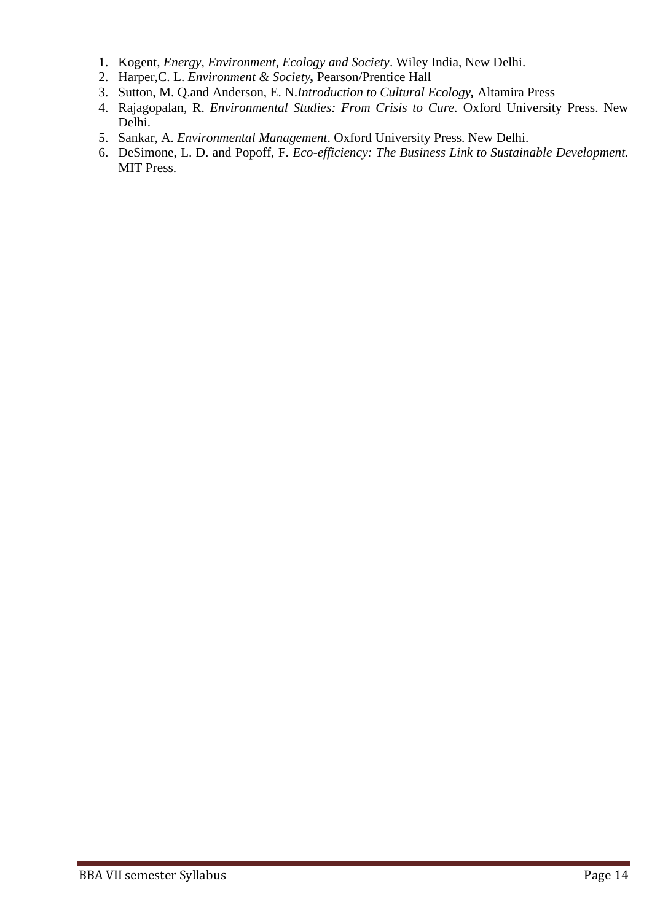- 1. Kogent, *Energy, Environment, Ecology and Society*. Wiley India, New Delhi.
- 2. Harper,C. L. *Environment & Society,* Pearson/Prentice Hall
- 3. Sutton, M. Q.and Anderson, E. N.*Introduction to Cultural Ecology,* Altamira Press
- 4. Rajagopalan, R. *Environmental Studies: From Crisis to Cure.* Oxford University Press. New Delhi.
- 5. Sankar, A. *Environmental Management*. Oxford University Press. New Delhi.
- 6. DeSimone, L. D. and Popoff, F. *Eco-efficiency: The Business Link to Sustainable Development.* MIT Press.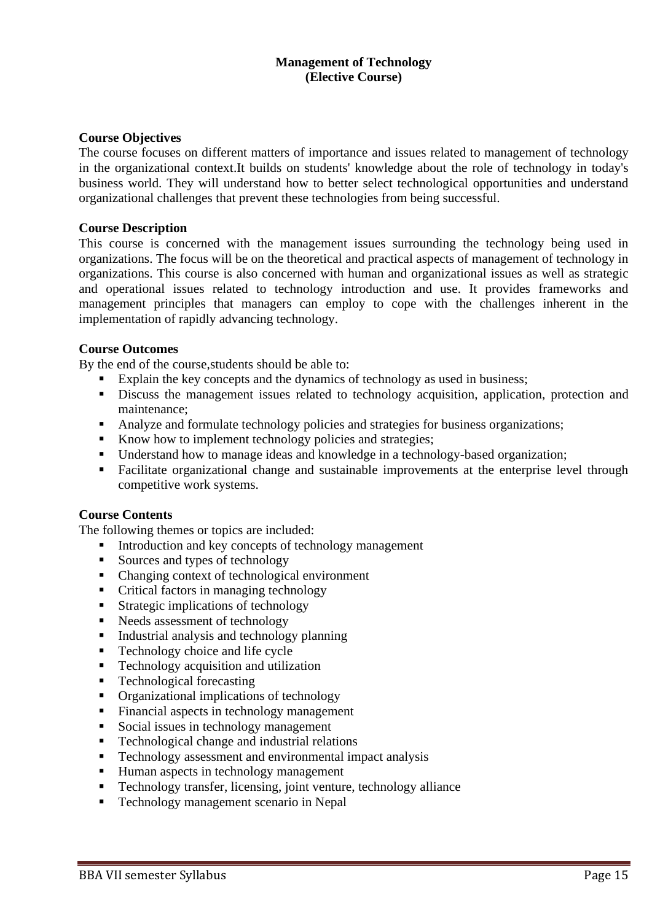## **Management of Technology (Elective Course)**

## **Course Objectives**

The course focuses on different matters of importance and issues related to management of technology in the organizational context.It builds on students' knowledge about the role of technology in today's business world. They will understand how to better select technological opportunities and understand organizational challenges that prevent these technologies from being successful.

### **Course Description**

This course is concerned with the management issues surrounding the technology being used in organizations. The focus will be on the theoretical and practical aspects of management of technology in organizations. This course is also concerned with human and organizational issues as well as strategic and operational issues related to technology introduction and use. It provides frameworks and management principles that managers can employ to cope with the challenges inherent in the implementation of rapidly advancing technology.

## **Course Outcomes**

By the end of the course,students should be able to:

- Explain the key concepts and the dynamics of technology as used in business;
- **EXECUTE:** Discuss the management issues related to technology acquisition, application, protection and maintenance;
- Analyze and formulate technology policies and strategies for business organizations;
- Know how to implement technology policies and strategies;
- Understand how to manage ideas and knowledge in a technology-based organization;
- **Example 1** Facilitate organizational change and sustainable improvements at the enterprise level through competitive work systems.

## **Course Contents**

The following themes or topics are included:

- Introduction and key concepts of technology management
- Sources and types of technology
- Changing context of technological environment
- Critical factors in managing technology
- Strategic implications of technology
- Needs assessment of technology
- Industrial analysis and technology planning
- Technology choice and life cycle
- Technology acquisition and utilization
- Technological forecasting
- Organizational implications of technology
- Financial aspects in technology management
- Social issues in technology management
- Technological change and industrial relations
- **•** Technology assessment and environmental impact analysis
- Human aspects in technology management
- **EXECUTE:** Technology transfer, licensing, joint venture, technology alliance
- Technology management scenario in Nepal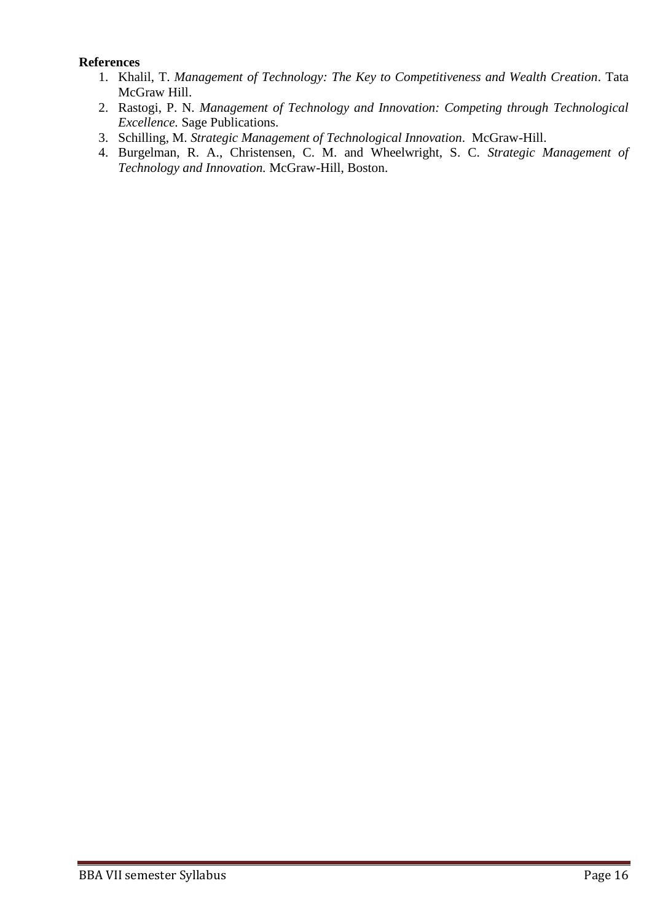- 1. Khalil, T. *Management of Technology: The Key to Competitiveness and Wealth Creation*. Tata McGraw Hill.
- 2. Rastogi, P. N. *Management of Technology and Innovation: Competing through Technological Excellence.* Sage Publications.
- 3. Schilling, M. *Strategic Management of Technological Innovation*. McGraw-Hill.
- 4. Burgelman, R. A., Christensen, C. M. and Wheelwright, S. C. *Strategic Management of Technology and Innovation.* McGraw-Hill, Boston.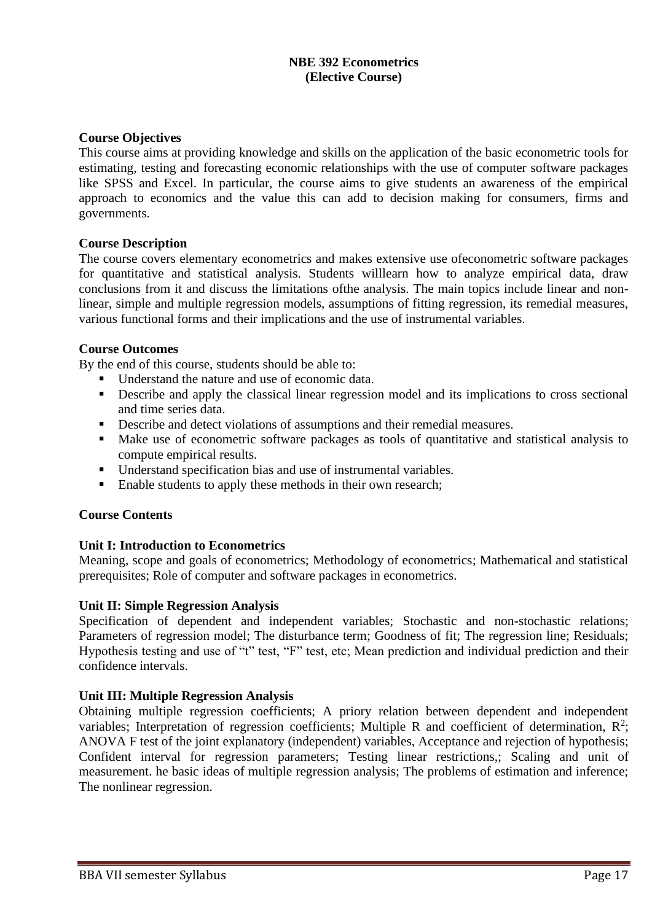## **NBE 392 Econometrics (Elective Course)**

## **Course Objectives**

This course aims at providing knowledge and skills on the application of the basic econometric tools for estimating, testing and forecasting economic relationships with the use of computer software packages like SPSS and Excel. In particular, the course aims to give students an awareness of the empirical approach to economics and the value this can add to decision making for consumers, firms and governments.

## **Course Description**

The course covers elementary econometrics and makes extensive use ofeconometric software packages for quantitative and statistical analysis. Students willlearn how to analyze empirical data, draw conclusions from it and discuss the limitations ofthe analysis. The main topics include linear and nonlinear, simple and multiple regression models, assumptions of fitting regression, its remedial measures, various functional forms and their implications and the use of instrumental variables.

## **Course Outcomes**

By the end of this course, students should be able to:

- Understand the nature and use of economic data.
- **•** Describe and apply the classical linear regression model and its implications to cross sectional and time series data.
- Describe and detect violations of assumptions and their remedial measures.
- Make use of econometric software packages as tools of quantitative and statistical analysis to compute empirical results.
- Understand specification bias and use of instrumental variables.
- Enable students to apply these methods in their own research;

## **Course Contents**

## **Unit I: Introduction to Econometrics**

Meaning, scope and goals of econometrics; Methodology of econometrics; Mathematical and statistical prerequisites; Role of computer and software packages in econometrics.

## **Unit II: Simple Regression Analysis**

Specification of dependent and independent variables; Stochastic and non-stochastic relations; Parameters of regression model; The disturbance term; Goodness of fit; The regression line; Residuals; Hypothesis testing and use of "t" test, "F" test, etc; Mean prediction and individual prediction and their confidence intervals.

## **Unit III: Multiple Regression Analysis**

Obtaining multiple regression coefficients; A priory relation between dependent and independent variables; Interpretation of regression coefficients; Multiple R and coefficient of determination,  $R^2$ ; ANOVA F test of the joint explanatory (independent) variables, Acceptance and rejection of hypothesis; Confident interval for regression parameters; Testing linear restrictions,; Scaling and unit of measurement. he basic ideas of multiple regression analysis; The problems of estimation and inference; The nonlinear regression.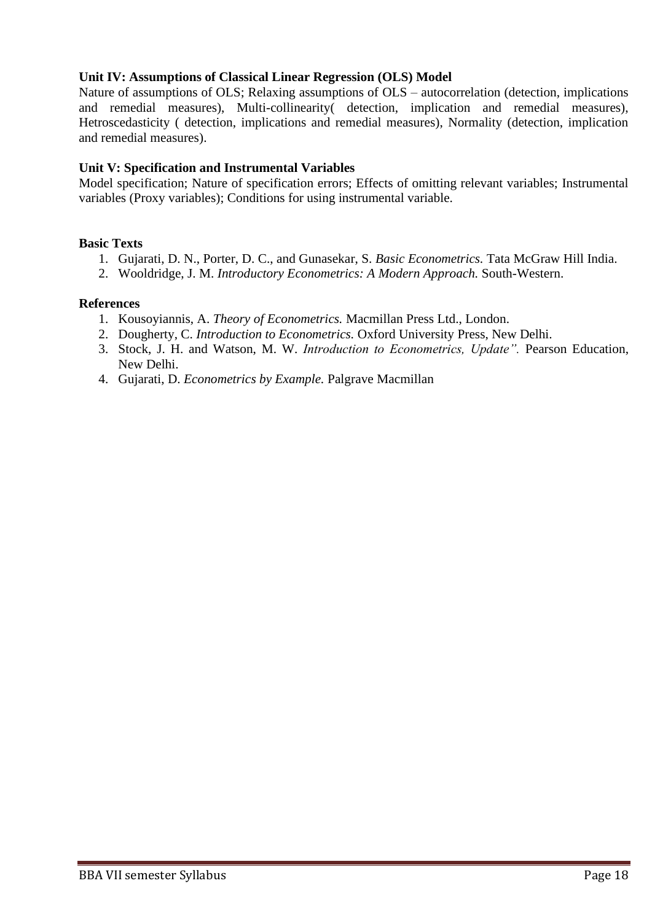## **Unit IV: Assumptions of Classical Linear Regression (OLS) Model**

Nature of assumptions of OLS; Relaxing assumptions of OLS – autocorrelation (detection, implications and remedial measures), Multi-collinearity( detection, implication and remedial measures), Hetroscedasticity ( detection, implications and remedial measures), Normality (detection, implication and remedial measures).

## **Unit V: Specification and Instrumental Variables**

Model specification; Nature of specification errors; Effects of omitting relevant variables; Instrumental variables (Proxy variables); Conditions for using instrumental variable.

## **Basic Texts**

- 1. Gujarati, D. N., Porter, D. C., and Gunasekar, S. *Basic Econometrics.* Tata McGraw Hill India.
- 2. Wooldridge, J. M. *Introductory Econometrics: A Modern Approach.* South-Western.

- 1. Kousoyiannis, A. *Theory of Econometrics.* Macmillan Press Ltd., London.
- 2. Dougherty, C. *Introduction to Econometrics.* Oxford University Press, New Delhi.
- 3. Stock, J. H. and Watson, M. W. *Introduction to Econometrics, Update".* Pearson Education, New Delhi.
- 4. Gujarati, D. *Econometrics by Example.* Palgrave Macmillan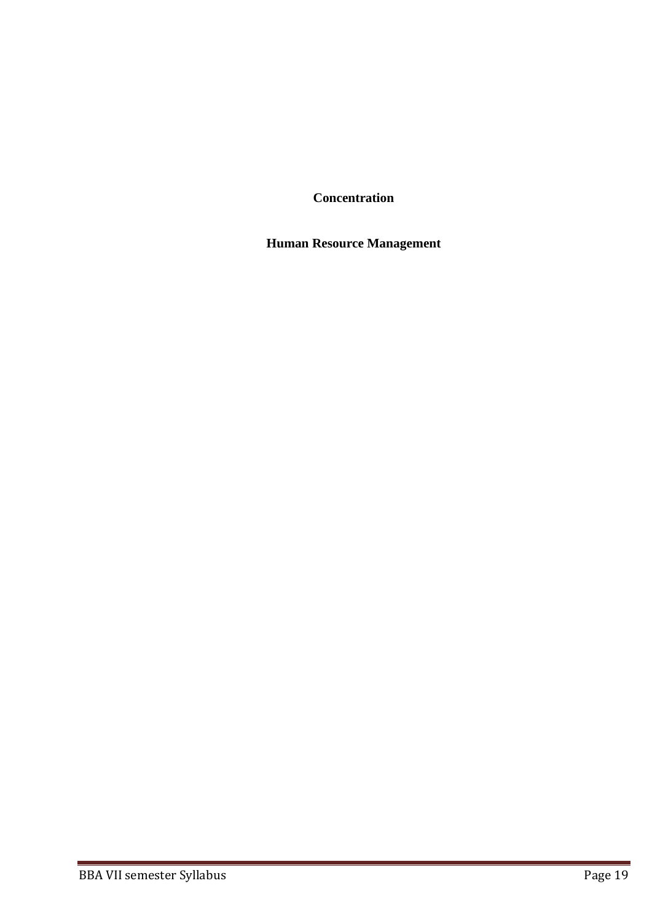**Concentration**

**Human Resource Management**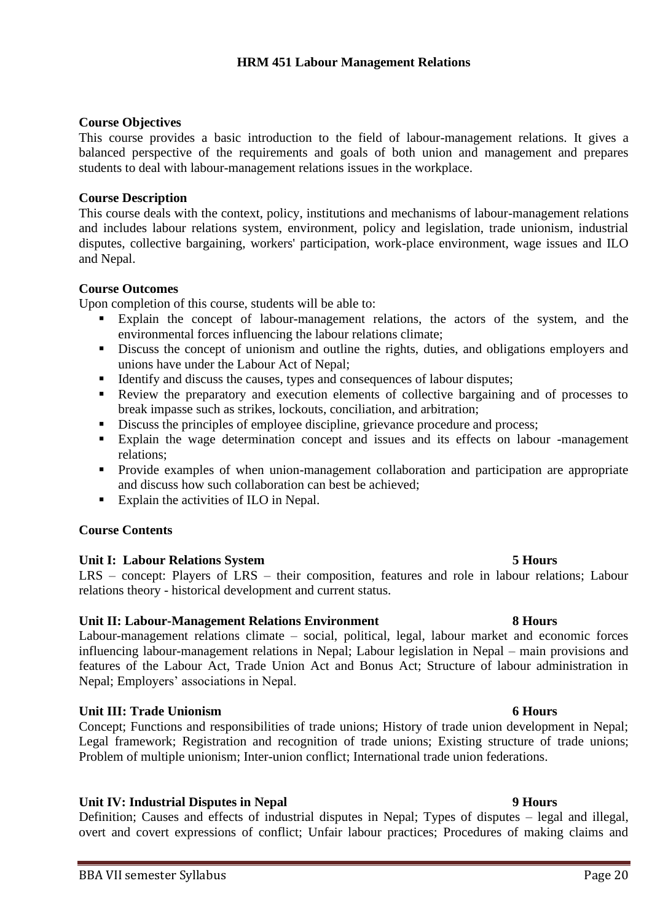## **Course Objectives**

This course provides a basic introduction to the field of labour-management relations. It gives a balanced perspective of the requirements and goals of both union and management and prepares students to deal with labour-management relations issues in the workplace.

## **Course Description**

This course deals with the context, policy, institutions and mechanisms of labour-management relations and includes labour relations system, environment, policy and legislation, trade unionism, industrial disputes, collective bargaining, workers' participation, work-place environment, wage issues and ILO and Nepal.

## **Course Outcomes**

Upon completion of this course, students will be able to:

- Explain the concept of labour-management relations, the actors of the system, and the environmental forces influencing the labour relations climate;
- **•** Discuss the concept of unionism and outline the rights, duties, and obligations employers and unions have under the Labour Act of Nepal;
- Identify and discuss the causes, types and consequences of labour disputes;
- Review the preparatory and execution elements of collective bargaining and of processes to break impasse such as strikes, lockouts, conciliation, and arbitration;
- **EXECUTE:** Discuss the principles of employee discipline, grievance procedure and process;
- Explain the wage determination concept and issues and its effects on labour -management relations;
- **•** Provide examples of when union-management collaboration and participation are appropriate and discuss how such collaboration can best be achieved;
- Explain the activities of ILO in Nepal.

## **Course Contents**

## **Unit I: Labour Relations System 5 Hours**

LRS – concept: Players of LRS – their composition, features and role in labour relations; Labour relations theory - historical development and current status.

## **Unit II: Labour-Management Relations Environment 8 Hours**

Labour-management relations climate – social, political, legal, labour market and economic forces influencing labour-management relations in Nepal; Labour legislation in Nepal – main provisions and features of the Labour Act, Trade Union Act and Bonus Act; Structure of labour administration in Nepal; Employers' associations in Nepal.

## **Unit III: Trade Unionism 6 Hours**

Concept; Functions and responsibilities of trade unions; History of trade union development in Nepal; Legal framework; Registration and recognition of trade unions; Existing structure of trade unions; Problem of multiple unionism; Inter-union conflict; International trade union federations.

## **Unit IV: Industrial Disputes in Nepal 9 Hours**

Definition; Causes and effects of industrial disputes in Nepal; Types of disputes – legal and illegal, overt and covert expressions of conflict; Unfair labour practices; Procedures of making claims and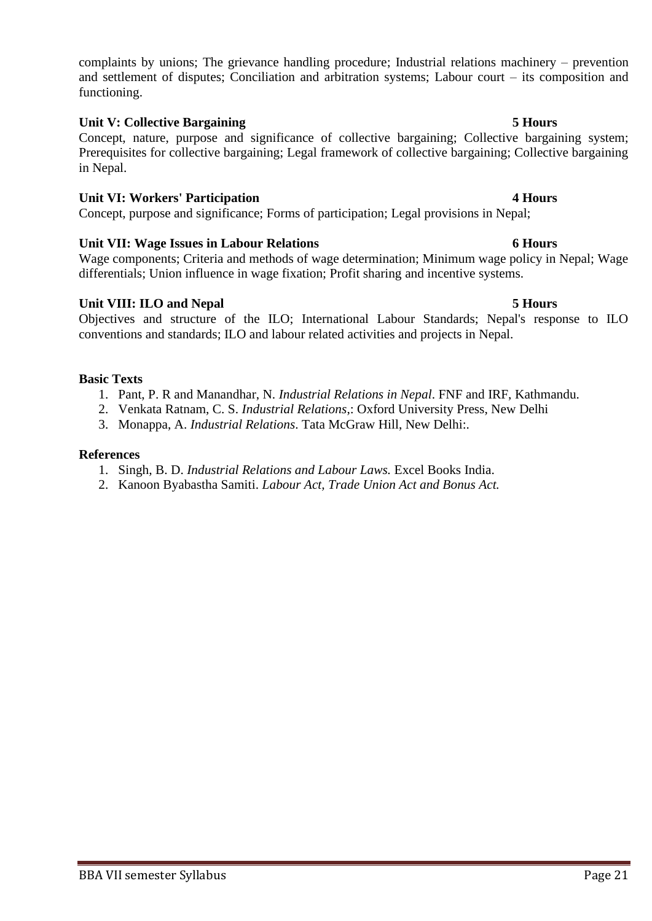complaints by unions; The grievance handling procedure; Industrial relations machinery – prevention and settlement of disputes; Conciliation and arbitration systems; Labour court – its composition and functioning.

## **Unit V: Collective Bargaining 5 Hours**

Concept, nature, purpose and significance of collective bargaining; Collective bargaining system; Prerequisites for collective bargaining; Legal framework of collective bargaining; Collective bargaining in Nepal.

## **Unit VI: Workers' Participation 4 Hours**

Concept, purpose and significance; Forms of participation; Legal provisions in Nepal;

## **Unit VII: Wage Issues in Labour Relations 6 Hours**

Wage components; Criteria and methods of wage determination; Minimum wage policy in Nepal; Wage differentials; Union influence in wage fixation; Profit sharing and incentive systems.

## **Unit VIII: ILO and Nepal 5 Hours**

Objectives and structure of the ILO; International Labour Standards; Nepal's response to ILO conventions and standards; ILO and labour related activities and projects in Nepal.

## **Basic Texts**

- 1. Pant, P. R and Manandhar, N. *Industrial Relations in Nepal*. FNF and IRF, Kathmandu.
- 2. Venkata Ratnam, C. S. *Industrial Relations*,: Oxford University Press, New Delhi
- 3. Monappa, A. *Industrial Relations*. Tata McGraw Hill, New Delhi:.

- 1. Singh, B. D. *Industrial Relations and Labour Laws.* Excel Books India.
- 2. Kanoon Byabastha Samiti. *Labour Act, Trade Union Act and Bonus Act.*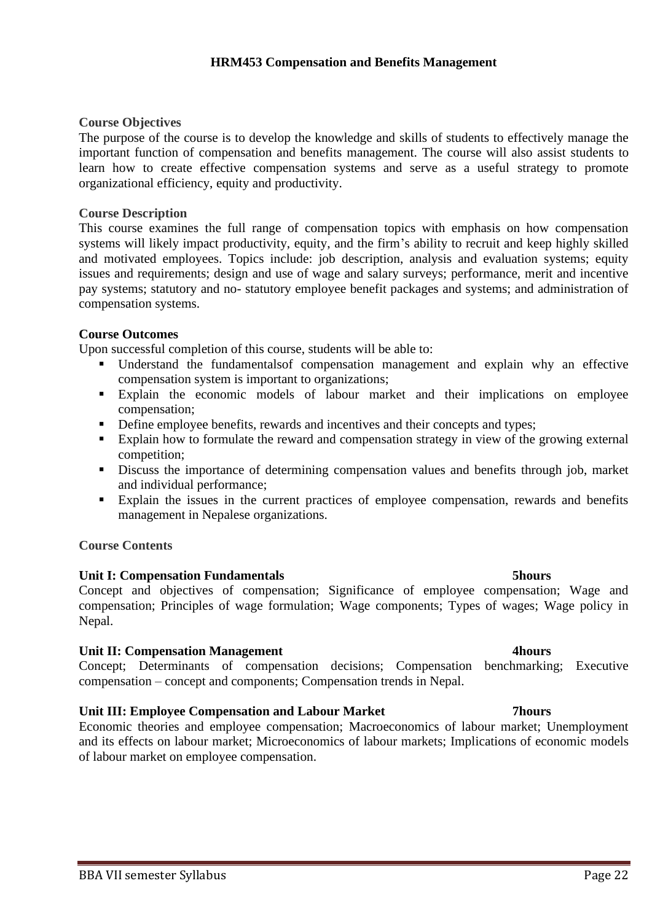## **HRM453 Compensation and Benefits Management**

## **Course Objectives**

The purpose of the course is to develop the knowledge and skills of students to effectively manage the important function of compensation and benefits management. The course will also assist students to learn how to create effective compensation systems and serve as a useful strategy to promote organizational efficiency, equity and productivity.

## **Course Description**

This course examines the full range of compensation topics with emphasis on how compensation systems will likely impact productivity, equity, and the firm's ability to recruit and keep highly skilled and motivated employees. Topics include: job description, analysis and evaluation systems; equity issues and requirements; design and use of wage and salary surveys; performance, merit and incentive pay systems; statutory and no- statutory employee benefit packages and systems; and administration of compensation systems.

## **Course Outcomes**

Upon successful completion of this course, students will be able to:

- Understand the fundamentalsof compensation management and explain why an effective compensation system is important to organizations;
- Explain the economic models of labour market and their implications on employee compensation;
- **•** Define employee benefits, rewards and incentives and their concepts and types;
- Explain how to formulate the reward and compensation strategy in view of the growing external competition;
- **•** Discuss the importance of determining compensation values and benefits through job, market and individual performance;
- Explain the issues in the current practices of employee compensation, rewards and benefits management in Nepalese organizations.

## **Course Contents**

## **Unit I: Compensation Fundamentals 5hours**

Concept and objectives of compensation; Significance of employee compensation; Wage and compensation; Principles of wage formulation; Wage components; Types of wages; Wage policy in Nepal.

## **Unit II: Compensation Management 4hours**

Concept; Determinants of compensation decisions; Compensation benchmarking; Executive compensation – concept and components; Compensation trends in Nepal.

## **Unit III: Employee Compensation and Labour Market 7hours**

Economic theories and employee compensation; Macroeconomics of labour market; Unemployment and its effects on labour market; Microeconomics of labour markets; Implications of economic models of labour market on employee compensation.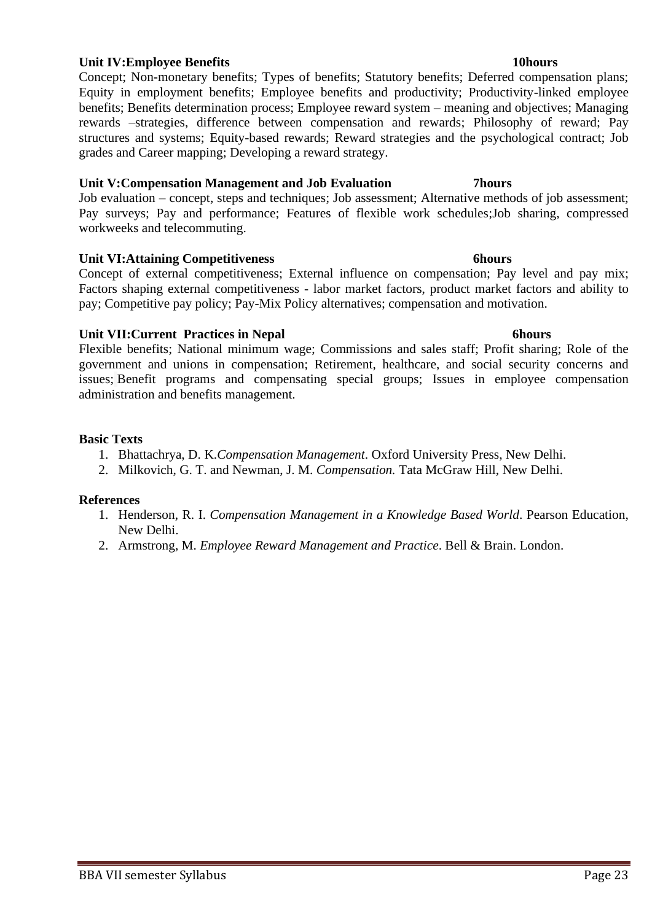## **Unit IV:Employee Benefits 10hours**

Concept; Non-monetary benefits; Types of benefits; Statutory benefits; Deferred compensation plans; Equity in employment benefits; Employee benefits and productivity; Productivity-linked employee benefits; Benefits determination process; Employee reward system – meaning and objectives; Managing rewards –strategies, difference between compensation and rewards; Philosophy of reward; Pay structures and systems; Equity-based rewards; Reward strategies and the psychological contract; Job grades and Career mapping; Developing a reward strategy.

## **Unit V:Compensation Management and Job Evaluation 7hours**

Job evaluation – concept, steps and techniques; Job assessment; Alternative methods of job assessment; Pay surveys; Pay and performance; Features of flexible work schedules;Job sharing, compressed workweeks and telecommuting.

## **Unit VI:Attaining Competitiveness 6hours**

Concept of external competitiveness; External influence on compensation; Pay level and pay mix; Factors shaping external competitiveness - labor market factors, product market factors and ability to pay; Competitive pay policy; Pay-Mix Policy alternatives; compensation and motivation.

## **Unit VII:Current Practices in Nepal 6hours**

Flexible benefits; National minimum wage; Commissions and sales staff; Profit sharing; Role of the government and unions in compensation; Retirement, healthcare, and social security concerns and issues; Benefit programs and compensating special groups; Issues in employee compensation administration and benefits management.

## **Basic Texts**

- 1. Bhattachrya, D. K.*Compensation Management*. Oxford University Press, New Delhi.
- 2. Milkovich, G. T. and Newman, J. M. *Compensation.* Tata McGraw Hill, New Delhi.

- 1. Henderson, R. I. *Compensation Management in a Knowledge Based World*. Pearson Education, New Delhi.
- 2. Armstrong, M. *Employee Reward Management and Practice*. Bell & Brain. London.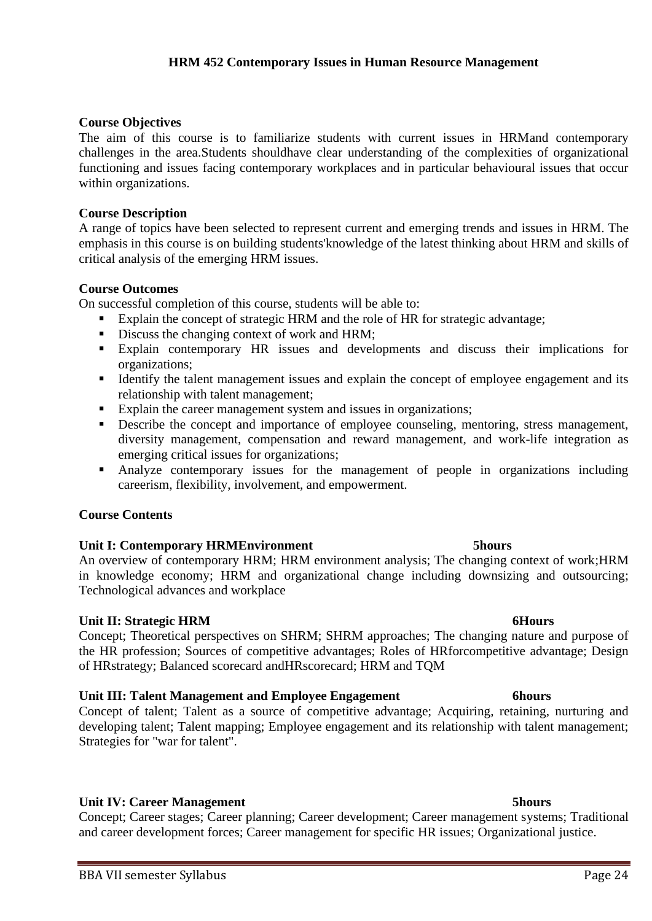### **Course Objectives**

The aim of this course is to familiarize students with current issues in HRMand contemporary challenges in the area.Students shouldhave clear understanding of the complexities of organizational functioning and issues facing contemporary workplaces and in particular behavioural issues that occur within organizations.

**HRM 452 Contemporary Issues in Human Resource Management**

### **Course Description**

A range of topics have been selected to represent current and emerging trends and issues in HRM. The emphasis in this course is on building students'knowledge of the latest thinking about HRM and skills of critical analysis of the emerging HRM issues.

### **Course Outcomes**

On successful completion of this course, students will be able to:

- Explain the concept of strategic HRM and the role of HR for strategic advantage;
- Discuss the changing context of work and HRM;
- Explain contemporary HR issues and developments and discuss their implications for organizations;
- Identify the talent management issues and explain the concept of employee engagement and its relationship with talent management;
- Explain the career management system and issues in organizations;
- **•** Describe the concept and importance of employee counseling, mentoring, stress management, diversity management, compensation and reward management, and work-life integration as emerging critical issues for organizations;
- **EXECUTE:** Analyze contemporary issues for the management of people in organizations including careerism, flexibility, involvement, and empowerment.

### **Course Contents**

### **Unit I: Contemporary HRMEnvironment 5hours**

An overview of contemporary HRM; HRM environment analysis; The changing context of work;HRM in knowledge economy; HRM and organizational change including downsizing and outsourcing; Technological advances and workplace

### **Unit II: Strategic HRM 6Hours**

Concept; Theoretical perspectives on SHRM; SHRM approaches; The changing nature and purpose of the HR profession; Sources of competitive advantages; Roles of HRforcompetitive advantage; Design of HRstrategy; Balanced scorecard andHRscorecard; HRM and TQM

### **Unit III: Talent Management and Employee Engagement 6hours**

Concept of talent; Talent as a source of competitive advantage; Acquiring, retaining, nurturing and developing talent; Talent mapping; Employee engagement and its relationship with talent management; Strategies for "war for talent".

### **Unit IV: Career Management 5hours**

Concept; Career stages; Career planning; Career development; Career management systems; Traditional and career development forces; Career management for specific HR issues; Organizational justice.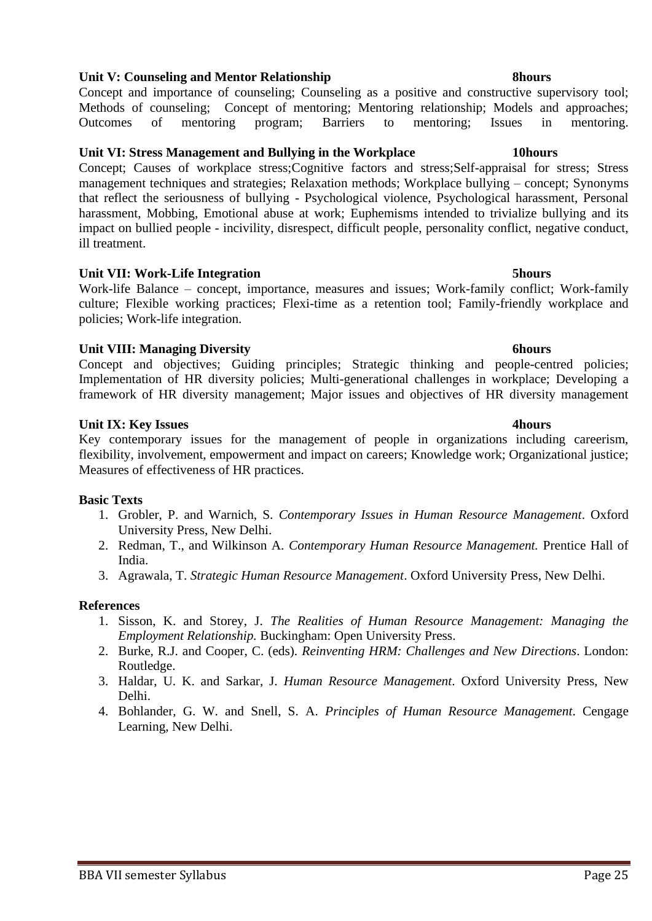## **Unit V: Counseling and Mentor Relationship 8hours**

Concept and importance of counseling; Counseling as a positive and constructive supervisory tool; Methods of counseling; Concept of mentoring; Mentoring relationship; Models and approaches; Outcomes of mentoring program; Barriers to mentoring; Issues in mentoring.

## **Unit VI: Stress Management and Bullying in the Workplace 10hours**

Concept; Causes of workplace stress;Cognitive factors and stress;Self-appraisal for stress; Stress management techniques and strategies; Relaxation methods; Workplace bullying – concept; Synonyms that reflect the seriousness of bullying - Psychological violence, Psychological harassment, Personal harassment, Mobbing, Emotional abuse at work; Euphemisms intended to trivialize bullying and its impact on bullied people - incivility, disrespect, difficult people, personality conflict, negative conduct, ill treatment.

## **Unit VII: Work-Life Integration 5hours**

Work-life Balance – concept, importance, measures and issues; Work-family conflict; Work-family culture; Flexible working practices; Flexi-time as a retention tool; Family-friendly workplace and policies; Work-life integration.

## **Unit VIII: Managing Diversity 6hours**

Concept and objectives; Guiding principles; Strategic thinking and people-centred policies; Implementation of HR diversity policies; Multi-generational challenges in workplace; Developing a framework of HR diversity management; Major issues and objectives of HR diversity management

## **Unit IX: Key Issues 4hours**

Key contemporary issues for the management of people in organizations including careerism, flexibility, involvement, empowerment and impact on careers; Knowledge work; Organizational justice; Measures of effectiveness of HR practices.

## **Basic Texts**

- 1. Grobler, P. and Warnich, S. *Contemporary Issues in Human Resource Management*. Oxford University Press, New Delhi.
- 2. Redman, T., and Wilkinson A. *Contemporary Human Resource Management.* Prentice Hall of India.
- 3. Agrawala, T. *Strategic Human Resource Management*. Oxford University Press, New Delhi.

- 1. Sisson, K. and Storey, J. *The Realities of Human Resource Management: Managing the Employment Relationship.* Buckingham: Open University Press.
- 2. Burke, R.J. and Cooper, C. (eds). *Reinventing HRM: Challenges and New Directions*. London: Routledge.
- 3. Haldar, U. K. and Sarkar, J. *Human Resource Management*. Oxford University Press, New Delhi.
- 4. Bohlander, G. W. and Snell, S. A. *Principles of Human Resource Management*. Cengage Learning, New Delhi.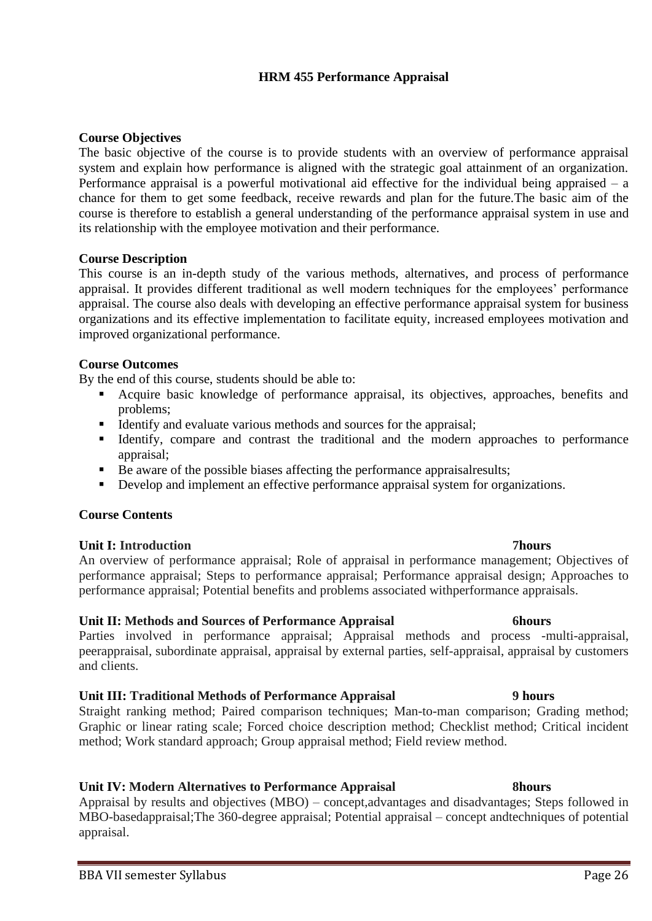## **HRM 455 Performance Appraisal**

### **Course Objectives**

The basic objective of the course is to provide students with an overview of performance appraisal system and explain how performance is aligned with the strategic goal attainment of an organization. Performance appraisal is a powerful motivational aid effective for the individual being appraised – a chance for them to get some feedback, receive rewards and plan for the future.The basic aim of the course is therefore to establish a general understanding of the performance appraisal system in use and its relationship with the employee motivation and their performance.

### **Course Description**

This course is an in-depth study of the various methods, alternatives, and process of performance appraisal. It provides different traditional as well modern techniques for the employees' performance appraisal. The course also deals with developing an effective performance appraisal system for business organizations and its effective implementation to facilitate equity, increased employees motivation and improved organizational performance.

## **Course Outcomes**

By the end of this course, students should be able to:

- Acquire basic knowledge of performance appraisal, its objectives, approaches, benefits and problems;
- Identify and evaluate various methods and sources for the appraisal;
- **EXECUTE:** Identify, compare and contrast the traditional and the modern approaches to performance appraisal;
- Be aware of the possible biases affecting the performance appraisal results;
- **•** Develop and implement an effective performance appraisal system for organizations.

## **Course Contents**

## **Unit I: Introduction 7hours**

An overview of performance appraisal; Role of appraisal in performance management; Objectives of performance appraisal; Steps to performance appraisal; Performance appraisal design; Approaches to performance appraisal; Potential benefits and problems associated withperformance appraisals.

## **Unit II: Methods and Sources of Performance Appraisal 6hours**

Parties involved in performance appraisal; Appraisal methods and process -multi-appraisal, peerappraisal, subordinate appraisal, appraisal by external parties, self-appraisal, appraisal by customers and clients.

## **Unit III: Traditional Methods of Performance Appraisal 9 hours**

Straight ranking method; Paired comparison techniques; Man-to-man comparison; Grading method; Graphic or linear rating scale; Forced choice description method; Checklist method; Critical incident method; Work standard approach; Group appraisal method; Field review method.

## **Unit IV: Modern Alternatives to Performance Appraisal 8hours**

Appraisal by results and objectives (MBO) – concept,advantages and disadvantages; Steps followed in MBO-basedappraisal;The 360-degree appraisal; Potential appraisal – concept andtechniques of potential appraisal.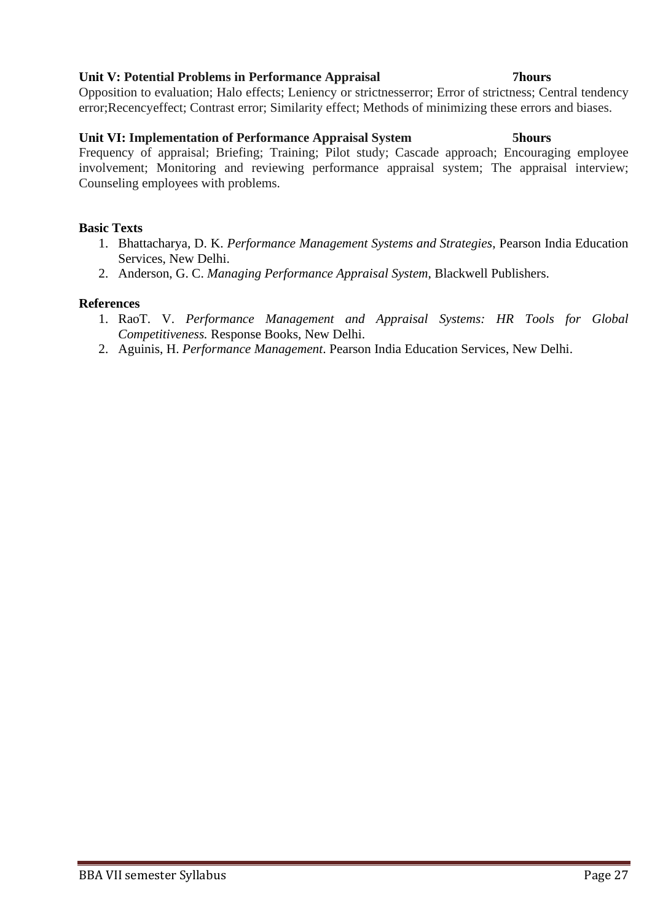## **Unit V: Potential Problems in Performance Appraisal 7hours**

Opposition to evaluation; Halo effects; Leniency or strictnesserror; Error of strictness; Central tendency error;Recencyeffect; Contrast error; Similarity effect; Methods of minimizing these errors and biases.

## **Unit VI: Implementation of Performance Appraisal System 5hours**

Frequency of appraisal; Briefing; Training; Pilot study; Cascade approach; Encouraging employee involvement; Monitoring and reviewing performance appraisal system; The appraisal interview; Counseling employees with problems.

## **Basic Texts**

- 1. Bhattacharya, D. K. *Performance Management Systems and Strategies*, Pearson India Education Services, New Delhi.
- 2. Anderson, G. C. *Managing Performance Appraisal System*, Blackwell Publishers.

- 1. RaoT. V. *Performance Management and Appraisal Systems: HR Tools for Global Competitiveness.* Response Books, New Delhi.
- 2. Aguinis, H. *Performance Management*. Pearson India Education Services, New Delhi.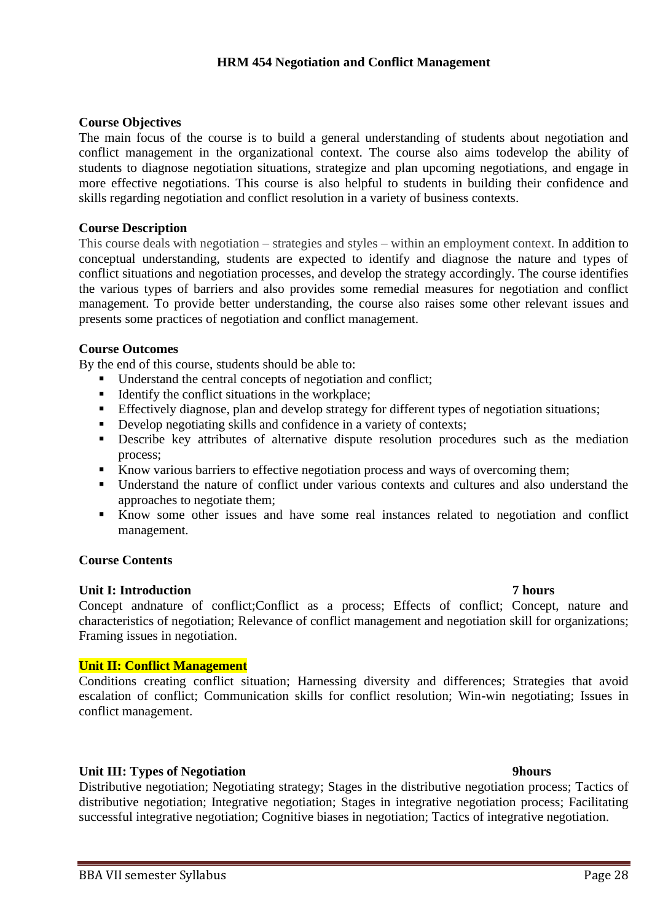## **HRM 454 Negotiation and Conflict Management**

### **Course Objectives**

The main focus of the course is to build a general understanding of students about negotiation and conflict management in the organizational context. The course also aims todevelop the ability of students to diagnose negotiation situations, strategize and plan upcoming negotiations, and engage in more effective negotiations. This course is also helpful to students in building their confidence and skills regarding negotiation and conflict resolution in a variety of business contexts.

### **Course Description**

This course deals with negotiation – strategies and styles – within an employment context. In addition to conceptual understanding, students are expected to identify and diagnose the nature and types of conflict situations and negotiation processes, and develop the strategy accordingly. The course identifies the various types of barriers and also provides some remedial measures for negotiation and conflict management. To provide better understanding, the course also raises some other relevant issues and presents some practices of negotiation and conflict management.

### **Course Outcomes**

By the end of this course, students should be able to:

- Understand the central concepts of negotiation and conflict;
- Identify the conflict situations in the workplace;
- **Effectively diagnose, plan and develop strategy for different types of negotiation situations;**
- **•** Develop negotiating skills and confidence in a variety of contexts;
- **•** Describe key attributes of alternative dispute resolution procedures such as the mediation process;
- Know various barriers to effective negotiation process and ways of overcoming them;
- Understand the nature of conflict under various contexts and cultures and also understand the approaches to negotiate them;
- Know some other issues and have some real instances related to negotiation and conflict management.

## **Course Contents**

### **Unit I: Introduction 7 hours**

Concept andnature of conflict;Conflict as a process; Effects of conflict; Concept, nature and characteristics of negotiation; Relevance of conflict management and negotiation skill for organizations; Framing issues in negotiation.

## **Unit II: Conflict Management**

Conditions creating conflict situation; Harnessing diversity and differences; Strategies that avoid escalation of conflict; Communication skills for conflict resolution; Win-win negotiating; Issues in conflict management.

## **Unit III: Types of Negotiation 9hours**

Distributive negotiation; Negotiating strategy; Stages in the distributive negotiation process; Tactics of distributive negotiation; Integrative negotiation; Stages in integrative negotiation process; Facilitating successful integrative negotiation; Cognitive biases in negotiation; Tactics of integrative negotiation.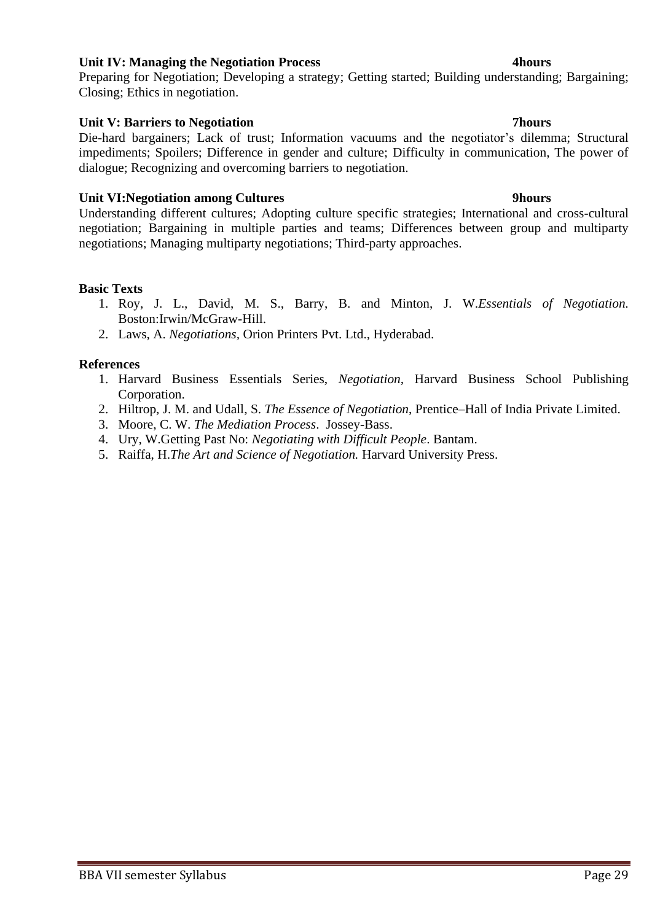## **Unit IV: Managing the Negotiation Process 4hours**

Preparing for Negotiation; Developing a strategy; Getting started; Building understanding; Bargaining; Closing; Ethics in negotiation.

## **Unit V: Barriers to Negotiation 7hours**

Die-hard bargainers; Lack of trust; Information vacuums and the negotiator's dilemma; Structural impediments; Spoilers; Difference in gender and culture; Difficulty in communication, The power of dialogue; Recognizing and overcoming barriers to negotiation.

## **Unit VI:Negotiation among Cultures 9hours**

Understanding different cultures; Adopting culture specific strategies; International and cross-cultural negotiation; Bargaining in multiple parties and teams; Differences between group and multiparty negotiations; Managing multiparty negotiations; Third-party approaches.

## **Basic Texts**

- 1. Roy, J. L., David, M. S., Barry, B. and Minton, J. W.*Essentials of Negotiation.* Boston:Irwin/McGraw-Hill.
- 2. Laws, A. *Negotiations,* Orion Printers Pvt. Ltd., Hyderabad.

- 1. Harvard Business Essentials Series, *Negotiation,* Harvard Business School Publishing Corporation.
- 2. Hiltrop, J. M. and Udall, S. *The Essence of Negotiation*, Prentice–Hall of India Private Limited.
- 3. Moore, C. W. *The Mediation Process*. Jossey-Bass.
- 4. Ury, W.Getting Past No: *Negotiating with Difficult People*. Bantam.
- 5. Raiffa, H.*The Art and Science of Negotiation.* Harvard University Press.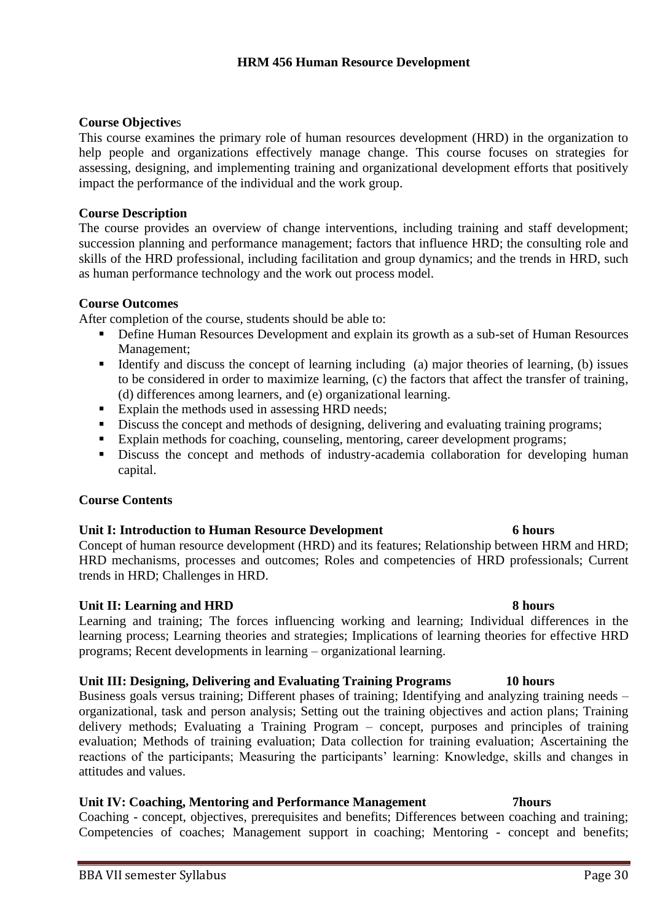## **Course Objective**s

This course examines the primary role of human resources development (HRD) in the organization to help people and organizations effectively manage change. This course focuses on strategies for assessing, designing, and implementing training and organizational development efforts that positively impact the performance of the individual and the work group.

## **Course Description**

The course provides an overview of change interventions, including training and staff development; succession planning and performance management; factors that influence HRD; the consulting role and skills of the HRD professional, including facilitation and group dynamics; and the trends in HRD, such as human performance technology and the work out process model.

## **Course Outcomes**

After completion of the course, students should be able to:

- Define Human Resources Development and explain its growth as a sub-set of Human Resources Management;
- Identify and discuss the concept of learning including (a) major theories of learning, (b) issues to be considered in order to maximize learning, (c) the factors that affect the transfer of training, (d) differences among learners, and (e) organizational learning.
- Explain the methods used in assessing HRD needs;
- **•** Discuss the concept and methods of designing, delivering and evaluating training programs;
- Explain methods for coaching, counseling, mentoring, career development programs;
- **EXECUTE:** Discuss the concept and methods of industry-academia collaboration for developing human capital.

## **Course Contents**

## **Unit I: Introduction to Human Resource Development 6 hours**

Concept of human resource development (HRD) and its features; Relationship between HRM and HRD; HRD mechanisms, processes and outcomes; Roles and competencies of HRD professionals; Current trends in HRD; Challenges in HRD.

## **Unit II: Learning and HRD 8 hours**

Learning and training; The forces influencing working and learning; Individual differences in the learning process; Learning theories and strategies; Implications of learning theories for effective HRD programs; Recent developments in learning – organizational learning.

## **Unit III: Designing, Delivering and Evaluating Training Programs 10 hours**

Business goals versus training; Different phases of training; Identifying and analyzing training needs – organizational, task and person analysis; Setting out the training objectives and action plans; Training delivery methods; Evaluating a Training Program – concept, purposes and principles of training evaluation; Methods of training evaluation; Data collection for training evaluation; Ascertaining the reactions of the participants; Measuring the participants' learning: Knowledge, skills and changes in attitudes and values.

## **Unit IV: Coaching, Mentoring and Performance Management 7hours**

Coaching - concept, objectives, prerequisites and benefits; Differences between coaching and training; Competencies of coaches; Management support in coaching; Mentoring - concept and benefits;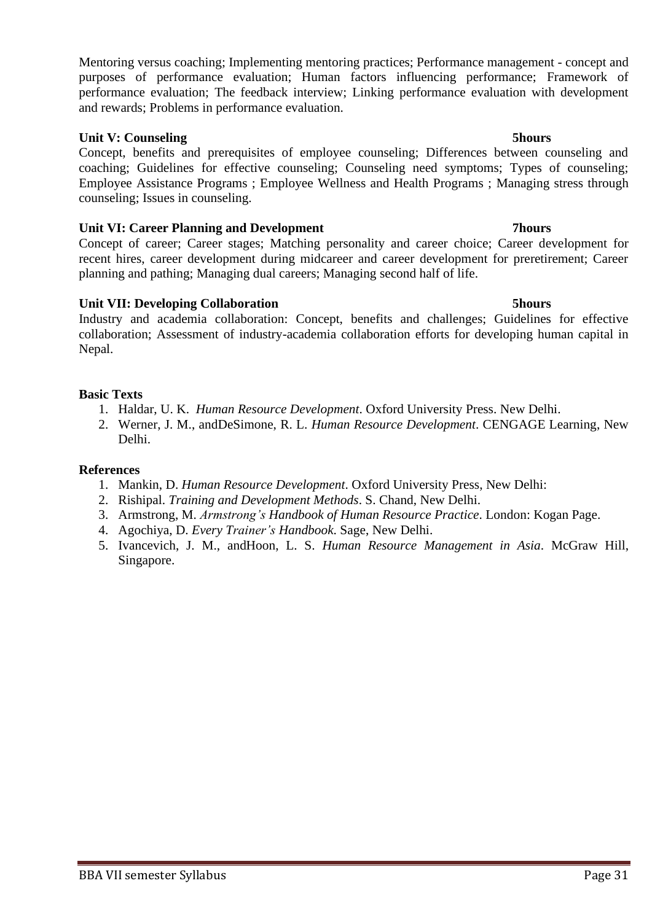Mentoring versus coaching; Implementing mentoring practices; Performance management - concept and purposes of performance evaluation; Human factors influencing performance; Framework of performance evaluation; The feedback interview; Linking performance evaluation with development and rewards; Problems in performance evaluation.

## **Unit V: Counseling 5hours**

Concept, benefits and prerequisites of employee counseling; Differences between counseling and coaching; Guidelines for effective counseling; Counseling need symptoms; Types of counseling; Employee Assistance Programs ; Employee Wellness and Health Programs ; Managing stress through counseling; Issues in counseling.

## **Unit VI: Career Planning and Development 7hours**

Concept of career; Career stages; Matching personality and career choice; Career development for recent hires, career development during midcareer and career development for preretirement; Career planning and pathing; Managing dual careers; Managing second half of life.

## **Unit VII: Developing Collaboration 5hours**

Industry and academia collaboration: Concept, benefits and challenges; Guidelines for effective collaboration; Assessment of industry-academia collaboration efforts for developing human capital in Nepal.

## **Basic Texts**

- 1. Haldar, U. K. *Human Resource Development*. Oxford University Press. New Delhi.
- 2. Werner, J. M., andDeSimone, R. L. *Human Resource Development*. CENGAGE Learning, New Delhi.

- 1. Mankin, D. *Human Resource Development*. Oxford University Press, New Delhi:
- 2. Rishipal. *Training and Development Methods*. S. Chand, New Delhi.
- 3. Armstrong, M. *Armstrong's Handbook of Human Resource Practice*. London: Kogan Page.
- 4. Agochiya, D. *Every Trainer's Handbook*. Sage, New Delhi.
- 5. Ivancevich, J. M., andHoon, L. S. *Human Resource Management in Asia*. McGraw Hill, Singapore.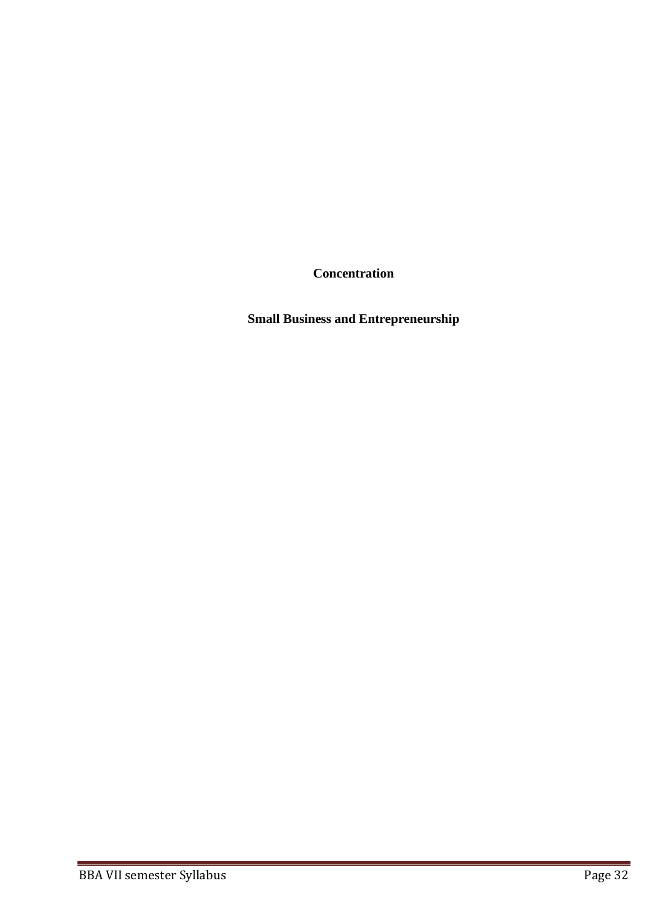**Concentration**

**Small Business and Entrepreneurship**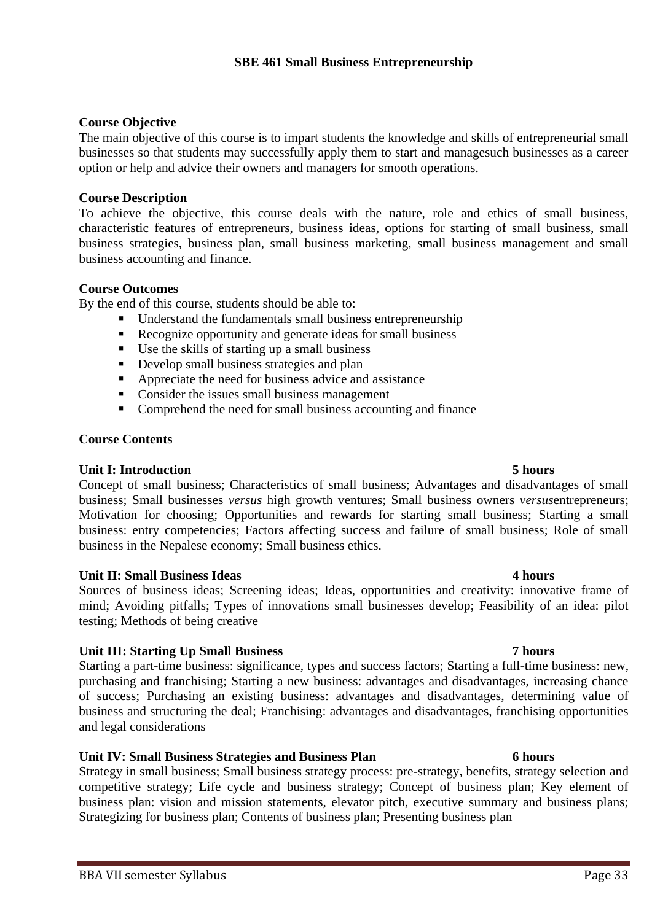## **Course Objective**

The main objective of this course is to impart students the knowledge and skills of entrepreneurial small businesses so that students may successfully apply them to start and managesuch businesses as a career option or help and advice their owners and managers for smooth operations.

## **Course Description**

To achieve the objective, this course deals with the nature, role and ethics of small business, characteristic features of entrepreneurs, business ideas, options for starting of small business, small business strategies, business plan, small business marketing, small business management and small business accounting and finance.

## **Course Outcomes**

By the end of this course, students should be able to:

- Understand the fundamentals small business entrepreneurship
- Recognize opportunity and generate ideas for small business
- Use the skills of starting up a small business
- Develop small business strategies and plan
- Appreciate the need for business advice and assistance
- Consider the issues small business management
- Comprehend the need for small business accounting and finance

## **Course Contents**

## **Unit I: Introduction 5 hours**

Concept of small business; Characteristics of small business; Advantages and disadvantages of small business; Small businesses *versus* high growth ventures; Small business owners *versus*entrepreneurs; Motivation for choosing; Opportunities and rewards for starting small business; Starting a small business: entry competencies; Factors affecting success and failure of small business; Role of small business in the Nepalese economy; Small business ethics.

## **Unit II: Small Business Ideas 4 hours**

Sources of business ideas; Screening ideas; Ideas, opportunities and creativity: innovative frame of mind; Avoiding pitfalls; Types of innovations small businesses develop; Feasibility of an idea: pilot testing; Methods of being creative

## **Unit III: Starting Up Small Business 7 hours**

Starting a part-time business: significance, types and success factors; Starting a full-time business: new, purchasing and franchising; Starting a new business: advantages and disadvantages, increasing chance of success; Purchasing an existing business: advantages and disadvantages, determining value of business and structuring the deal; Franchising: advantages and disadvantages, franchising opportunities and legal considerations

## **Unit IV: Small Business Strategies and Business Plan 6 hours**

Strategy in small business; Small business strategy process: pre-strategy, benefits, strategy selection and competitive strategy; Life cycle and business strategy; Concept of business plan; Key element of business plan: vision and mission statements, elevator pitch, executive summary and business plans; Strategizing for business plan; Contents of business plan; Presenting business plan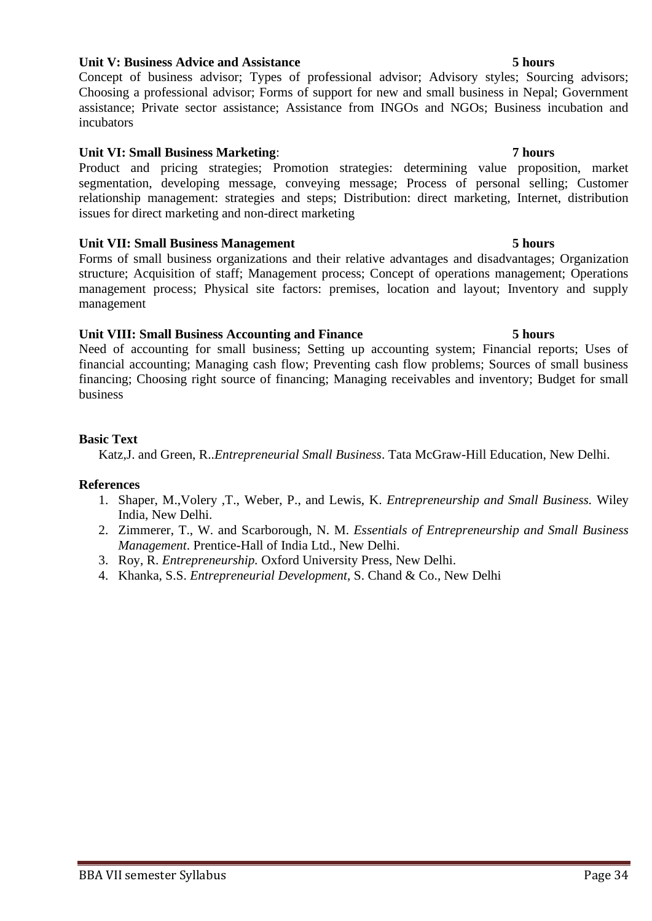## **Unit V: Business Advice and Assistance 5 hours**

Concept of business advisor; Types of professional advisor; Advisory styles; Sourcing advisors; Choosing a professional advisor; Forms of support for new and small business in Nepal; Government assistance; Private sector assistance; Assistance from INGOs and NGOs; Business incubation and incubators

## **Unit VI: Small Business Marketing**: **7 hours**

Product and pricing strategies; Promotion strategies: determining value proposition, market segmentation, developing message, conveying message; Process of personal selling; Customer relationship management: strategies and steps; Distribution: direct marketing, Internet, distribution issues for direct marketing and non-direct marketing

## **Unit VII: Small Business Management 5 hours**

Forms of small business organizations and their relative advantages and disadvantages; Organization structure; Acquisition of staff; Management process; Concept of operations management; Operations management process; Physical site factors: premises, location and layout; Inventory and supply management

## **Unit VIII: Small Business Accounting and Finance 5 hours**

Need of accounting for small business; Setting up accounting system; Financial reports; Uses of financial accounting; Managing cash flow; Preventing cash flow problems; Sources of small business financing; Choosing right source of financing; Managing receivables and inventory; Budget for small business

## **Basic Text**

Katz,J. and Green, R..*Entrepreneurial Small Business*. Tata McGraw-Hill Education, New Delhi.

- 1. Shaper, M.,Volery ,T., Weber, P., and Lewis, K. *Entrepreneurship and Small Business.* Wiley India, New Delhi.
- 2. Zimmerer, T., W. and Scarborough, N. M. *Essentials of Entrepreneurship and Small Business Management*. Prentice-Hall of India Ltd., New Delhi.
- 3. Roy, R. *Entrepreneurship.* Oxford University Press, New Delhi.
- 4. Khanka, S.S. *Entrepreneurial Development,* S. Chand & Co., New Delhi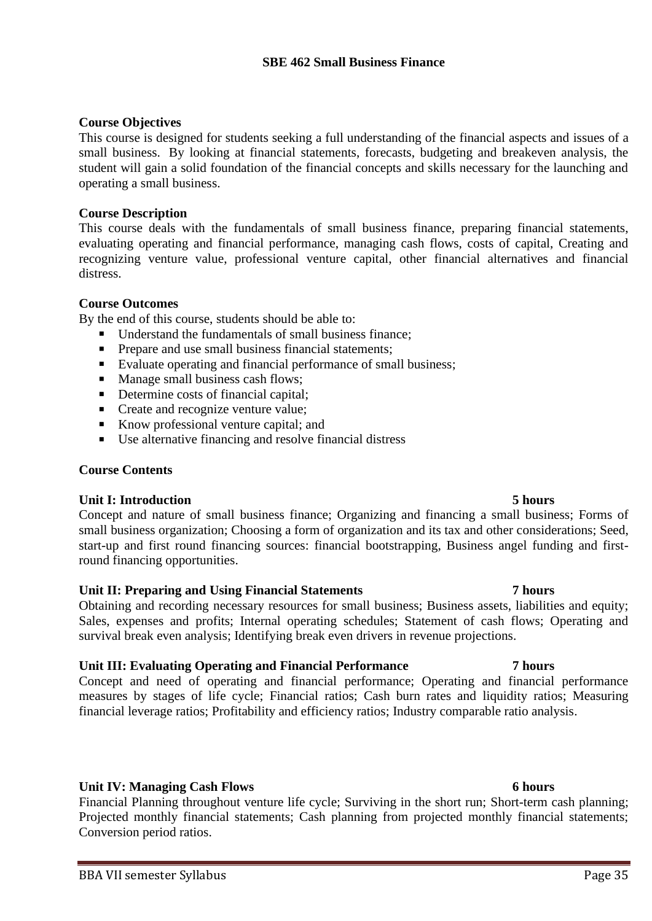## **Course Objectives**

This course is designed for students seeking a full understanding of the financial aspects and issues of a small business. By looking at financial statements, forecasts, budgeting and breakeven analysis, the student will gain a solid foundation of the financial concepts and skills necessary for the launching and operating a small business.

## **Course Description**

This course deals with the fundamentals of small business finance, preparing financial statements, evaluating operating and financial performance, managing cash flows, costs of capital, Creating and recognizing venture value, professional venture capital, other financial alternatives and financial distress.

## **Course Outcomes**

By the end of this course, students should be able to:

- Understand the fundamentals of small business finance;
- **•** Prepare and use small business financial statements;
- Evaluate operating and financial performance of small business;
- Manage small business cash flows;
- Determine costs of financial capital:
- Create and recognize venture value;
- Know professional venture capital; and
- Use alternative financing and resolve financial distress

## **Course Contents**

## **Unit I: Introduction 5 hours**

Concept and nature of small business finance; Organizing and financing a small business; Forms of small business organization; Choosing a form of organization and its tax and other considerations; Seed, start-up and first round financing sources: financial bootstrapping, Business angel funding and firstround financing opportunities.

## **Unit II: Preparing and Using Financial Statements 7 hours**

Obtaining and recording necessary resources for small business; Business assets, liabilities and equity; Sales, expenses and profits; Internal operating schedules; Statement of cash flows; Operating and survival break even analysis; Identifying break even drivers in revenue projections.

## **Unit III: Evaluating Operating and Financial Performance 7 hours**

Concept and need of operating and financial performance; Operating and financial performance measures by stages of life cycle; Financial ratios; Cash burn rates and liquidity ratios; Measuring financial leverage ratios; Profitability and efficiency ratios; Industry comparable ratio analysis.

## **Unit IV: Managing Cash Flows 6 hours**

Financial Planning throughout venture life cycle; Surviving in the short run; Short-term cash planning; Projected monthly financial statements; Cash planning from projected monthly financial statements; Conversion period ratios.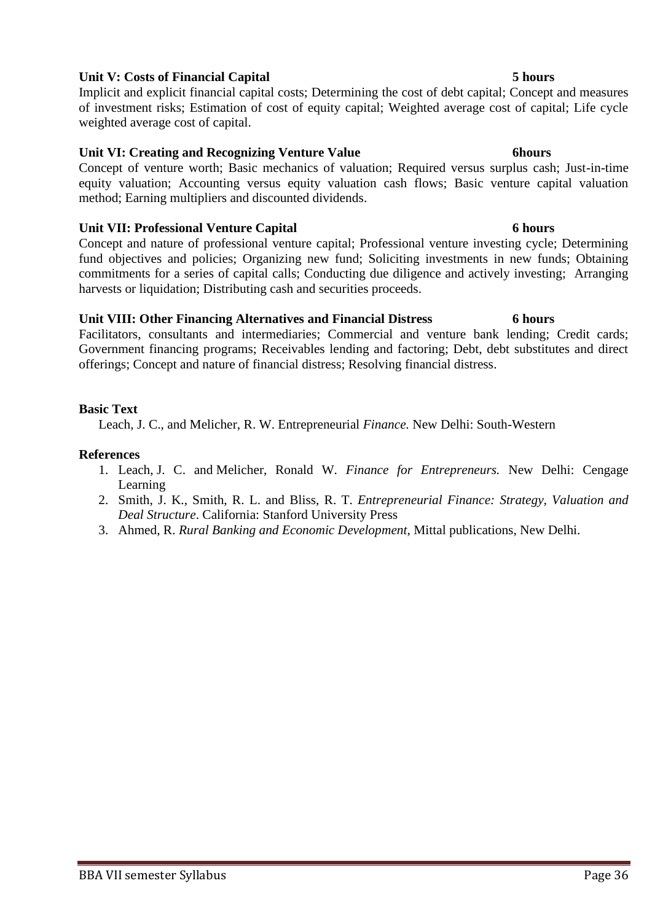## **Unit V: Costs of Financial Capital 5 hours**

Implicit and explicit financial capital costs; Determining the cost of debt capital; Concept and measures of investment risks; Estimation of cost of equity capital; Weighted average cost of capital; Life cycle weighted average cost of capital.

## **Unit VI: Creating and Recognizing Venture Value 6hours**

Concept of venture worth; Basic mechanics of valuation; Required versus surplus cash; Just-in-time equity valuation; Accounting versus equity valuation cash flows; Basic venture capital valuation method; Earning multipliers and discounted dividends.

## **Unit VII: Professional Venture Capital 6 hours**

Concept and nature of professional venture capital; Professional venture investing cycle; Determining fund objectives and policies; Organizing new fund; Soliciting investments in new funds; Obtaining commitments for a series of capital calls; Conducting due diligence and actively investing; Arranging harvests or liquidation; Distributing cash and securities proceeds.

## **Unit VIII: Other Financing Alternatives and Financial Distress 6 hours**

Facilitators, consultants and intermediaries; Commercial and venture bank lending; Credit cards; Government financing programs; Receivables lending and factoring; Debt, debt substitutes and direct offerings; Concept and nature of financial distress; Resolving financial distress.

## **Basic Text**

Leach, [J. C.,](http://www.amazon.com/s/ref=rdr_ext_aut?_encoding=UTF8&index=books&field-author=J.%20Chris%20Leach) and Melicher, R. W. Entrepreneurial *Finance.* New Delhi: South-Western

- 1. Leach, [J. C.](http://www.amazon.com/s/ref=rdr_ext_aut?_encoding=UTF8&index=books&field-author=J.%20Chris%20Leach) and Melicher, Ronald W. *Finance for Entrepreneurs.* New Delhi: Cengage Learning
- 2. Smith, J. K., Smith, R. L. and Bliss, R. T. *Entrepreneurial Finance: Strategy, Valuation and Deal Structure*. California: Stanford University Press
- 3. Ahmed, R. *Rural Banking and Economic Development*, Mittal publications, New Delhi.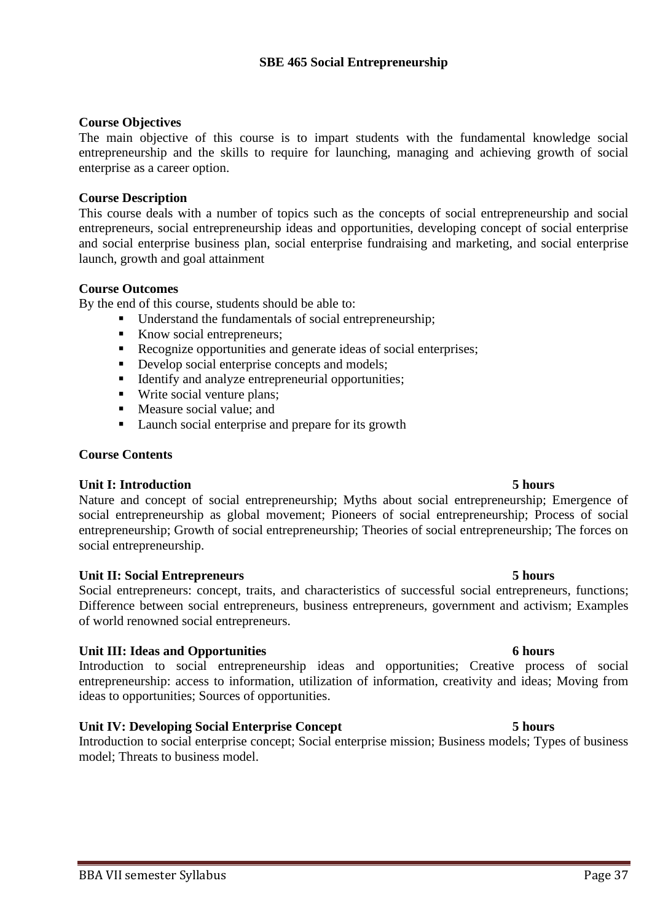## **Course Objectives**

The main objective of this course is to impart students with the fundamental knowledge social entrepreneurship and the skills to require for launching, managing and achieving growth of social enterprise as a career option.

## **Course Description**

This course deals with a number of topics such as the concepts of social entrepreneurship and social entrepreneurs, social entrepreneurship ideas and opportunities, developing concept of social enterprise and social enterprise business plan, social enterprise fundraising and marketing, and social enterprise launch, growth and goal attainment

## **Course Outcomes**

By the end of this course, students should be able to:

- Understand the fundamentals of social entrepreneurship;
- Know social entrepreneurs;
- Recognize opportunities and generate ideas of social enterprises;
- Develop social enterprise concepts and models;
- Identify and analyze entrepreneurial opportunities;
- Write social venture plans;
- Measure social value; and
- Launch social enterprise and prepare for its growth

## **Course Contents**

## **Unit I: Introduction 5 hours**

Nature and concept of social entrepreneurship; Myths about social entrepreneurship; Emergence of social entrepreneurship as global movement; Pioneers of social entrepreneurship; Process of social entrepreneurship; Growth of social entrepreneurship; Theories of social entrepreneurship; The forces on social entrepreneurship.

## **Unit II: Social Entrepreneurs 5 hours**

Social entrepreneurs: concept, traits, and characteristics of successful social entrepreneurs, functions; Difference between social entrepreneurs, business entrepreneurs, government and activism; Examples of world renowned social entrepreneurs.

## **Unit III: Ideas and Opportunities 6 hours**

Introduction to social entrepreneurship ideas and opportunities; Creative process of social entrepreneurship: access to information, utilization of information, creativity and ideas; Moving from ideas to opportunities; Sources of opportunities.

## **Unit IV: Developing Social Enterprise Concept 5 hours**

Introduction to social enterprise concept; Social enterprise mission; Business models; Types of business model; Threats to business model.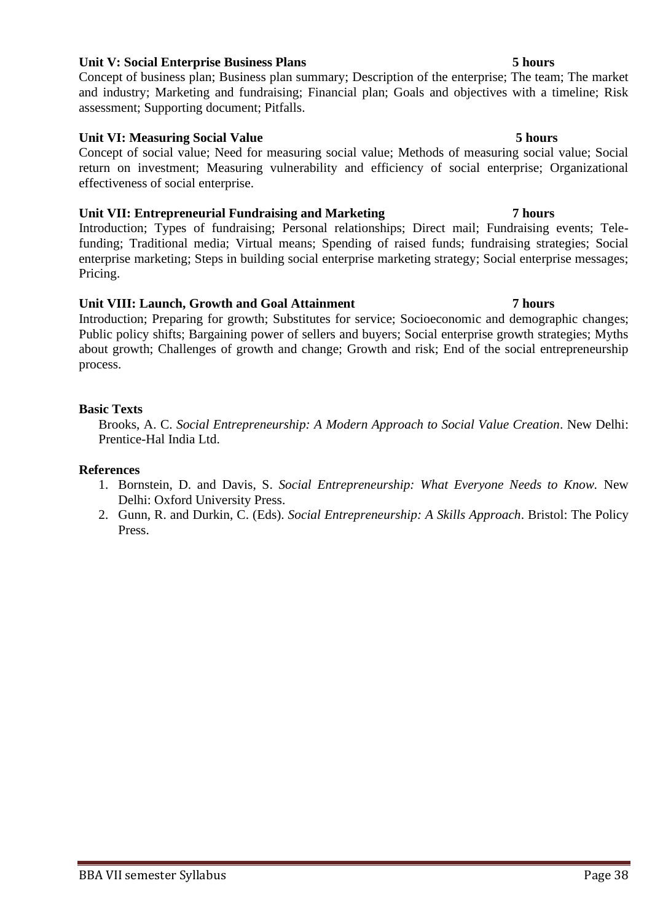## **Unit V: Social Enterprise Business Plans 5 hours**

Concept of business plan; Business plan summary; Description of the enterprise; The team; The market and industry; Marketing and fundraising; Financial plan; Goals and objectives with a timeline; Risk assessment; Supporting document; Pitfalls.

## **Unit VI: Measuring Social Value 5 hours**

Concept of social value; Need for measuring social value; Methods of measuring social value; Social return on investment; Measuring vulnerability and efficiency of social enterprise; Organizational effectiveness of social enterprise.

## **Unit VII: Entrepreneurial Fundraising and Marketing 7 hours**

Introduction; Types of fundraising; Personal relationships; Direct mail; Fundraising events; Telefunding; Traditional media; Virtual means; Spending of raised funds; fundraising strategies; Social enterprise marketing; Steps in building social enterprise marketing strategy; Social enterprise messages; Pricing.

## **Unit VIII: Launch, Growth and Goal Attainment 7 hours**

Introduction; Preparing for growth; Substitutes for service; Socioeconomic and demographic changes; Public policy shifts; Bargaining power of sellers and buyers; Social enterprise growth strategies; Myths about growth; Challenges of growth and change; Growth and risk; End of the social entrepreneurship process.

## **Basic Texts**

Brooks, A. C. *Social Entrepreneurship: A Modern Approach to Social Value Creation*. New Delhi: Prentice-Hal India Ltd.

- 1. Bornstein, D. and Davis, S. *Social Entrepreneurship: What Everyone Needs to Know.* New Delhi: Oxford University Press.
- 2. Gunn, R. and Durkin, C. (Eds). *Social Entrepreneurship: A Skills Approach*. Bristol: The Policy Press.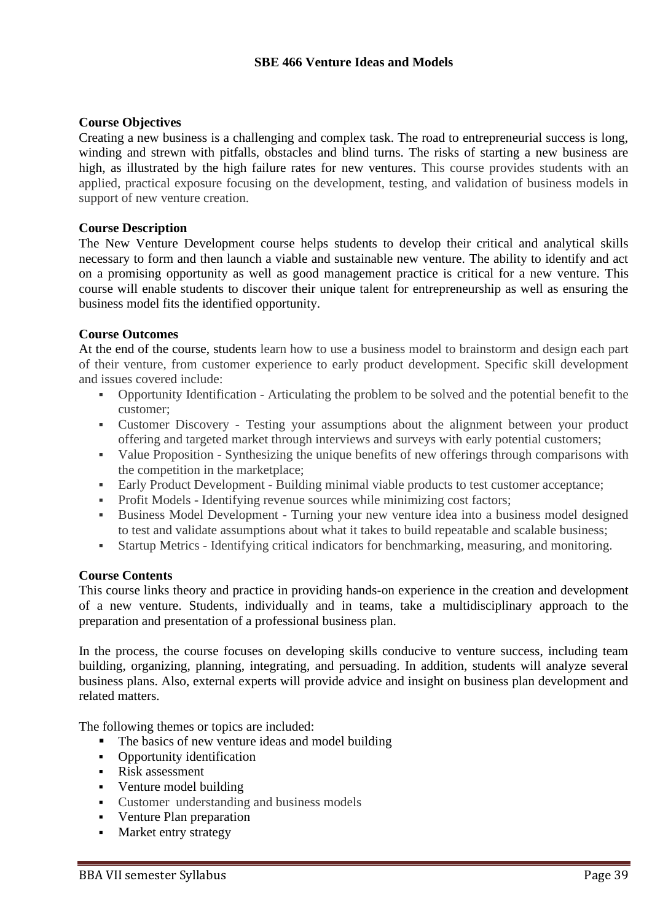## **Course Objectives**

Creating a new business is a challenging and complex task. The road to entrepreneurial success is long, winding and strewn with pitfalls, obstacles and blind turns. The risks of starting a new business are high, as illustrated by the high failure rates for new ventures. This course provides students with an applied, practical exposure focusing on the development, testing, and validation of business models in support of new venture creation.

## **Course Description**

The New Venture Development course helps students to develop their critical and analytical skills necessary to form and then launch a viable and sustainable new venture. The ability to identify and act on a promising opportunity as well as good management practice is critical for a new venture. This course will enable students to discover their unique talent for entrepreneurship as well as ensuring the business model fits the identified opportunity.

## **Course Outcomes**

At the end of the course, students learn how to use a business model to brainstorm and design each part of their venture, from customer experience to early product development. Specific skill development and issues covered include:

- Opportunity Identification Articulating the problem to be solved and the potential benefit to the customer;
- Customer Discovery Testing your assumptions about the alignment between your product offering and targeted market through interviews and surveys with early potential customers;
- Value Proposition Synthesizing the unique benefits of new offerings through comparisons with the competition in the marketplace;
- Early Product Development Building minimal viable products to test customer acceptance;
- Profit Models Identifying revenue sources while minimizing cost factors;
- Business Model Development Turning your new venture idea into a business model designed to test and validate assumptions about what it takes to build repeatable and scalable business;
- Startup Metrics Identifying critical indicators for benchmarking, measuring, and monitoring.

## **Course Contents**

This course links theory and practice in providing hands-on experience in the creation and development of a new venture. Students, individually and in teams, take a multidisciplinary approach to the preparation and presentation of a professional business plan.

In the process, the course focuses on developing skills conducive to venture success, including team building, organizing, planning, integrating, and persuading. In addition, students will analyze several business plans. Also, external experts will provide advice and insight on business plan development and related matters.

The following themes or topics are included:

- The basics of new venture ideas and model building
- Opportunity identification
- Risk assessment
- Venture model building
- Customer understanding and business models
- Venture Plan preparation
- Market entry strategy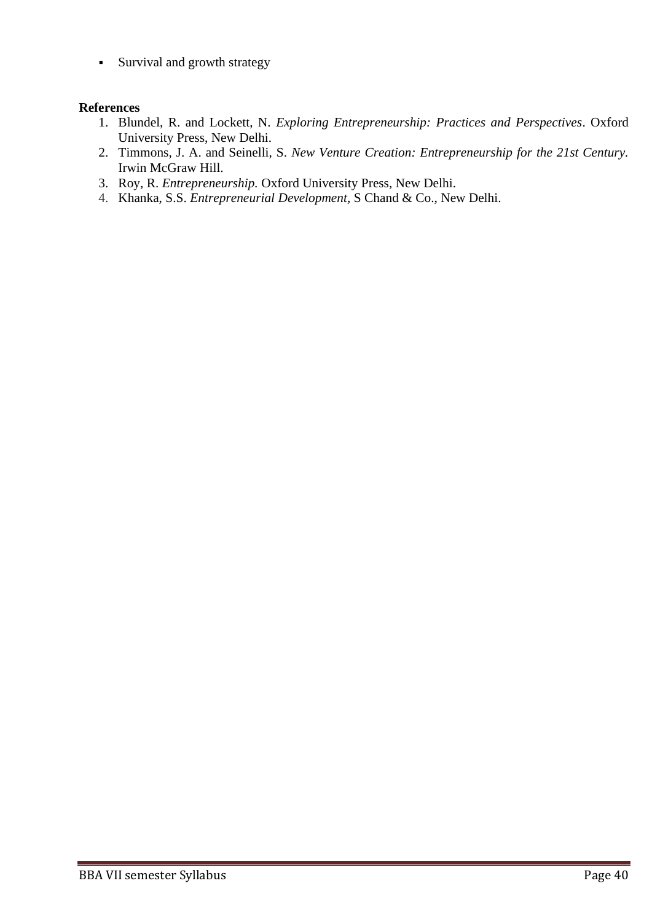**EXECUTE:** Survival and growth strategy

- 1. Blundel, R. and Lockett, N. *Exploring Entrepreneurship: Practices and Perspectives*. Oxford University Press, New Delhi.
- 2. Timmons, J. A. and Seinelli, S. *New Venture Creation: Entrepreneurship for the 21st Century.* Irwin McGraw Hill.
- 3. Roy, R. *Entrepreneurship.* Oxford University Press, New Delhi.
- 4. Khanka, S.S. *Entrepreneurial Development,* S Chand & Co., New Delhi.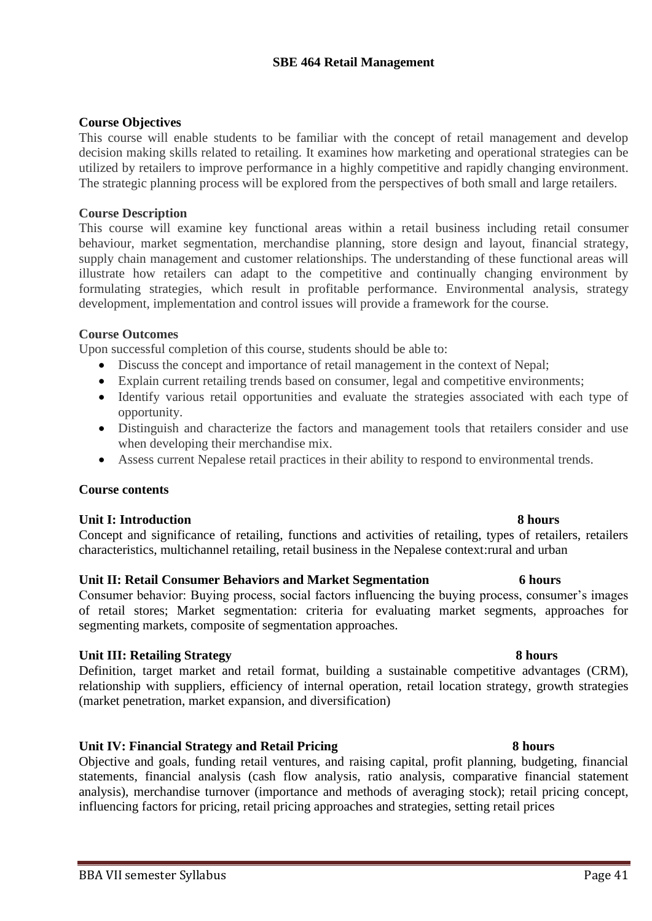## **SBE 464 Retail Management**

## **Course Objectives**

This course will enable students to be familiar with the concept of retail management and develop decision making skills related to retailing. It examines how marketing and operational strategies can be utilized by retailers to improve performance in a highly competitive and rapidly changing environment. The strategic planning process will be explored from the perspectives of both small and large retailers.

### **Course Description**

This course will examine key functional areas within a retail business including retail consumer behaviour, market segmentation, merchandise planning, store design and layout, financial strategy, supply chain management and customer relationships. The understanding of these functional areas will illustrate how retailers can adapt to the competitive and continually changing environment by formulating strategies, which result in profitable performance. Environmental analysis, strategy development, implementation and control issues will provide a framework for the course.

### **Course Outcomes**

Upon successful completion of this course, students should be able to:

- Discuss the concept and importance of retail management in the context of Nepal;
- Explain current retailing trends based on consumer, legal and competitive environments;
- Identify various retail opportunities and evaluate the strategies associated with each type of opportunity.
- Distinguish and characterize the factors and management tools that retailers consider and use when developing their merchandise mix.
- Assess current Nepalese retail practices in their ability to respond to environmental trends.

## **Course contents**

## **Unit I: Introduction 8 hours**

Concept and significance of retailing, functions and activities of retailing, types of retailers, retailers characteristics, multichannel retailing, retail business in the Nepalese context:rural and urban

## **Unit II: Retail Consumer Behaviors and Market Segmentation 6 hours**

Consumer behavior: Buying process, social factors influencing the buying process, consumer's images of retail stores; Market segmentation: criteria for evaluating market segments, approaches for segmenting markets, composite of segmentation approaches.

## **Unit III: Retailing Strategy 8 hours**

Definition, target market and retail format, building a sustainable competitive advantages (CRM), relationship with suppliers, efficiency of internal operation, retail location strategy, growth strategies (market penetration, market expansion, and diversification)

## **Unit IV: Financial Strategy and Retail Pricing 8 hours**

Objective and goals, funding retail ventures, and raising capital, profit planning, budgeting, financial statements, financial analysis (cash flow analysis, ratio analysis, comparative financial statement analysis), merchandise turnover (importance and methods of averaging stock); retail pricing concept, influencing factors for pricing, retail pricing approaches and strategies, setting retail prices

### BBA VII semester Syllabus Page 41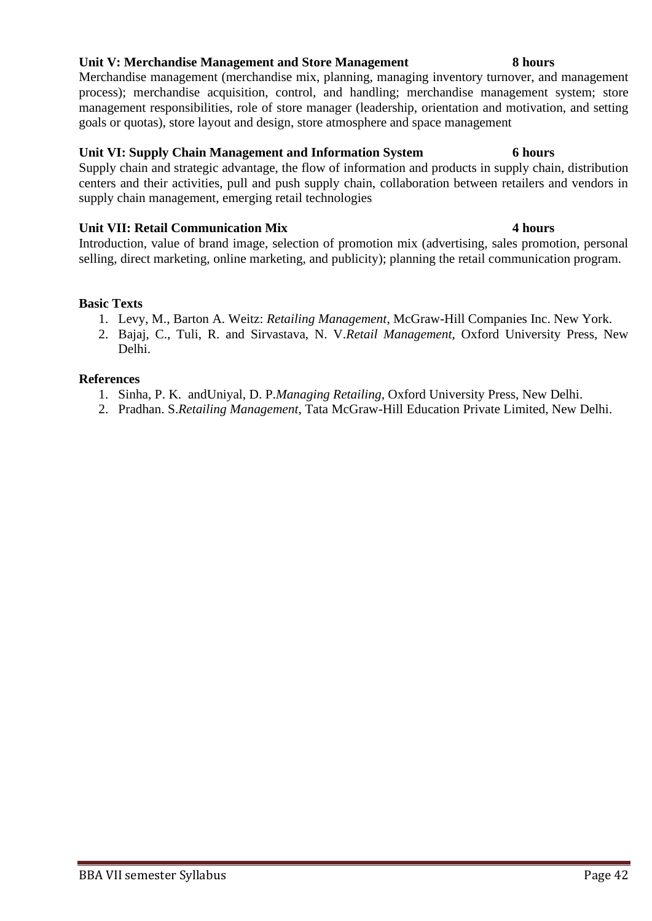## **Unit V: Merchandise Management and Store Management 8 hours**

Merchandise management (merchandise mix, planning, managing inventory turnover, and management process); merchandise acquisition, control, and handling; merchandise management system; store management responsibilities, role of store manager (leadership, orientation and motivation, and setting goals or quotas), store layout and design, store atmosphere and space management

## **Unit VI: Supply Chain Management and Information System 6 hours**

Supply chain and strategic advantage, the flow of information and products in supply chain, distribution centers and their activities, pull and push supply chain, collaboration between retailers and vendors in supply chain management, emerging retail technologies

## **Unit VII: Retail Communication Mix 4 hours**

Introduction, value of brand image, selection of promotion mix (advertising, sales promotion, personal selling, direct marketing, online marketing, and publicity); planning the retail communication program.

## **Basic Texts**

- 1. Levy, M., Barton A. Weitz: *Retailing Management*, McGraw-Hill Companies Inc. New York.
- 2. Bajaj, C., Tuli, R. and Sirvastava, N. V.*Retail Management*, Oxford University Press, New Delhi.

- 1. Sinha, P. K. andUniyal, D. P.*Managing Retailing*, Oxford University Press, New Delhi.
- 2. Pradhan. S.*Retailing Management*, Tata McGraw-Hill Education Private Limited, New Delhi.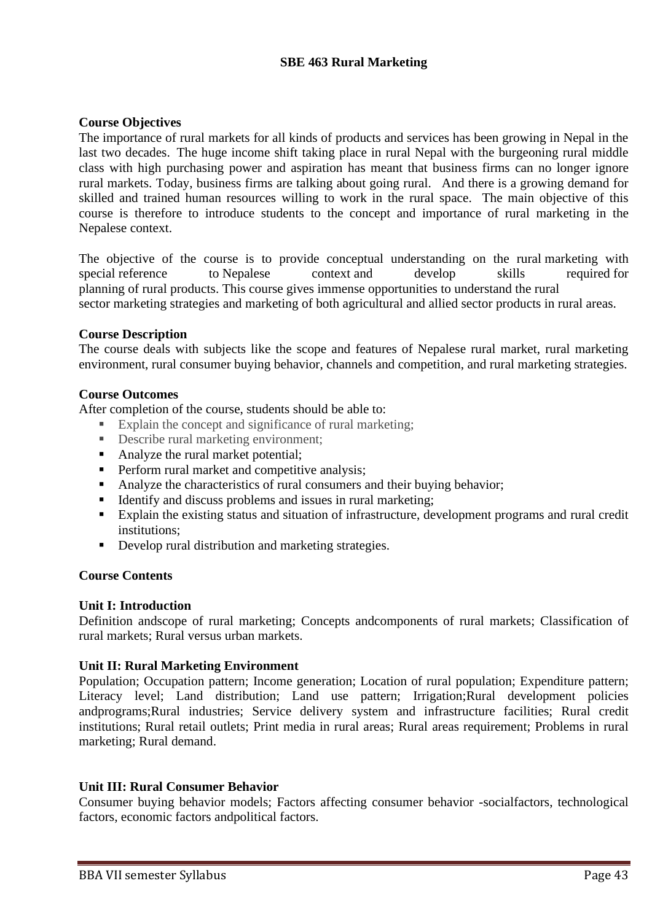## **SBE 463 Rural Marketing**

## **Course Objectives**

The importance of rural markets for all kinds of products and services has been growing in Nepal in the last two decades. The huge income shift taking place in rural Nepal with the burgeoning rural middle class with high purchasing power and aspiration has meant that business firms can no longer ignore rural markets. Today, business firms are talking about going rural. And there is a growing demand for skilled and trained human resources willing to work in the rural space. The main objective of this course is therefore to introduce students to the concept and importance of rural marketing in the Nepalese context.

The objective of the course is to provide conceptual understanding on the rural marketing with special reference to Nepalese context and develop skills required for planning of rural products. This course gives immense opportunities to understand the rural sector marketing strategies and marketing of both agricultural and allied sector products in rural areas.

## **Course Description**

The course deals with subjects like the scope and features of Nepalese rural market, rural marketing environment, rural consumer buying behavior, channels and competition, and rural marketing strategies.

## **Course Outcomes**

After completion of the course, students should be able to:

- Explain the concept and significance of rural marketing;
- Describe rural marketing environment;
- Analyze the rural market potential;
- **•** Perform rural market and competitive analysis;
- Analyze the characteristics of rural consumers and their buying behavior;
- Identify and discuss problems and issues in rural marketing;
- Explain the existing status and situation of infrastructure, development programs and rural credit institutions;
- Develop rural distribution and marketing strategies.

## **Course Contents**

## **Unit I: Introduction**

Definition andscope of rural marketing; Concepts andcomponents of rural markets; Classification of rural markets; Rural versus urban markets.

## **Unit II: Rural Marketing Environment**

Population; Occupation pattern; Income generation; Location of rural population; Expenditure pattern; Literacy level; Land distribution; Land use pattern; Irrigation;Rural development policies andprograms;Rural industries; Service delivery system and infrastructure facilities; Rural credit institutions; Rural retail outlets; Print media in rural areas; Rural areas requirement; Problems in rural marketing; Rural demand.

## **Unit III: Rural Consumer Behavior**

Consumer buying behavior models; Factors affecting consumer behavior -socialfactors, technological factors, economic factors andpolitical factors.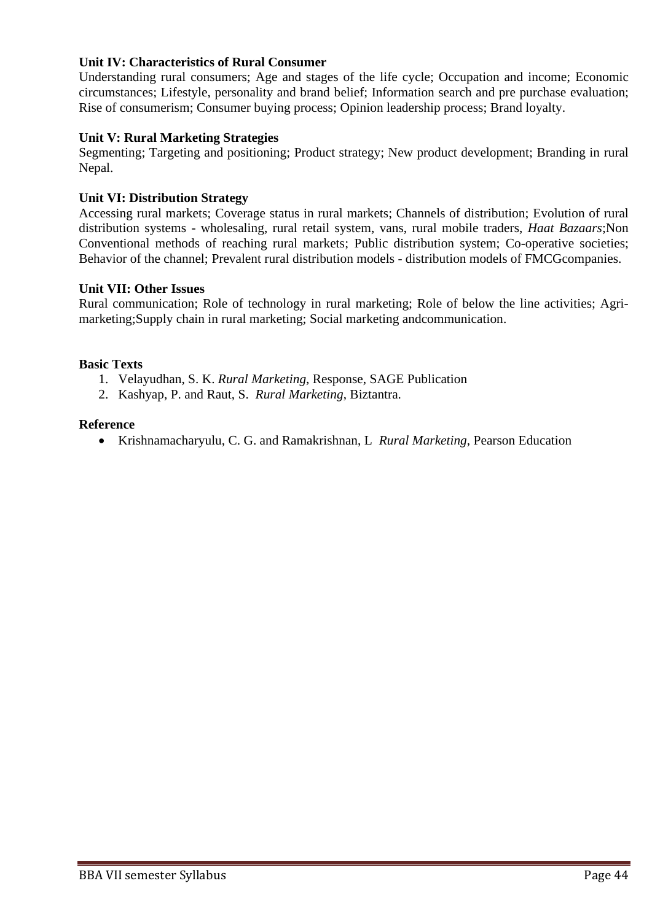## **Unit IV: Characteristics of Rural Consumer**

Understanding rural consumers; Age and stages of the life cycle; Occupation and income; Economic circumstances; Lifestyle, personality and brand belief; Information search and pre purchase evaluation; Rise of consumerism; Consumer buying process; Opinion leadership process; Brand loyalty.

## **Unit V: Rural Marketing Strategies**

Segmenting; Targeting and positioning; Product strategy; New product development; Branding in rural Nepal.

## **Unit VI: Distribution Strategy**

Accessing rural markets; Coverage status in rural markets; Channels of distribution; Evolution of rural distribution systems - wholesaling, rural retail system, vans, rural mobile traders, *Haat Bazaars*;Non Conventional methods of reaching rural markets; Public distribution system; Co-operative societies; Behavior of the channel: Prevalent rural distribution models - distribution models of FMCGcompanies.

## **Unit VII: Other Issues**

Rural communication; Role of technology in rural marketing; Role of below the line activities; Agrimarketing;Supply chain in rural marketing; Social marketing andcommunication.

## **Basic Texts**

- 1. Velayudhan, S. K. *Rural Marketing*, Response, SAGE Publication
- 2. Kashyap, P. and Raut, S. *Rural Marketing*, Biztantra.

### **Reference**

• Krishnamacharyulu, C. G. and Ramakrishnan, L *Rural Marketing*, Pearson Education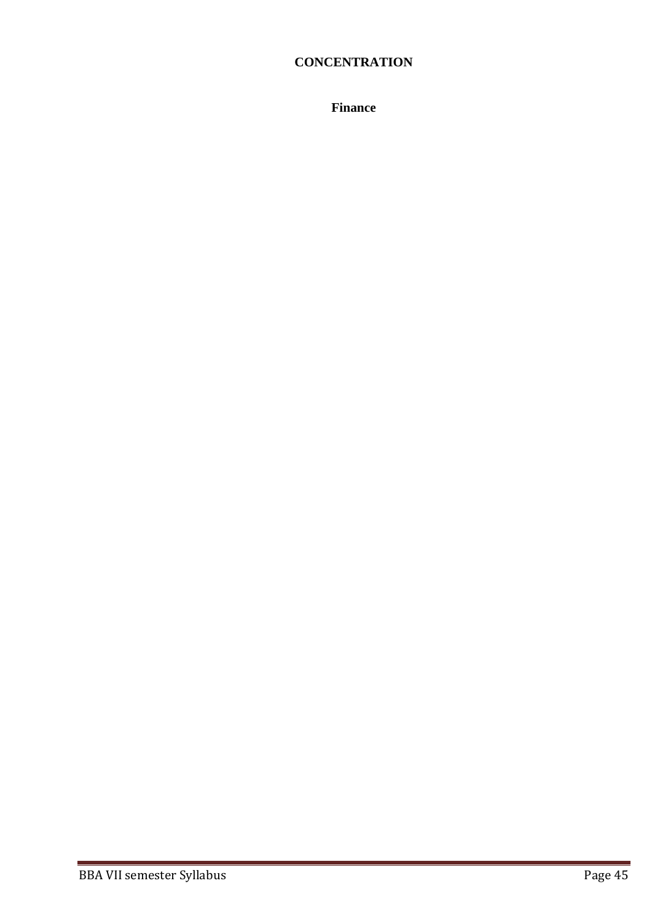# **CONCENTRATION**

**Finance**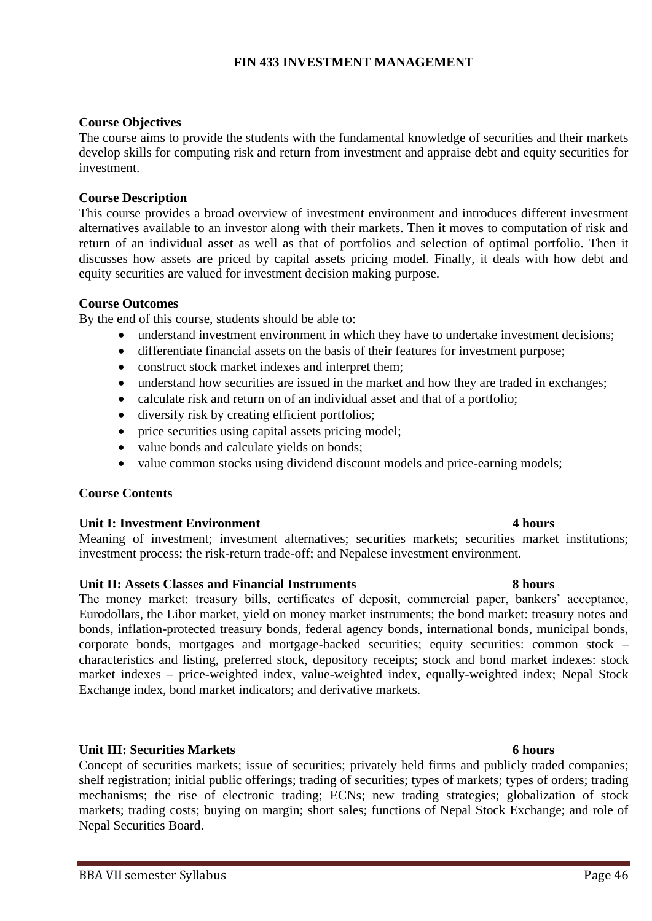## **FIN 433 INVESTMENT MANAGEMENT**

## **Course Objectives**

The course aims to provide the students with the fundamental knowledge of securities and their markets develop skills for computing risk and return from investment and appraise debt and equity securities for investment.

## **Course Description**

This course provides a broad overview of investment environment and introduces different investment alternatives available to an investor along with their markets. Then it moves to computation of risk and return of an individual asset as well as that of portfolios and selection of optimal portfolio. Then it discusses how assets are priced by capital assets pricing model. Finally, it deals with how debt and equity securities are valued for investment decision making purpose.

## **Course Outcomes**

By the end of this course, students should be able to:

- understand investment environment in which they have to undertake investment decisions;
- differentiate financial assets on the basis of their features for investment purpose;
- construct stock market indexes and interpret them;
- understand how securities are issued in the market and how they are traded in exchanges;
- calculate risk and return on of an individual asset and that of a portfolio;
- diversify risk by creating efficient portfolios;
- price securities using capital assets pricing model;
- value bonds and calculate yields on bonds;
- value common stocks using dividend discount models and price-earning models;

## **Course Contents**

## **Unit I: Investment Environment 4 hours**

Meaning of investment; investment alternatives; securities markets; securities market institutions; investment process; the risk-return trade-off; and Nepalese investment environment.

## **Unit II: Assets Classes and Financial Instruments 8 hours**

The money market: treasury bills, certificates of deposit, commercial paper, bankers' acceptance, Eurodollars, the Libor market, yield on money market instruments; the bond market: treasury notes and bonds, inflation-protected treasury bonds, federal agency bonds, international bonds, municipal bonds, corporate bonds, mortgages and mortgage-backed securities; equity securities: common stock – characteristics and listing, preferred stock, depository receipts; stock and bond market indexes: stock market indexes – price-weighted index, value-weighted index, equally-weighted index; Nepal Stock Exchange index, bond market indicators; and derivative markets.

## **Unit III: Securities Markets 6 hours**

Concept of securities markets; issue of securities; privately held firms and publicly traded companies; shelf registration; initial public offerings; trading of securities; types of markets; types of orders; trading mechanisms; the rise of electronic trading; ECNs; new trading strategies; globalization of stock markets; trading costs; buying on margin; short sales; functions of Nepal Stock Exchange; and role of Nepal Securities Board.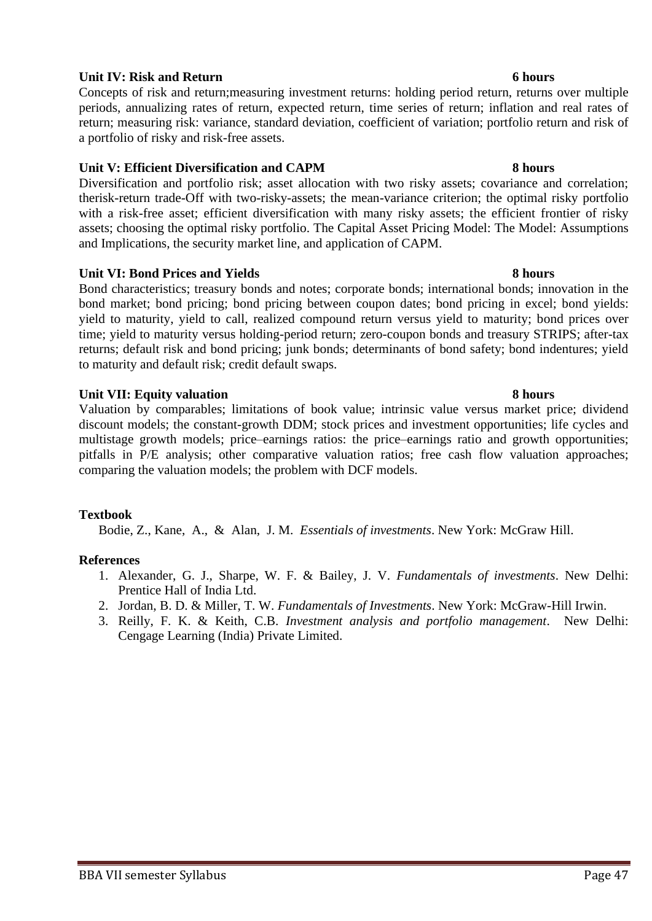BBA VII semester Syllabus Page 47

## **Unit IV: Risk and Return 6 hours** 6 **hours**

Concepts of risk and return;measuring investment returns: holding period return, returns over multiple periods, annualizing rates of return, expected return, time series of return; inflation and real rates of return; measuring risk: variance, standard deviation, coefficient of variation; portfolio return and risk of a portfolio of risky and risk-free assets.

## **Unit V: Efficient Diversification and CAPM 8 hours**

Diversification and portfolio risk; asset allocation with two risky assets; covariance and correlation; therisk-return trade-Off with two-risky-assets; the mean-variance criterion; the optimal risky portfolio with a risk-free asset; efficient diversification with many risky assets; the efficient frontier of risky assets; choosing the optimal risky portfolio. The Capital Asset Pricing Model: The Model: Assumptions and Implications, the security market line, and application of CAPM.

## **Unit VI: Bond Prices and Yields 8 hours**

Bond characteristics; treasury bonds and notes; corporate bonds; international bonds; innovation in the bond market; bond pricing; bond pricing between coupon dates; bond pricing in excel; bond yields: yield to maturity, yield to call, realized compound return versus yield to maturity; bond prices over time; yield to maturity versus holding-period return; zero-coupon bonds and treasury STRIPS; after-tax returns; default risk and bond pricing; junk bonds; determinants of bond safety; bond indentures; yield to maturity and default risk; credit default swaps.

## **Unit VII: Equity valuation 8 hours**

Valuation by comparables; limitations of book value; intrinsic value versus market price; dividend discount models; the constant-growth DDM; stock prices and investment opportunities; life cycles and multistage growth models; price–earnings ratios: the price–earnings ratio and growth opportunities; pitfalls in P/E analysis; other comparative valuation ratios; free cash flow valuation approaches; comparing the valuation models; the problem with DCF models.

## **Textbook**

Bodie, Z., Kane, A., & Alan, J. M. *Essentials of investments*. New York: McGraw Hill.

- 1. Alexander, G. J., Sharpe, W. F. & Bailey, J. V. *Fundamentals of investments*. New Delhi: Prentice Hall of India Ltd.
- 2. Jordan, B. D. & Miller, T. W. *Fundamentals of Investments*. New York: McGraw-Hill Irwin.
- 3. Reilly, F. K. & Keith, C.B. *Investment analysis and portfolio management*. New Delhi: Cengage Learning (India) Private Limited.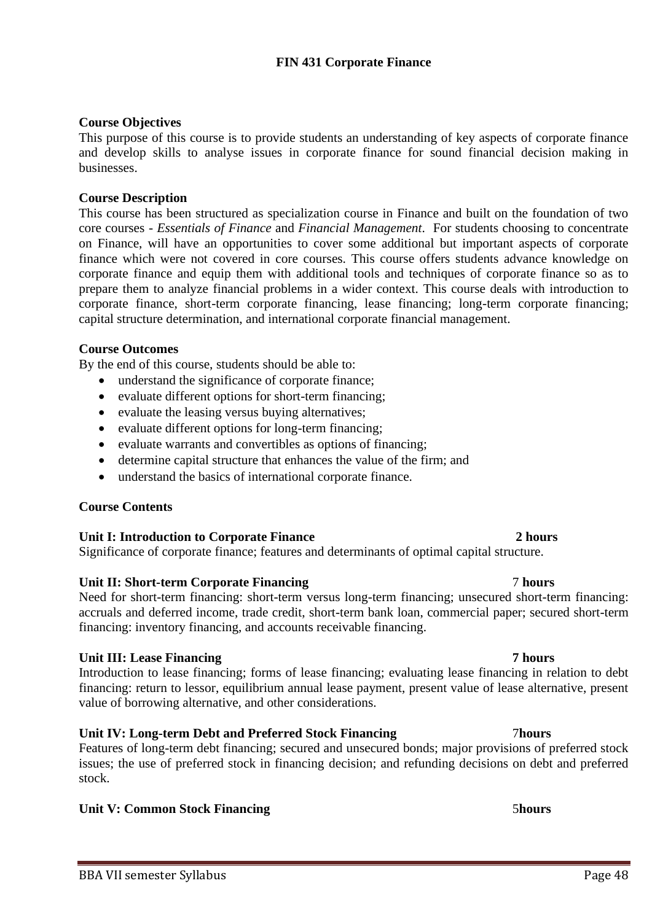# **FIN 431 Corporate Finance**

# **Course Objectives**

This purpose of this course is to provide students an understanding of key aspects of corporate finance and develop skills to analyse issues in corporate finance for sound financial decision making in businesses.

# **Course Description**

This course has been structured as specialization course in Finance and built on the foundation of two core courses - *Essentials of Finance* and *Financial Management*. For students choosing to concentrate on Finance, will have an opportunities to cover some additional but important aspects of corporate finance which were not covered in core courses. This course offers students advance knowledge on corporate finance and equip them with additional tools and techniques of corporate finance so as to prepare them to analyze financial problems in a wider context. This course deals with introduction to corporate finance, short-term corporate financing, lease financing; long-term corporate financing; capital structure determination, and international corporate financial management.

# **Course Outcomes**

By the end of this course, students should be able to:

- understand the significance of corporate finance;
- evaluate different options for short-term financing;
- evaluate the leasing versus buying alternatives;
- evaluate different options for long-term financing;
- evaluate warrants and convertibles as options of financing;
- determine capital structure that enhances the value of the firm; and
- understand the basics of international corporate finance.

# **Course Contents**

# **Unit I: Introduction to Corporate Finance 2 hours**

Significance of corporate finance; features and determinants of optimal capital structure.

# **Unit II: Short-term Corporate Financing** 7 **hours**

Need for short-term financing: short-term versus long-term financing; unsecured short-term financing: accruals and deferred income, trade credit, short-term bank loan, commercial paper; secured short-term financing: inventory financing, and accounts receivable financing.

# **Unit III: Lease Financing 7 hours**

Introduction to lease financing; forms of lease financing; evaluating lease financing in relation to debt financing: return to lessor, equilibrium annual lease payment, present value of lease alternative, present value of borrowing alternative, and other considerations.

# **Unit IV: Long-term Debt and Preferred Stock Financing** 7**hours**

Features of long-term debt financing; secured and unsecured bonds; major provisions of preferred stock issues; the use of preferred stock in financing decision; and refunding decisions on debt and preferred stock.

# **Unit V: Common Stock Financing 5***hours* 5*hours*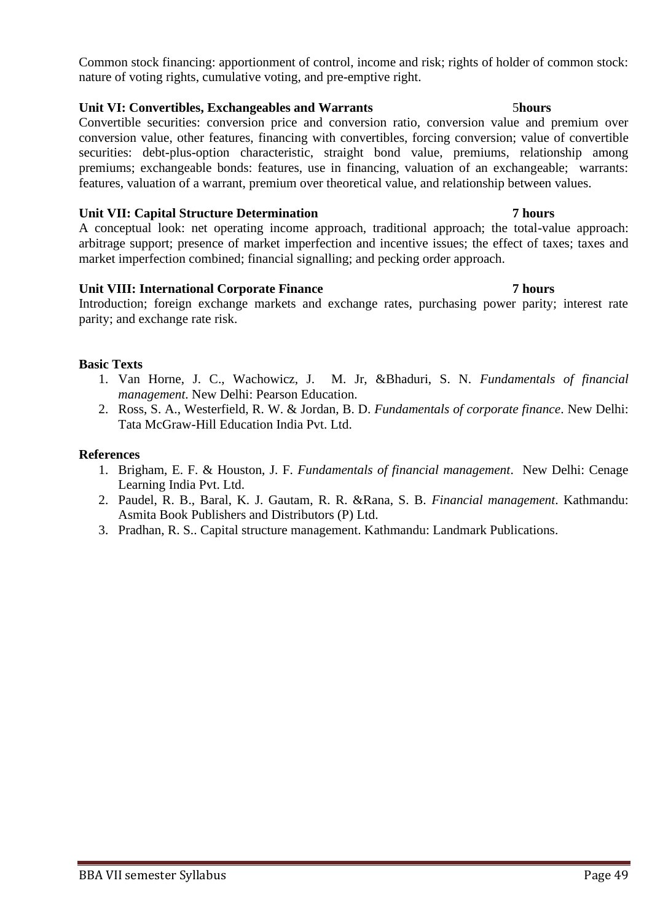Common stock financing: apportionment of control, income and risk; rights of holder of common stock: nature of voting rights, cumulative voting, and pre-emptive right.

## **Unit VI: Convertibles, Exchangeables and Warrants** 5**hours**

Convertible securities: conversion price and conversion ratio, conversion value and premium over conversion value, other features, financing with convertibles, forcing conversion; value of convertible securities: debt-plus-option characteristic, straight bond value, premiums, relationship among premiums; exchangeable bonds: features, use in financing, valuation of an exchangeable; warrants: features, valuation of a warrant, premium over theoretical value, and relationship between values.

## **Unit VII: Capital Structure Determination 7 hours**

A conceptual look: net operating income approach, traditional approach; the total-value approach: arbitrage support; presence of market imperfection and incentive issues; the effect of taxes; taxes and market imperfection combined; financial signalling; and pecking order approach.

## **Unit VIII: International Corporate Finance 7 hours**

## Introduction; foreign exchange markets and exchange rates, purchasing power parity; interest rate parity; and exchange rate risk.

## **Basic Texts**

- 1. Van Horne, J. C., Wachowicz, J. M. Jr, &Bhaduri, S. N. *Fundamentals of financial management*. New Delhi: Pearson Education.
- 2. Ross, S. A., Westerfield, R. W. & Jordan, B. D. *Fundamentals of corporate finance*. New Delhi: Tata McGraw-Hill Education India Pvt. Ltd.

- 1. Brigham, E. F. & Houston, J. F. *Fundamentals of financial management*. New Delhi: Cenage Learning India Pvt. Ltd.
- 2. Paudel, R. B., Baral, K. J. Gautam, R. R. &Rana, S. B. *Financial management*. Kathmandu: Asmita Book Publishers and Distributors (P) Ltd.
- 3. Pradhan, R. S.. Capital structure management. Kathmandu: Landmark Publications.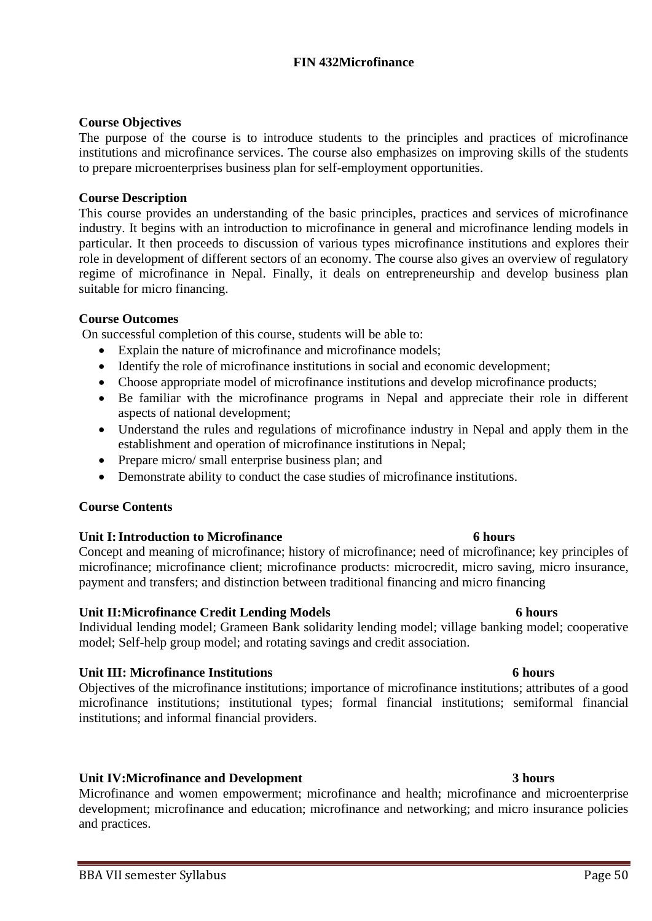## **FIN 432Microfinance**

## **Course Objectives**

The purpose of the course is to introduce students to the principles and practices of microfinance institutions and microfinance services. The course also emphasizes on improving skills of the students to prepare microenterprises business plan for self-employment opportunities.

## **Course Description**

This course provides an understanding of the basic principles, practices and services of microfinance industry. It begins with an introduction to microfinance in general and microfinance lending models in particular. It then proceeds to discussion of various types microfinance institutions and explores their role in development of different sectors of an economy. The course also gives an overview of regulatory regime of microfinance in Nepal. Finally, it deals on entrepreneurship and develop business plan suitable for micro financing.

## **Course Outcomes**

On successful completion of this course, students will be able to:

- Explain the nature of microfinance and microfinance models;
- Identify the role of microfinance institutions in social and economic development;
- Choose appropriate model of microfinance institutions and develop microfinance products;
- Be familiar with the microfinance programs in Nepal and appreciate their role in different aspects of national development;
- Understand the rules and regulations of microfinance industry in Nepal and apply them in the establishment and operation of microfinance institutions in Nepal;
- Prepare micro/ small enterprise business plan; and
- Demonstrate ability to conduct the case studies of microfinance institutions.

## **Course Contents**

## **Unit I:Introduction to Microfinance 6 hours**

Concept and meaning of microfinance; history of microfinance; need of microfinance; key principles of microfinance; microfinance client; microfinance products: microcredit, micro saving, micro insurance, payment and transfers; and distinction between traditional financing and micro financing

## **Unit II:Microfinance Credit Lending Models 6 hours**

Individual lending model; Grameen Bank solidarity lending model; village banking model; cooperative model; Self-help group model; and rotating savings and credit association.

## **Unit III: Microfinance Institutions 6 hours**

Objectives of the microfinance institutions; importance of microfinance institutions; attributes of a good microfinance institutions; institutional types; formal financial institutions; semiformal financial institutions; and informal financial providers.

## **Unit IV:Microfinance and Development 3 hours**

Microfinance and women empowerment; microfinance and health; microfinance and microenterprise development; microfinance and education; microfinance and networking; and micro insurance policies and practices.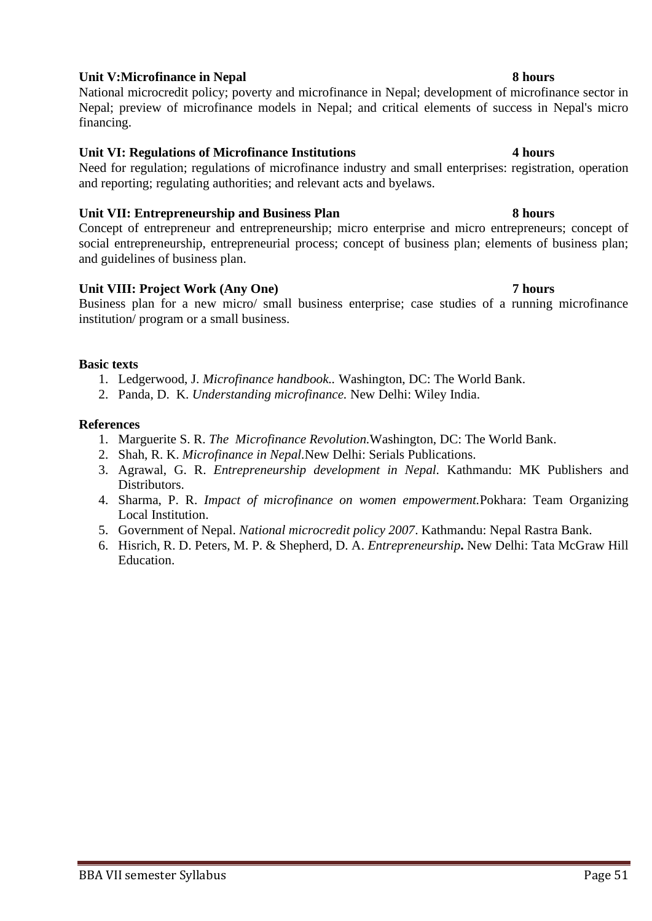## **Unit V:Microfinance in Nepal 8 hours**

National microcredit policy; poverty and microfinance in Nepal; development of microfinance sector in Nepal; preview of microfinance models in Nepal; and critical elements of success in Nepal's micro financing.

## **Unit VI: Regulations of Microfinance Institutions 4 hours**

Need for regulation; regulations of microfinance industry and small enterprises: registration, operation and reporting; regulating authorities; and relevant acts and byelaws.

## **Unit VII: Entrepreneurship and Business Plan 8 hours**

Concept of entrepreneur and entrepreneurship; micro enterprise and micro entrepreneurs; concept of social entrepreneurship, entrepreneurial process; concept of business plan; elements of business plan; and guidelines of business plan.

## Unit VIII: Project Work (Any One) 7 hours

Business plan for a new micro/ small business enterprise; case studies of a running microfinance institution/ program or a small business.

## **Basic texts**

- 1. Ledgerwood, J. *Microfinance handbook..* Washington, DC: The World Bank.
- 2. Panda, D. K. *Understanding microfinance.* New Delhi: Wiley India.

- 1. Marguerite S. R. *The Microfinance Revolution.*Washington, DC: The World Bank.
- 2. Shah, R. K. *Microfinance in Nepal.*New Delhi: Serials Publications.
- 3. Agrawal, G. R. *Entrepreneurship development in Nepal.* Kathmandu: MK Publishers and Distributors.
- 4. Sharma, P. R. *Impact of microfinance on women empowerment.*Pokhara: Team Organizing Local Institution.
- 5. Government of Nepal. *National microcredit policy 2007*. Kathmandu: Nepal Rastra Bank.
- 6. Hisrich, R. D. Peters, M. P. & Shepherd, D. A. *Entrepreneurship***.** New Delhi: Tata McGraw Hill Education.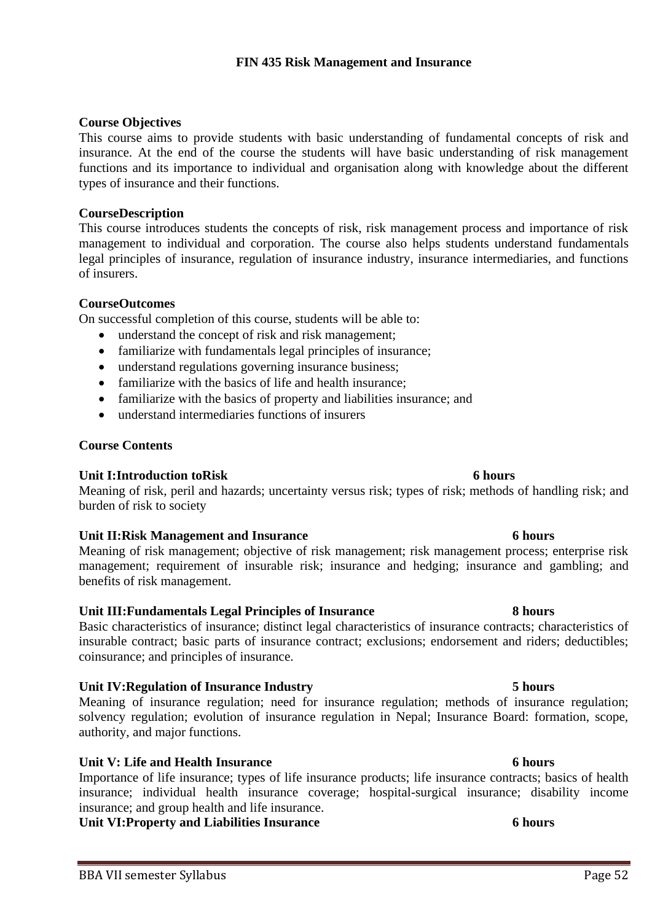## **Course Objectives**

This course aims to provide students with basic understanding of fundamental concepts of risk and insurance. At the end of the course the students will have basic understanding of risk management functions and its importance to individual and organisation along with knowledge about the different types of insurance and their functions.

## **CourseDescription**

This course introduces students the concepts of risk, risk management process and importance of risk management to individual and corporation. The course also helps students understand fundamentals legal principles of insurance, regulation of insurance industry, insurance intermediaries, and functions of insurers.

## **CourseOutcomes**

On successful completion of this course, students will be able to:

- understand the concept of risk and risk management;
- familiarize with fundamentals legal principles of insurance;
- understand regulations governing insurance business;
- familiarize with the basics of life and health insurance:
- familiarize with the basics of property and liabilities insurance; and
- understand intermediaries functions of insurers

## **Course Contents**

## **Unit I:Introduction toRisk 6 hours**

Meaning of risk, peril and hazards; uncertainty versus risk; types of risk; methods of handling risk; and burden of risk to society

## **Unit II:Risk Management and Insurance 6 hours**

Meaning of risk management; objective of risk management; risk management process; enterprise risk management; requirement of insurable risk; insurance and hedging; insurance and gambling; and benefits of risk management.

## **Unit III:Fundamentals Legal Principles of Insurance 8 hours**

Basic characteristics of insurance; distinct legal characteristics of insurance contracts; characteristics of insurable contract; basic parts of insurance contract; exclusions; endorsement and riders; deductibles; coinsurance; and principles of insurance.

## **Unit IV:Regulation of Insurance Industry 5 hours**

Meaning of insurance regulation; need for insurance regulation; methods of insurance regulation; solvency regulation; evolution of insurance regulation in Nepal; Insurance Board: formation, scope, authority, and major functions.

## **Unit V: Life and Health Insurance 6 hours**

Importance of life insurance; types of life insurance products; life insurance contracts; basics of health insurance; individual health insurance coverage; hospital-surgical insurance; disability income insurance; and group health and life insurance.

**Unit VI:Property and Liabilities Insurance 6 hours**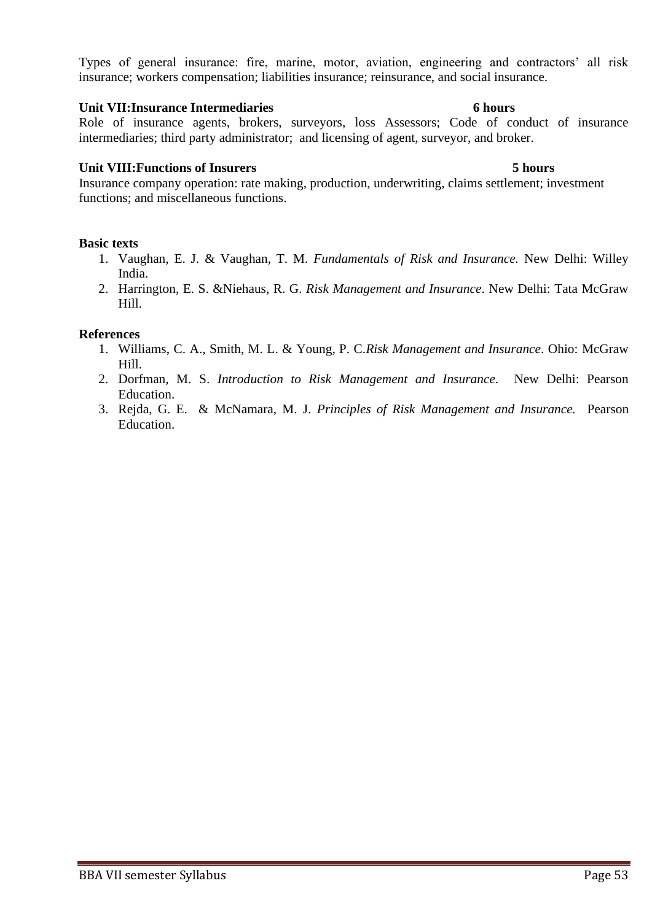Types of general insurance: fire, marine, motor, aviation, engineering and contractors' all risk insurance; workers compensation; liabilities insurance; reinsurance, and social insurance.

## **Unit VII:Insurance Intermediaries 6 hours**

Role of insurance agents, brokers, surveyors, loss Assessors; Code of conduct of insurance intermediaries; third party administrator; and licensing of agent, surveyor, and broker.

## **Unit VIII:Functions of Insurers 5 hours**

Insurance company operation: rate making, production, underwriting, claims settlement; investment functions; and miscellaneous functions.

## **Basic texts**

- 1. Vaughan, E. J. & Vaughan, T. M. *Fundamentals of Risk and Insurance.* New Delhi: Willey India.
- 2. Harrington, E. S. &Niehaus, R. G. *Risk Management and Insurance*. New Delhi: Tata McGraw Hill.

- 1. Williams, C. A., Smith, M. L. & Young, P. C.*Risk Management and Insurance*. Ohio: McGraw Hill.
- 2. Dorfman, M. S. *Introduction to Risk Management and Insurance*. New Delhi: Pearson Education.
- 3. Rejda, G. E. & McNamara, M. J. *Principles of Risk Management and Insurance.* Pearson Education.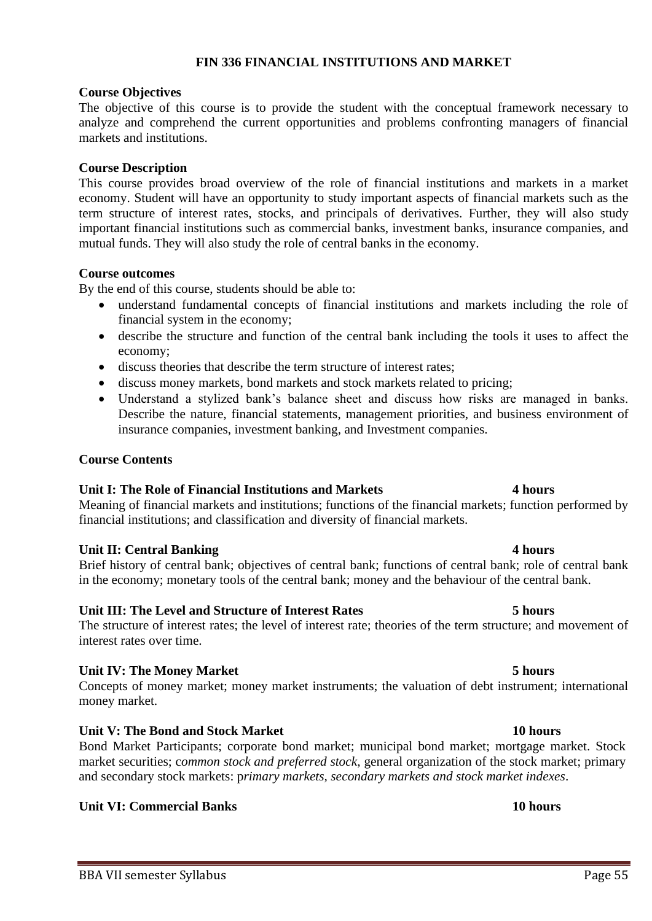# **FIN 336 FINANCIAL INSTITUTIONS AND MARKET**

## **Course Objectives**

The objective of this course is to provide the student with the conceptual framework necessary to analyze and comprehend the current opportunities and problems confronting managers of financial markets and institutions.

## **Course Description**

This course provides broad overview of the role of financial institutions and markets in a market economy. Student will have an opportunity to study important aspects of financial markets such as the term structure of interest rates, stocks, and principals of derivatives. Further, they will also study important financial institutions such as commercial banks, investment banks, insurance companies, and mutual funds. They will also study the role of central banks in the economy.

## **Course outcomes**

By the end of this course, students should be able to:

- understand fundamental concepts of financial institutions and markets including the role of financial system in the economy;
- describe the structure and function of the central bank including the tools it uses to affect the economy;
- discuss theories that describe the term structure of interest rates;
- discuss money markets, bond markets and stock markets related to pricing;
- Understand a stylized bank's balance sheet and discuss how risks are managed in banks. Describe the nature, financial statements, management priorities, and business environment of insurance companies, investment banking, and Investment companies.

## **Course Contents**

## **Unit I: The Role of Financial Institutions and Markets 4 hours**

Meaning of financial markets and institutions; functions of the financial markets; function performed by financial institutions; and classification and diversity of financial markets.

## **Unit II: Central Banking 4 hours**

Brief history of central bank; objectives of central bank; functions of central bank; role of central bank in the economy; monetary tools of the central bank; money and the behaviour of the central bank.

## **Unit III: The Level and Structure of Interest Rates 5 hours**

The structure of interest rates; the level of interest rate; theories of the term structure; and movement of interest rates over time.

## **Unit IV: The Money Market 5 hours**

Concepts of money market; money market instruments; the valuation of debt instrument; international money market.

## **Unit V: The Bond and Stock Market 10 hours**

Bond Market Participants; corporate bond market; municipal bond market; mortgage market. Stock market securities; c*ommon stock and preferred stock*, general organization of the stock market; primary and secondary stock markets: p*rimary markets, secondary markets and stock market indexes*.

## **Unit VI: Commercial Banks** 10 **hours**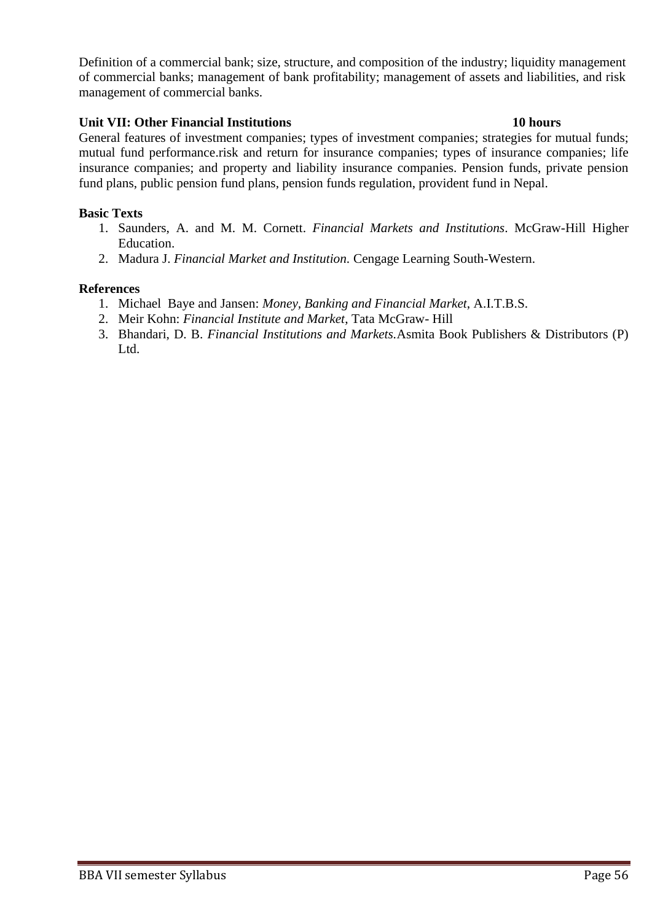Definition of a commercial bank; size, structure, and composition of the industry; liquidity management of commercial banks; management of bank profitability; management of assets and liabilities, and risk management of commercial banks.

## **Unit VII: Other Financial Institutions 10 hours**

General features of investment companies; types of investment companies; strategies for mutual funds; mutual fund performance.risk and return for insurance companies; types of insurance companies; life insurance companies; and property and liability insurance companies. Pension funds, private pension fund plans, public pension fund plans, pension funds regulation, provident fund in Nepal.

## **Basic Texts**

- 1. Saunders, A. and M. M. Cornett. *Financial Markets and Institutions*. McGraw-Hill Higher Education.
- 2. Madura J. *Financial Market and Institution.* Cengage Learning South-Western.

- 1. Michael Baye and Jansen: *Money, Banking and Financial Market*, A.I.T.B.S.
- 2. Meir Kohn: *Financial Institute and Market*, Tata McGraw- Hill
- 3. Bhandari, D. B. *Financial Institutions and Markets.*Asmita Book Publishers & Distributors (P) Ltd.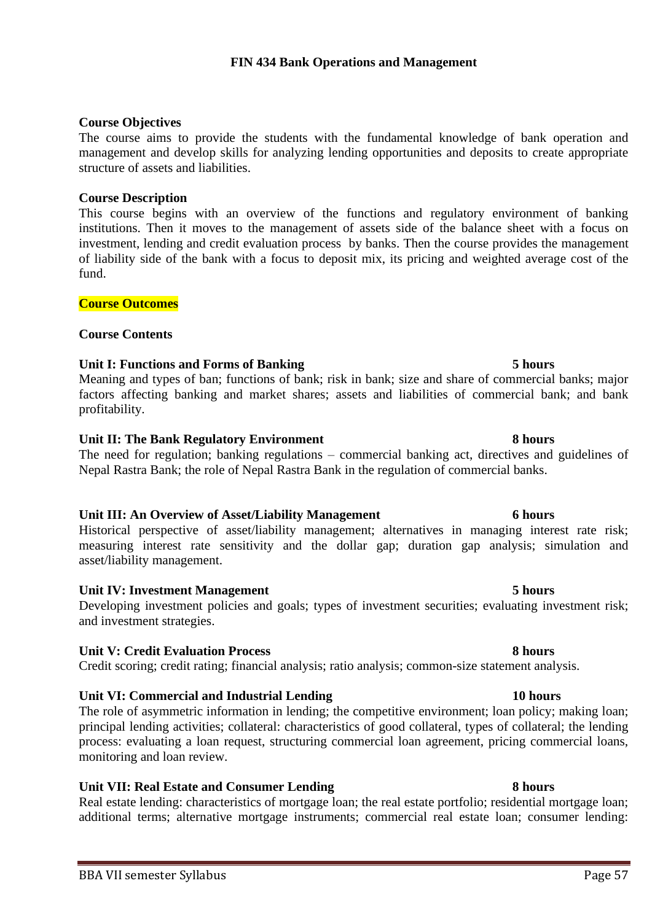## **Course Objectives**

The course aims to provide the students with the fundamental knowledge of bank operation and management and develop skills for analyzing lending opportunities and deposits to create appropriate structure of assets and liabilities.

## **Course Description**

This course begins with an overview of the functions and regulatory environment of banking institutions. Then it moves to the management of assets side of the balance sheet with a focus on investment, lending and credit evaluation process by banks. Then the course provides the management of liability side of the bank with a focus to deposit mix, its pricing and weighted average cost of the fund.

## **Course Outcomes**

## **Course Contents**

## **Unit I: Functions and Forms of Banking 5 hours**

Meaning and types of ban; functions of bank; risk in bank; size and share of commercial banks; major factors affecting banking and market shares; assets and liabilities of commercial bank; and bank profitability.

## Unit II: The Bank Regulatory Environment 8 hours

The need for regulation; banking regulations – commercial banking act, directives and guidelines of Nepal Rastra Bank; the role of Nepal Rastra Bank in the regulation of commercial banks.

## **Unit III: An Overview of Asset/Liability Management 6 hours**

Historical perspective of asset/liability management; alternatives in managing interest rate risk; measuring interest rate sensitivity and the dollar gap; duration gap analysis; simulation and asset/liability management.

## **Unit IV: Investment Management 5 hours**

Developing investment policies and goals; types of investment securities; evaluating investment risk; and investment strategies.

## **Unit V: Credit Evaluation Process 8 hours**

Credit scoring; credit rating; financial analysis; ratio analysis; common-size statement analysis.

## **Unit VI: Commercial and Industrial Lending 10 hours**

The role of asymmetric information in lending; the competitive environment; loan policy; making loan; principal lending activities; collateral: characteristics of good collateral, types of collateral; the lending process: evaluating a loan request, structuring commercial loan agreement, pricing commercial loans, monitoring and loan review.

**Unit VII: Real Estate and Consumer Lending 8 hours** Real estate lending: characteristics of mortgage loan; the real estate portfolio; residential mortgage loan; additional terms; alternative mortgage instruments; commercial real estate loan; consumer lending: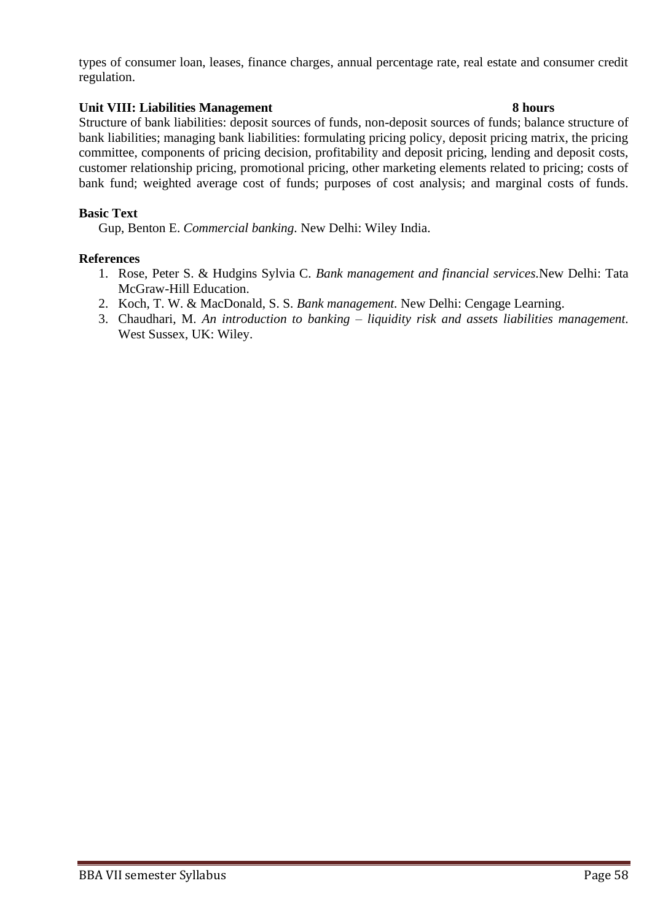types of consumer loan, leases, finance charges, annual percentage rate, real estate and consumer credit regulation.

## Unit VIII: Liabilities Management 8 **hours**

Structure of bank liabilities: deposit sources of funds, non-deposit sources of funds; balance structure of bank liabilities; managing bank liabilities: formulating pricing policy, deposit pricing matrix, the pricing committee, components of pricing decision, profitability and deposit pricing, lending and deposit costs, customer relationship pricing, promotional pricing, other marketing elements related to pricing; costs of bank fund; weighted average cost of funds; purposes of cost analysis; and marginal costs of funds.

## **Basic Text**

Gup, Benton E. *Commercial banking.* New Delhi: Wiley India.

- 1. Rose, Peter S. & Hudgins Sylvia C. *Bank management and financial services.*New Delhi: Tata McGraw-Hill Education.
- 2. Koch, T. W. & MacDonald, S. S. *Bank management.* New Delhi: Cengage Learning.
- 3. Chaudhari, M. *An introduction to banking – liquidity risk and assets liabilities management.* West Sussex, UK: Wiley.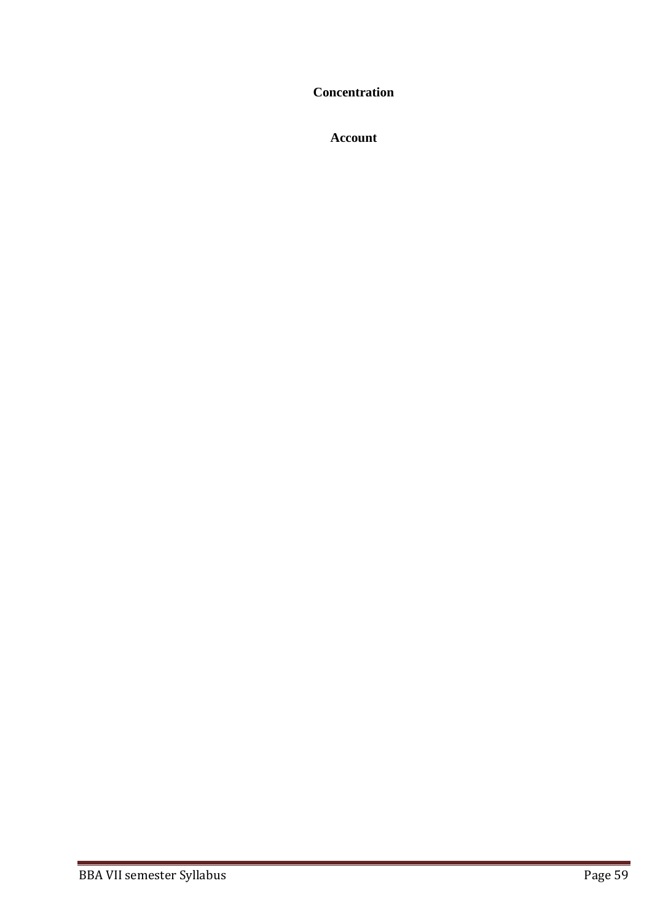**Concentration**

**Account**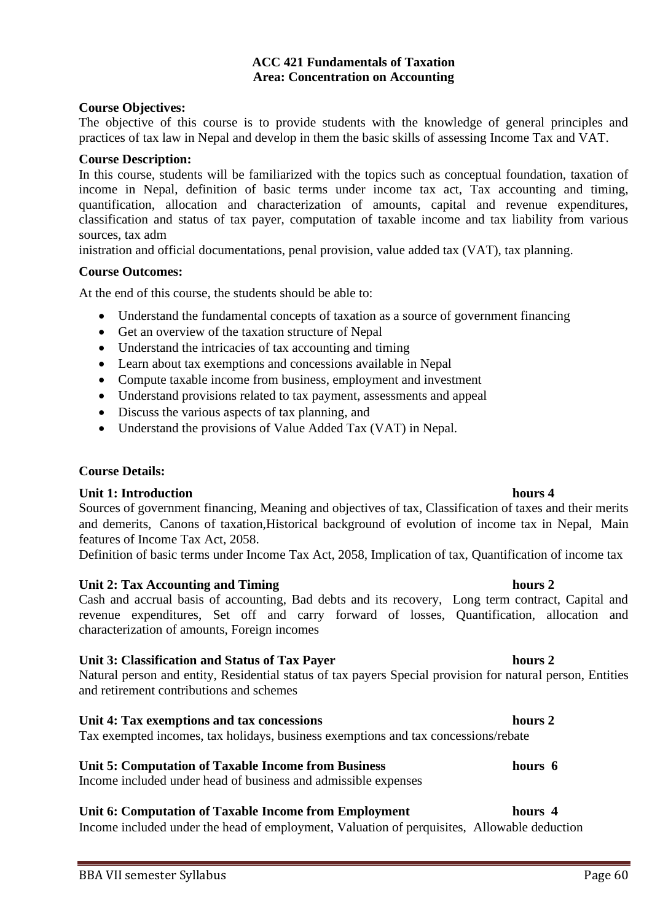# **Unit 3: Classification and Status of Tax Payer hours 2**

Natural person and entity, Residential status of tax payers Special provision for natural person, Entities and retirement contributions and schemes

## **Unit 4: Tax exemptions and tax concessions hours 2**

Tax exempted incomes, tax holidays, business exemptions and tax concessions/rebate

## **Unit 5: Computation of Taxable Income from Business hours 6**

Income included under head of business and admissible expenses

## **Unit 6: Computation of Taxable Income from Employment hours 4**

Income included under the head of employment, Valuation of perquisites, Allowable deduction

### **Course Objectives:**

The objective of this course is to provide students with the knowledge of general principles and practices of tax law in Nepal and develop in them the basic skills of assessing Income Tax and VAT.

**ACC 421 Fundamentals of Taxation Area: Concentration on Accounting**

### **Course Description:**

In this course, students will be familiarized with the topics such as conceptual foundation, taxation of income in Nepal, definition of basic terms under income tax act, Tax accounting and timing, quantification, allocation and characterization of amounts, capital and revenue expenditures, classification and status of tax payer, computation of taxable income and tax liability from various sources, tax adm

inistration and official documentations, penal provision, value added tax (VAT), tax planning.

### **Course Outcomes:**

At the end of this course, the students should be able to:

- Understand the fundamental concepts of taxation as a source of government financing
- Get an overview of the taxation structure of Nepal
- Understand the intricacies of tax accounting and timing
- Learn about tax exemptions and concessions available in Nepal
- Compute taxable income from business, employment and investment
- Understand provisions related to tax payment, assessments and appeal
- Discuss the various aspects of tax planning, and
- Understand the provisions of Value Added Tax (VAT) in Nepal.

## **Course Details:**

## **Unit 1: Introduction hours 4 hours 4**

Sources of government financing, Meaning and objectives of tax, Classification of taxes and their merits and demerits, Canons of taxation,Historical background of evolution of income tax in Nepal, Main features of Income Tax Act, 2058.

Definition of basic terms under Income Tax Act, 2058, Implication of tax, Quantification of income tax

## **Unit 2: Tax Accounting and Timing 2 hours 2**

Cash and accrual basis of accounting, Bad debts and its recovery, Long term contract, Capital and revenue expenditures, Set off and carry forward of losses, Quantification, allocation and characterization of amounts, Foreign incomes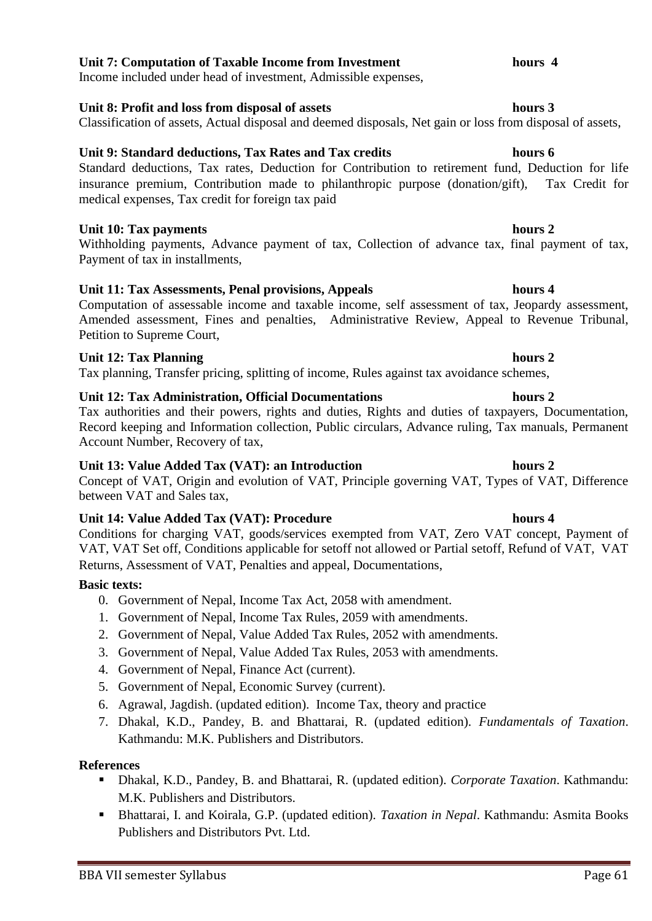## **Unit 7: Computation of Taxable Income from Investment hours 4**

Income included under head of investment, Admissible expenses,

## **Unit 8: Profit and loss from disposal of assets hours 3**

Classification of assets, Actual disposal and deemed disposals, Net gain or loss from disposal of assets,

## **Unit 9: Standard deductions, Tax Rates and Tax credits hours 6**

Standard deductions, Tax rates, Deduction for Contribution to retirement fund, Deduction for life insurance premium, Contribution made to philanthropic purpose (donation/gift), Tax Credit for medical expenses, Tax credit for foreign tax paid

## **Unit 10: Tax payments** hours 2

Withholding payments, Advance payment of tax, Collection of advance tax, final payment of tax, Payment of tax in installments,

## **Unit 11: Tax Assessments, Penal provisions, Appeals hours 4**

Computation of assessable income and taxable income, self assessment of tax, Jeopardy assessment, Amended assessment, Fines and penalties, Administrative Review, Appeal to Revenue Tribunal, Petition to Supreme Court,

## **Unit 12: Tax Planning hours 2**

Tax planning, Transfer pricing, splitting of income, Rules against tax avoidance schemes,

## **Unit 12: Tax Administration, Official Documentations hours 2**

Tax authorities and their powers, rights and duties, Rights and duties of taxpayers, Documentation, Record keeping and Information collection, Public circulars, Advance ruling, Tax manuals, Permanent Account Number, Recovery of tax,

## **Unit 13: Value Added Tax (VAT): an Introduction hours 2**

Concept of VAT, Origin and evolution of VAT, Principle governing VAT, Types of VAT, Difference between VAT and Sales tax,

## **Unit 14: Value Added Tax (VAT): Procedure hours 4**

Conditions for charging VAT, goods/services exempted from VAT, Zero VAT concept, Payment of VAT, VAT Set off, Conditions applicable for setoff not allowed or Partial setoff, Refund of VAT, VAT Returns, Assessment of VAT, Penalties and appeal, Documentations,

## **Basic texts:**

- 0. Government of Nepal, Income Tax Act, 2058 with amendment.
- 1. Government of Nepal, Income Tax Rules, 2059 with amendments.
- 2. Government of Nepal, Value Added Tax Rules, 2052 with amendments.
- 3. Government of Nepal, Value Added Tax Rules, 2053 with amendments.
- 4. Government of Nepal, Finance Act (current).
- 5. Government of Nepal, Economic Survey (current).
- 6. Agrawal, Jagdish. (updated edition). Income Tax, theory and practice
- 7. Dhakal, K.D., Pandey, B. and Bhattarai, R. (updated edition). *Fundamentals of Taxation*. Kathmandu: M.K. Publishers and Distributors.

- Dhakal, K.D., Pandey, B. and Bhattarai, R. (updated edition). *Corporate Taxation*. Kathmandu: M.K. Publishers and Distributors.
- Bhattarai, I. and Koirala, G.P. (updated edition). *Taxation in Nepal*. Kathmandu: Asmita Books Publishers and Distributors Pvt. Ltd.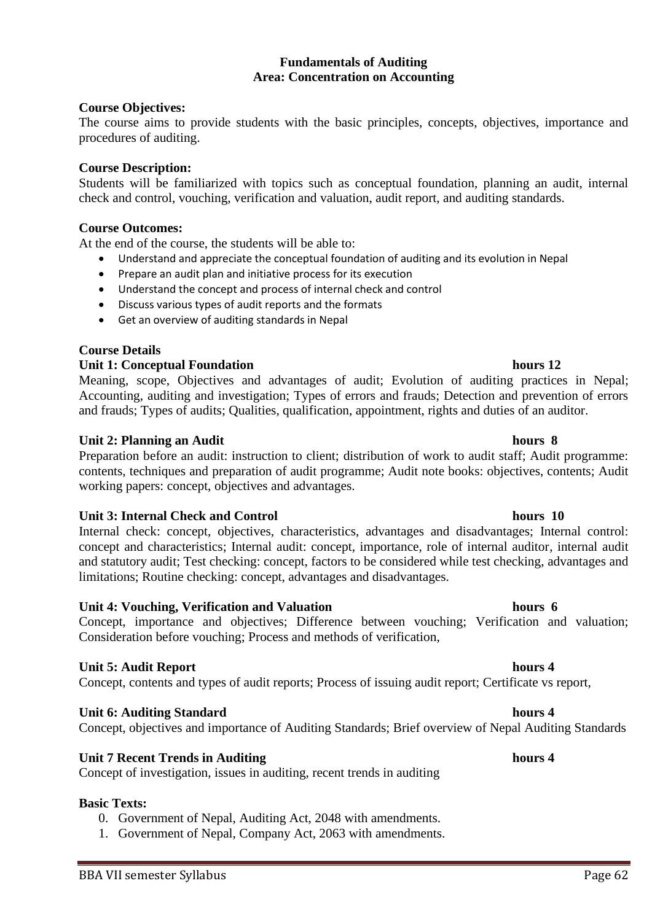## **Fundamentals of Auditing Area: Concentration on Accounting**

## **Course Objectives:**

The course aims to provide students with the basic principles, concepts, objectives, importance and procedures of auditing.

## **Course Description:**

Students will be familiarized with topics such as conceptual foundation, planning an audit, internal check and control, vouching, verification and valuation, audit report, and auditing standards.

## **Course Outcomes:**

At the end of the course, the students will be able to:

- Understand and appreciate the conceptual foundation of auditing and its evolution in Nepal
- Prepare an audit plan and initiative process for its execution
- Understand the concept and process of internal check and control
- Discuss various types of audit reports and the formats
- Get an overview of auditing standards in Nepal

## **Course Details**

## **Unit 1: Conceptual Foundation hours 12**

Meaning, scope, Objectives and advantages of audit; Evolution of auditing practices in Nepal; Accounting, auditing and investigation; Types of errors and frauds; Detection and prevention of errors and frauds; Types of audits; Qualities, qualification, appointment, rights and duties of an auditor.

## **Unit 2: Planning an Audit hours 8**

Preparation before an audit: instruction to client; distribution of work to audit staff; Audit programme: contents, techniques and preparation of audit programme; Audit note books: objectives, contents; Audit working papers: concept, objectives and advantages.

## **Unit 3: Internal Check and Control hours 10**

Internal check: concept, objectives, characteristics, advantages and disadvantages; Internal control: concept and characteristics; Internal audit: concept, importance, role of internal auditor, internal audit and statutory audit; Test checking: concept, factors to be considered while test checking, advantages and limitations; Routine checking: concept, advantages and disadvantages.

## **Unit 4: Vouching, Verification and Valuation hours 6**

Concept, importance and objectives; Difference between vouching; Verification and valuation; Consideration before vouching; Process and methods of verification,

## **Unit 5: Audit Report hours 4**

Concept, contents and types of audit reports; Process of issuing audit report; Certificate vs report,

## **Unit 6: Auditing Standard hours 4 and 10 and 10 and 10 and 10 and 10 and 10 and 10 and 10 and 10 and 10 and 10 and 10 and 10 and 10 and 10 and 10 and 10 and 10 and 10 and 10 and 10 and 10 and 10 and 10 and 10 and 10 and 1**

## Concept, objectives and importance of Auditing Standards; Brief overview of Nepal Auditing Standards

## **Unit 7 Recent Trends in Auditing hours 4**

Concept of investigation, issues in auditing, recent trends in auditing

## **Basic Texts:**

- 0. Government of Nepal, Auditing Act, 2048 with amendments.
- 1. Government of Nepal, Company Act, 2063 with amendments.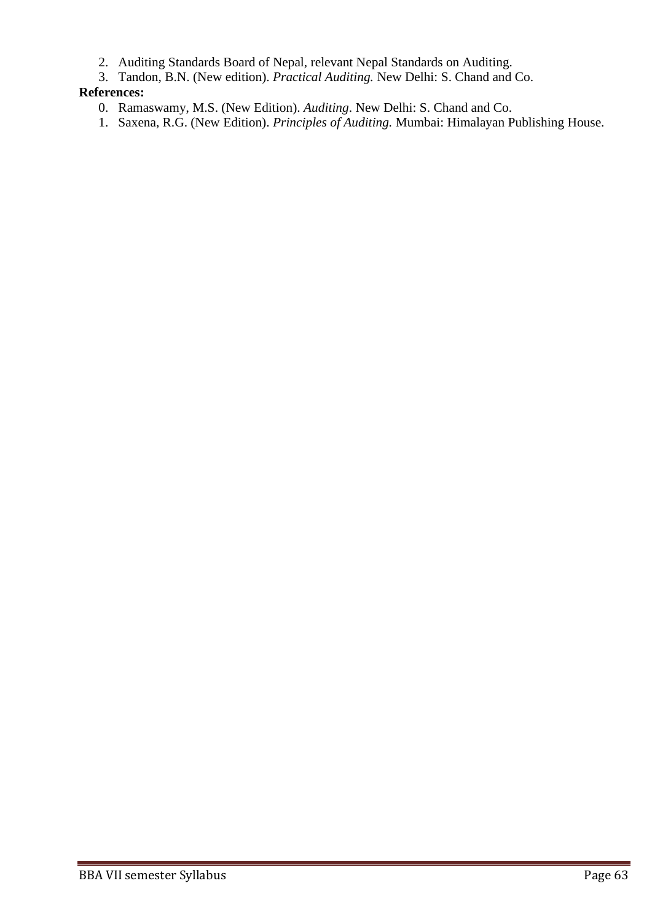- 2. Auditing Standards Board of Nepal, relevant Nepal Standards on Auditing.
- 3. Tandon, B.N. (New edition). *Practical Auditing.* New Delhi: S. Chand and Co.

- 0. Ramaswamy, M.S. (New Edition). *Auditing*. New Delhi: S. Chand and Co.
- 1. Saxena, R.G. (New Edition). *Principles of Auditing.* Mumbai: Himalayan Publishing House.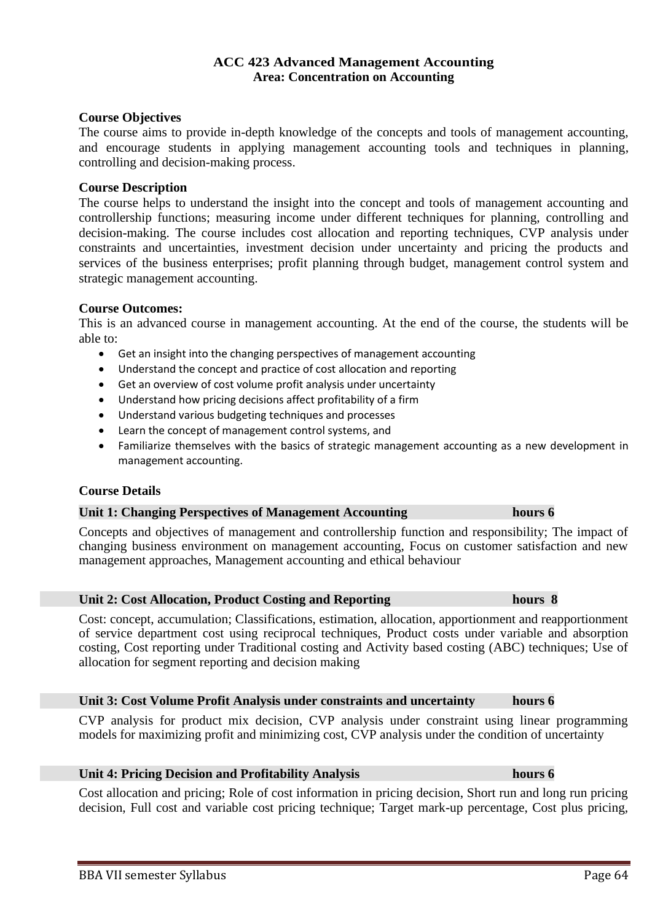# BBA VII semester Syllabus Page 64

## **ACC 423 Advanced Management Accounting Area: Concentration on Accounting**

## **Course Objectives**

The course aims to provide in-depth knowledge of the concepts and tools of management accounting, and encourage students in applying management accounting tools and techniques in planning, controlling and decision-making process.

## **Course Description**

The course helps to understand the insight into the concept and tools of management accounting and controllership functions; measuring income under different techniques for planning, controlling and decision-making. The course includes cost allocation and reporting techniques, CVP analysis under constraints and uncertainties, investment decision under uncertainty and pricing the products and services of the business enterprises; profit planning through budget, management control system and strategic management accounting.

## **Course Outcomes:**

This is an advanced course in management accounting. At the end of the course, the students will be able to:

- Get an insight into the changing perspectives of management accounting
- Understand the concept and practice of cost allocation and reporting
- Get an overview of cost volume profit analysis under uncertainty
- Understand how pricing decisions affect profitability of a firm
- Understand various budgeting techniques and processes
- Learn the concept of management control systems, and
- Familiarize themselves with the basics of strategic management accounting as a new development in management accounting.

## **Course Details**

## **Unit 1: Changing Perspectives of Management Accounting hours 6**

Concepts and objectives of management and controllership function and responsibility; The impact of changing business environment on management accounting, Focus on customer satisfaction and new management approaches, Management accounting and ethical behaviour

## **Unit 2: Cost Allocation, Product Costing and Reporting hours 8**

Cost: concept, accumulation; Classifications, estimation, allocation, apportionment and reapportionment of service department cost using reciprocal techniques, Product costs under variable and absorption costing, Cost reporting under Traditional costing and Activity based costing (ABC) techniques; Use of allocation for segment reporting and decision making

### **Unit 3: Cost Volume Profit Analysis under constraints and uncertainty hours 6**

CVP analysis for product mix decision, CVP analysis under constraint using linear programming models for maximizing profit and minimizing cost, CVP analysis under the condition of uncertainty

## **Unit 4: Pricing Decision and Profitability Analysis hours 6**

Cost allocation and pricing; Role of cost information in pricing decision, Short run and long run pricing decision, Full cost and variable cost pricing technique; Target mark-up percentage, Cost plus pricing,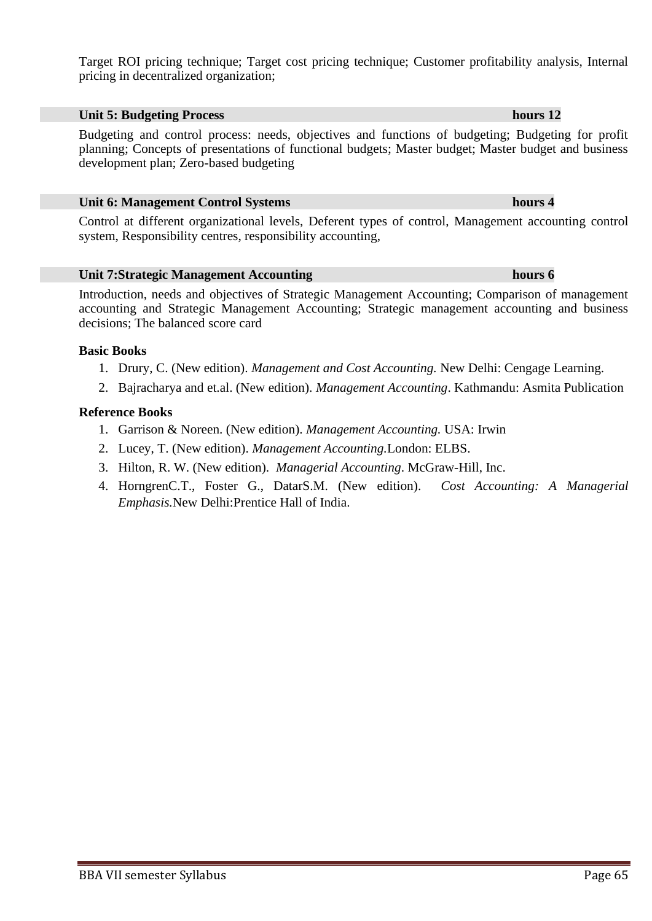Target ROI pricing technique; Target cost pricing technique; Customer profitability analysis, Internal pricing in decentralized organization;

## **Unit 5: Budgeting Process hours 12**

Budgeting and control process: needs, objectives and functions of budgeting; Budgeting for profit planning; Concepts of presentations of functional budgets; Master budget; Master budget and business development plan; Zero-based budgeting

### **Unit 6: Management Control Systems hours 4**

Control at different organizational levels, Deferent types of control, Management accounting control system, Responsibility centres, responsibility accounting,

## **Unit 7:Strategic Management Accounting hours 6**

Introduction, needs and objectives of Strategic Management Accounting; Comparison of management accounting and Strategic Management Accounting; Strategic management accounting and business decisions; The balanced score card

## **Basic Books**

- 1. Drury, C. (New edition). *Management and Cost Accounting.* New Delhi: Cengage Learning.
- 2. Bajracharya and et.al. (New edition). *Management Accounting*. Kathmandu: Asmita Publication

## **Reference Books**

- 1. Garrison & Noreen. (New edition). *Management Accounting.* USA: Irwin
- 2. Lucey, T. (New edition). *Management Accounting.*London: ELBS.
- 3. Hilton, R. W. (New edition). *Managerial Accounting*. McGraw-Hill, Inc.
- 4. HorngrenC.T., Foster G., DatarS.M. (New edition). *Cost Accounting: A Managerial Emphasis.*New Delhi:Prentice Hall of India.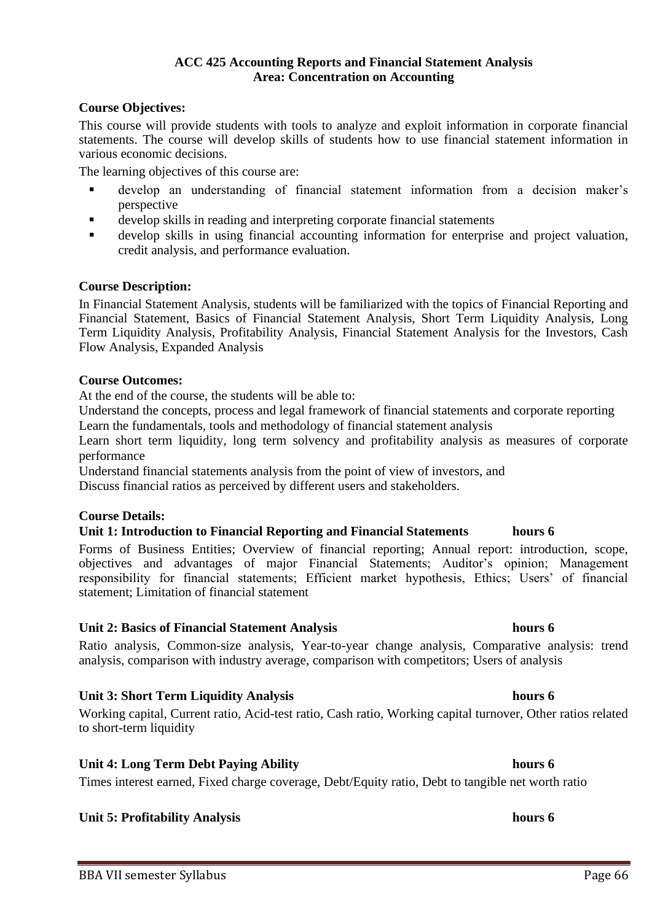## **ACC 425 Accounting Reports and Financial Statement Analysis Area: Concentration on Accounting**

## **Course Objectives:**

This course will provide students with tools to analyze and exploit information in corporate financial statements. The course will develop skills of students how to use financial statement information in various economic decisions.

The learning objectives of this course are:

- develop an understanding of financial statement information from a decision maker's perspective
- develop skills in reading and interpreting corporate financial statements
- develop skills in using financial accounting information for enterprise and project valuation, credit analysis, and performance evaluation.

## **Course Description:**

In Financial Statement Analysis, students will be familiarized with the topics of Financial Reporting and Financial Statement, Basics of Financial Statement Analysis, Short Term Liquidity Analysis, Long Term Liquidity Analysis, Profitability Analysis, Financial Statement Analysis for the Investors, Cash Flow Analysis, Expanded Analysis

### **Course Outcomes:**

At the end of the course, the students will be able to:

Understand the concepts, process and legal framework of financial statements and corporate reporting Learn the fundamentals, tools and methodology of financial statement analysis

Learn short term liquidity, long term solvency and profitability analysis as measures of corporate performance

Understand financial statements analysis from the point of view of investors, and

Discuss financial ratios as perceived by different users and stakeholders.

## **Course Details:**

## **Unit 1: Introduction to Financial Reporting and Financial Statements hours 6**

Forms of Business Entities; Overview of financial reporting; Annual report: introduction, scope, objectives and advantages of major Financial Statements; Auditor's opinion; Management responsibility for financial statements; Efficient market hypothesis, Ethics; Users' of financial statement; Limitation of financial statement

### **Unit 2: Basics of Financial Statement Analysis hours 6**

Ratio analysis, Common-size analysis, Year-to-year change analysis, Comparative analysis: trend analysis, comparison with industry average, comparison with competitors; Users of analysis

## **Unit 3: Short Term Liquidity Analysis hours 6**

Working capital, Current ratio, Acid-test ratio, Cash ratio, Working capital turnover, Other ratios related to short-term liquidity

## **Unit 4: Long Term Debt Paying Ability hours 6**

Times interest earned, Fixed charge coverage, Debt/Equity ratio, Debt to tangible net worth ratio

## **Unit 5: Profitability Analysis hours 6**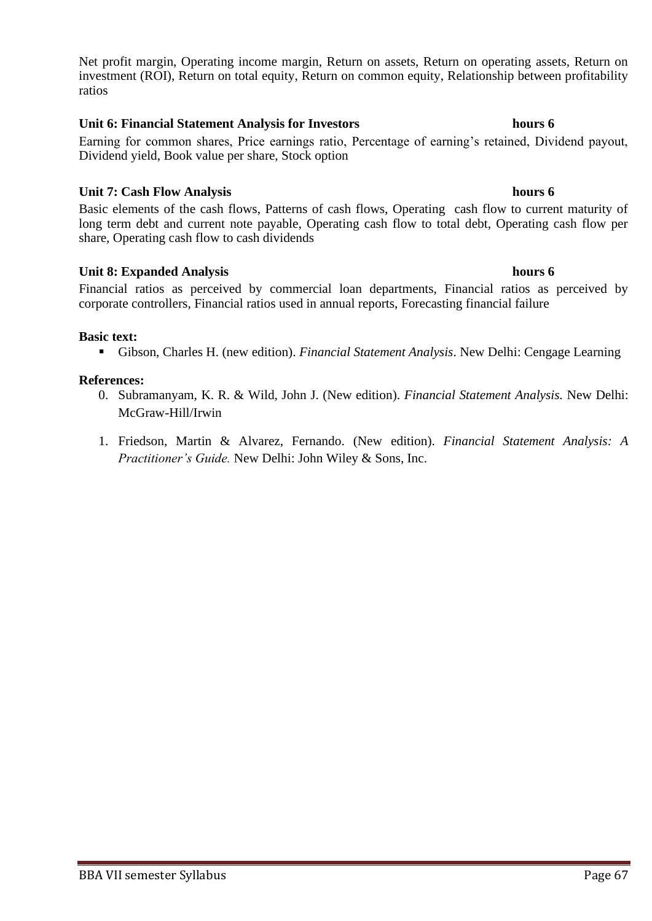Net profit margin, Operating income margin, Return on assets, Return on operating assets, Return on investment (ROI), Return on total equity, Return on common equity, Relationship between profitability ratios

## **Unit 6: Financial Statement Analysis for Investors hours 6**

Earning for common shares, Price earnings ratio, Percentage of earning's retained, Dividend payout, Dividend yield, Book value per share, Stock option

## **Unit 7: Cash Flow Analysis hours 6**

Basic elements of the cash flows, Patterns of cash flows, Operating cash flow to current maturity of long term debt and current note payable, Operating cash flow to total debt, Operating cash flow per share, Operating cash flow to cash dividends

## **Unit 8: Expanded Analysis hours 6**

Financial ratios as perceived by commercial loan departments, Financial ratios as perceived by corporate controllers, Financial ratios used in annual reports, Forecasting financial failure

## **Basic text:**

▪ Gibson, Charles H. (new edition). *Financial Statement Analysis*. New Delhi: Cengage Learning

- 0. Subramanyam, K. R. & Wild, John J. (New edition). *Financial Statement Analysis.* New Delhi: McGraw-Hill/Irwin
- 1. Friedson, Martin & Alvarez, Fernando. (New edition). *Financial Statement Analysis: A Practitioner's Guide.* New Delhi: John Wiley & Sons, Inc.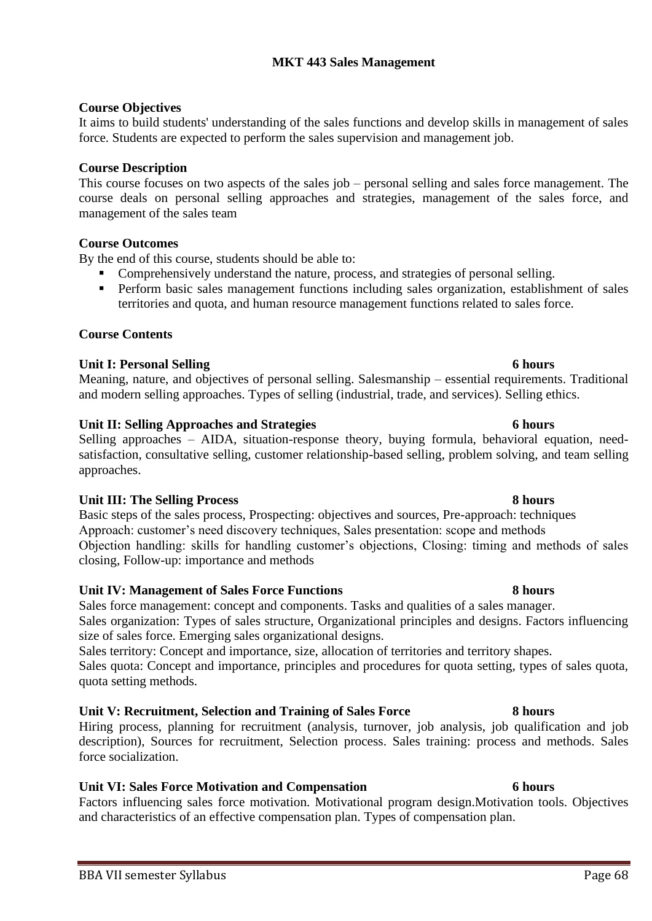# **MKT 443 Sales Management**

## **Course Objectives**

It aims to build students' understanding of the sales functions and develop skills in management of sales force. Students are expected to perform the sales supervision and management job.

## **Course Description**

This course focuses on two aspects of the sales job – personal selling and sales force management. The course deals on personal selling approaches and strategies, management of the sales force, and management of the sales team

## **Course Outcomes**

By the end of this course, students should be able to:

- Comprehensively understand the nature, process, and strategies of personal selling.
- Perform basic sales management functions including sales organization, establishment of sales territories and quota, and human resource management functions related to sales force.

## **Course Contents**

## **Unit I: Personal Selling 6 hours**

Meaning, nature, and objectives of personal selling. Salesmanship – essential requirements. Traditional and modern selling approaches. Types of selling (industrial, trade, and services). Selling ethics.

## **Unit II: Selling Approaches and Strategies 6 hours**

Selling approaches – AIDA, situation-response theory, buying formula, behavioral equation, needsatisfaction, consultative selling, customer relationship-based selling, problem solving, and team selling approaches.

## **Unit III: The Selling Process 8 hours**

Basic steps of the sales process, Prospecting: objectives and sources, Pre-approach: techniques Approach: customer's need discovery techniques, Sales presentation: scope and methods Objection handling: skills for handling customer's objections, Closing: timing and methods of sales closing, Follow-up: importance and methods

## **Unit IV: Management of Sales Force Functions 8 hours**

Sales force management: concept and components. Tasks and qualities of a sales manager. Sales organization: Types of sales structure, Organizational principles and designs. Factors influencing size of sales force. Emerging sales organizational designs.

Sales territory: Concept and importance, size, allocation of territories and territory shapes. Sales quota: Concept and importance, principles and procedures for quota setting, types of sales quota, quota setting methods.

## **Unit V: Recruitment, Selection and Training of Sales Force 8 hours**

Hiring process, planning for recruitment (analysis, turnover, job analysis, job qualification and job description), Sources for recruitment, Selection process. Sales training: process and methods. Sales force socialization.

## **Unit VI: Sales Force Motivation and Compensation 6 hours**

Factors influencing sales force motivation. Motivational program design.Motivation tools. Objectives and characteristics of an effective compensation plan. Types of compensation plan.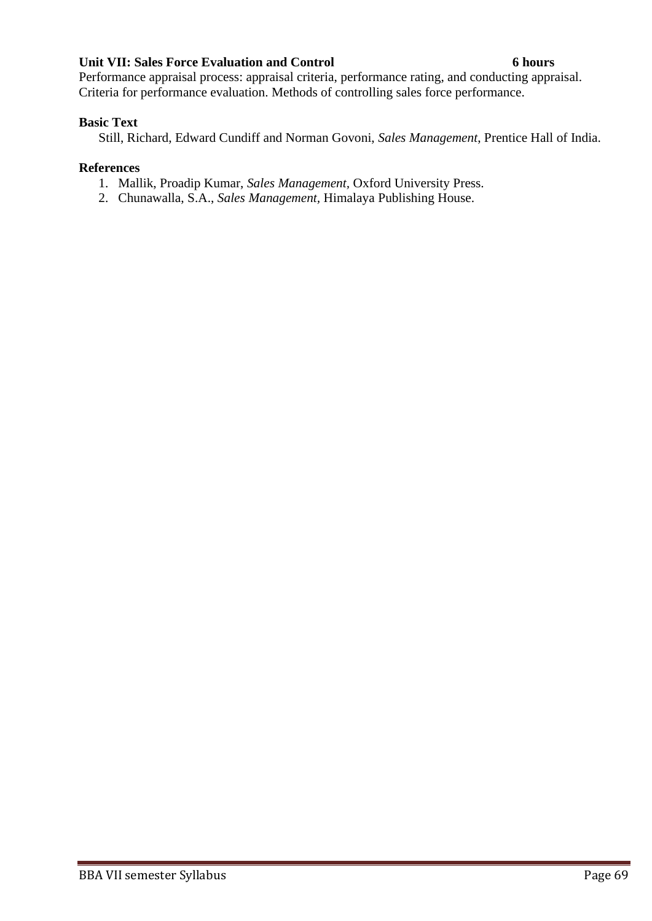## **Unit VII: Sales Force Evaluation and Control 6 hours**

Performance appraisal process: appraisal criteria, performance rating, and conducting appraisal. Criteria for performance evaluation. Methods of controlling sales force performance.

## **Basic Text**

Still, Richard, Edward Cundiff and Norman Govoni, *Sales Management*, Prentice Hall of India.

- 1. Mallik, Proadip Kumar, *Sales Management,* Oxford University Press.
- 2. Chunawalla, S.A., *Sales Management,* Himalaya Publishing House.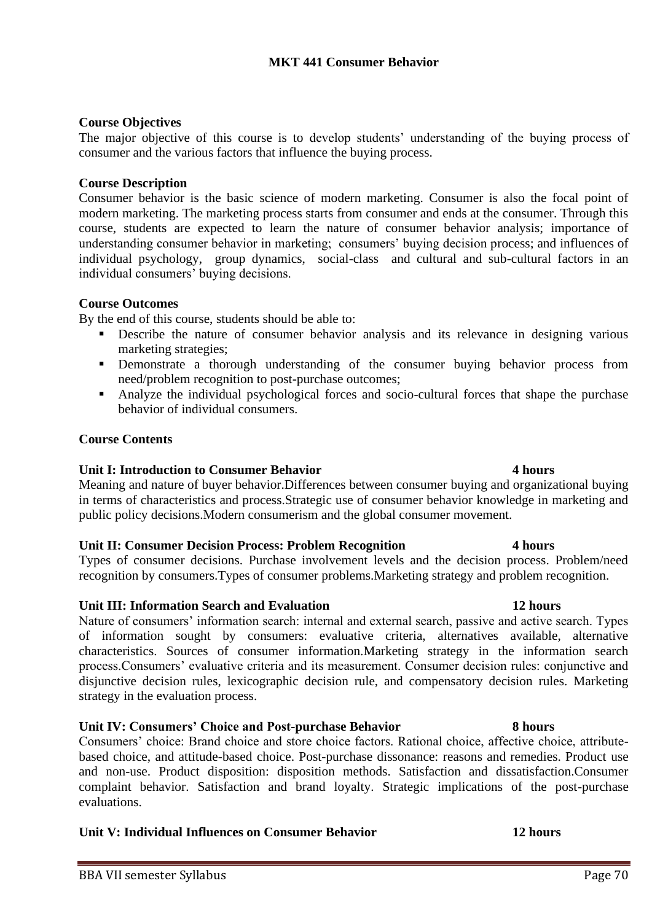## **Course Objectives**

The major objective of this course is to develop students' understanding of the buying process of consumer and the various factors that influence the buying process.

## **Course Description**

Consumer behavior is the basic science of modern marketing. Consumer is also the focal point of modern marketing. The marketing process starts from consumer and ends at the consumer. Through this course, students are expected to learn the nature of consumer behavior analysis; importance of understanding consumer behavior in marketing; consumers' buying decision process; and influences of individual psychology, group dynamics, social-class and cultural and sub-cultural factors in an individual consumers' buying decisions.

## **Course Outcomes**

By the end of this course, students should be able to:

- Describe the nature of consumer behavior analysis and its relevance in designing various marketing strategies;
- **EXECUTE:** Demonstrate a thorough understanding of the consumer buying behavior process from need/problem recognition to post-purchase outcomes;
- Analyze the individual psychological forces and socio-cultural forces that shape the purchase behavior of individual consumers.

## **Course Contents**

## **Unit I: Introduction to Consumer Behavior 4 hours**

Meaning and nature of buyer behavior.Differences between consumer buying and organizational buying in terms of characteristics and process.Strategic use of consumer behavior knowledge in marketing and public policy decisions.Modern consumerism and the global consumer movement.

## **Unit II: Consumer Decision Process: Problem Recognition 4 hours**

Types of consumer decisions. Purchase involvement levels and the decision process. Problem/need recognition by consumers.Types of consumer problems.Marketing strategy and problem recognition.

## **Unit III: Information Search and Evaluation 12 hours**

Nature of consumers' information search: internal and external search, passive and active search. Types of information sought by consumers: evaluative criteria, alternatives available, alternative characteristics. Sources of consumer information.Marketing strategy in the information search process.Consumers' evaluative criteria and its measurement. Consumer decision rules: conjunctive and disjunctive decision rules, lexicographic decision rule, and compensatory decision rules. Marketing strategy in the evaluation process.

## **Unit IV: Consumers' Choice and Post-purchase Behavior 8 hours**

Consumers' choice: Brand choice and store choice factors. Rational choice, affective choice, attributebased choice, and attitude-based choice. Post-purchase dissonance: reasons and remedies. Product use and non-use. Product disposition: disposition methods. Satisfaction and dissatisfaction.Consumer complaint behavior. Satisfaction and brand loyalty. Strategic implications of the post-purchase evaluations.

## **Unit V: Individual Influences on Consumer Behavior 12 hours**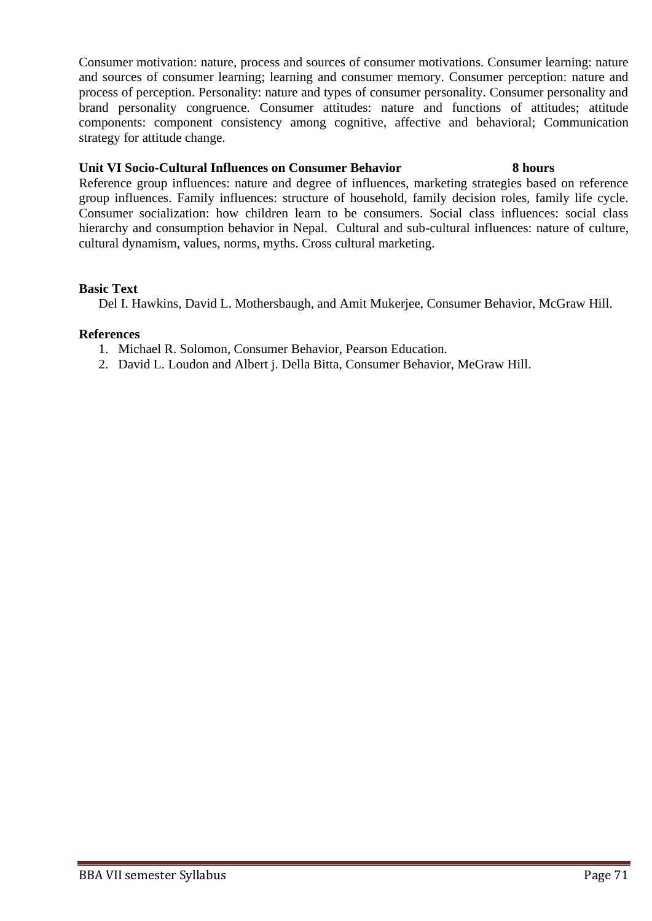Consumer motivation: nature, process and sources of consumer motivations. Consumer learning: nature and sources of consumer learning; learning and consumer memory. Consumer perception: nature and process of perception. Personality: nature and types of consumer personality. Consumer personality and brand personality congruence. Consumer attitudes: nature and functions of attitudes; attitude components: component consistency among cognitive, affective and behavioral; Communication strategy for attitude change.

## **Unit VI Socio-Cultural Influences on Consumer Behavior 8 hours**

Reference group influences: nature and degree of influences, marketing strategies based on reference group influences. Family influences: structure of household, family decision roles, family life cycle. Consumer socialization: how children learn to be consumers. Social class influences: social class hierarchy and consumption behavior in Nepal. Cultural and sub-cultural influences: nature of culture, cultural dynamism, values, norms, myths. Cross cultural marketing.

## **Basic Text**

Del I. Hawkins, David L. Mothersbaugh, and Amit Mukerjee, Consumer Behavior, McGraw Hill.

- 1. Michael R. Solomon, Consumer Behavior, Pearson Education.
- 2. David L. Loudon and Albert j. Della Bitta, Consumer Behavior, MeGraw Hill.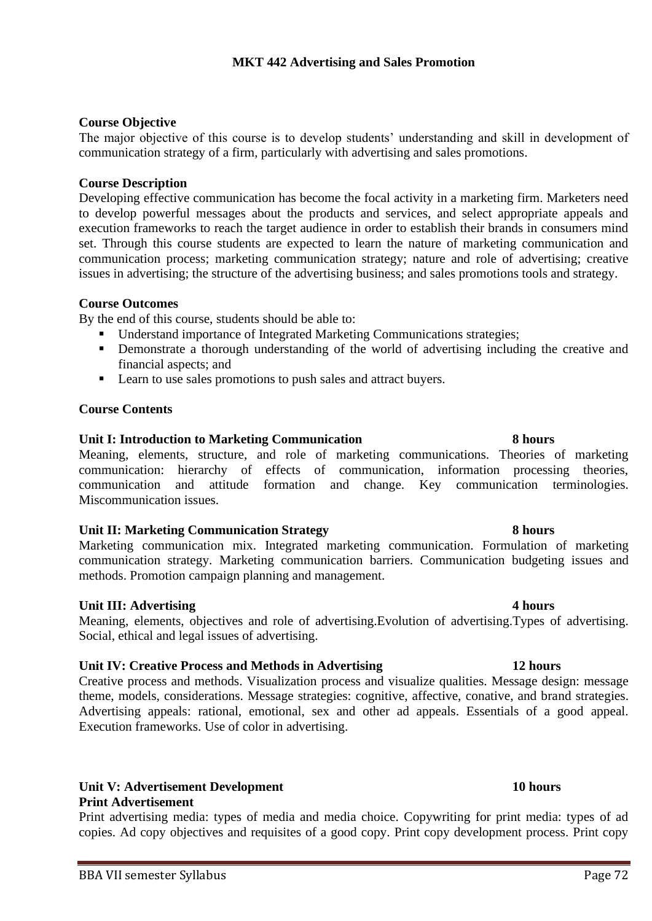## **Course Objective**

The major objective of this course is to develop students' understanding and skill in development of communication strategy of a firm, particularly with advertising and sales promotions.

## **Course Description**

Developing effective communication has become the focal activity in a marketing firm. Marketers need to develop powerful messages about the products and services, and select appropriate appeals and execution frameworks to reach the target audience in order to establish their brands in consumers mind set. Through this course students are expected to learn the nature of marketing communication and communication process; marketing communication strategy; nature and role of advertising; creative issues in advertising; the structure of the advertising business; and sales promotions tools and strategy.

## **Course Outcomes**

By the end of this course, students should be able to:

- Understand importance of Integrated Marketing Communications strategies;
- **•** Demonstrate a thorough understanding of the world of advertising including the creative and financial aspects; and
- Learn to use sales promotions to push sales and attract buyers.

## **Course Contents**

## **Unit I: Introduction to Marketing Communication 8 hours**

Meaning, elements, structure, and role of marketing communications. Theories of marketing communication: hierarchy of effects of communication, information processing theories, communication and attitude formation and change. Key communication terminologies. Miscommunication issues.

## **Unit II: Marketing Communication Strategy 8 hours**

Marketing communication mix. Integrated marketing communication. Formulation of marketing communication strategy. Marketing communication barriers. Communication budgeting issues and methods. Promotion campaign planning and management.

## **Unit III:** Advertising 4 hours

Meaning, elements, objectives and role of advertising.Evolution of advertising.Types of advertising. Social, ethical and legal issues of advertising.

## **Unit IV: Creative Process and Methods in Advertising 12 hours**

Creative process and methods. Visualization process and visualize qualities. Message design: message theme, models, considerations. Message strategies: cognitive, affective, conative, and brand strategies. Advertising appeals: rational, emotional, sex and other ad appeals. Essentials of a good appeal. Execution frameworks. Use of color in advertising.

# **Unit V: Advertisement Development 10 hours**

## **Print Advertisement**

Print advertising media: types of media and media choice. Copywriting for print media: types of ad copies. Ad copy objectives and requisites of a good copy. Print copy development process. Print copy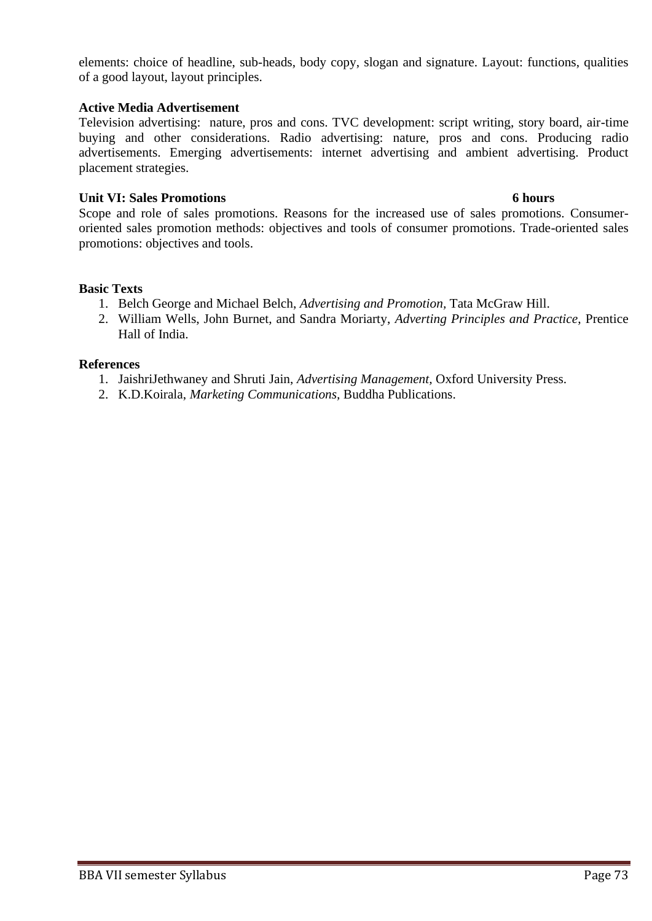elements: choice of headline, sub-heads, body copy, slogan and signature. Layout: functions, qualities of a good layout, layout principles.

#### **Active Media Advertisement**

Television advertising: nature, pros and cons. TVC development: script writing, story board, air-time buying and other considerations. Radio advertising: nature, pros and cons. Producing radio advertisements. Emerging advertisements: internet advertising and ambient advertising. Product placement strategies.

## **Unit VI: Sales Promotions 6 hours**

Scope and role of sales promotions. Reasons for the increased use of sales promotions. Consumeroriented sales promotion methods: objectives and tools of consumer promotions. Trade-oriented sales promotions: objectives and tools.

#### **Basic Texts**

- 1. Belch George and Michael Belch, *Advertising and Promotion,* Tata McGraw Hill.
- 2. William Wells, John Burnet, and Sandra Moriarty, *Adverting Principles and Practice*, Prentice Hall of India.

#### **References**

- 1. JaishriJethwaney and Shruti Jain, *Advertising Management,* Oxford University Press.
- 2. K.D.Koirala, *Marketing Communications,* Buddha Publications.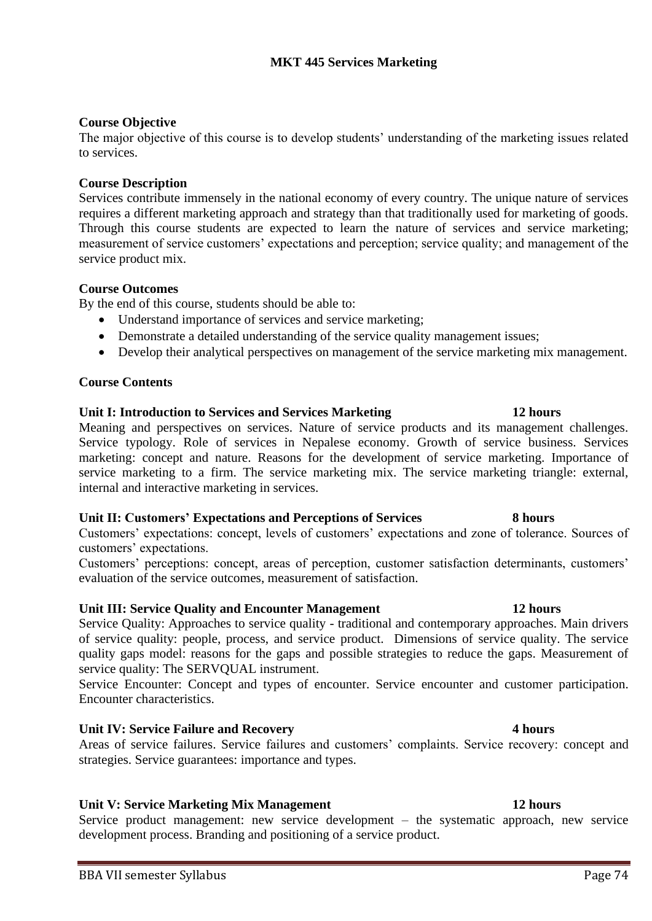### **Course Objective**

The major objective of this course is to develop students' understanding of the marketing issues related to services.

#### **Course Description**

Services contribute immensely in the national economy of every country. The unique nature of services requires a different marketing approach and strategy than that traditionally used for marketing of goods. Through this course students are expected to learn the nature of services and service marketing; measurement of service customers' expectations and perception; service quality; and management of the service product mix.

#### **Course Outcomes**

By the end of this course, students should be able to:

- Understand importance of services and service marketing;
- Demonstrate a detailed understanding of the service quality management issues;
- Develop their analytical perspectives on management of the service marketing mix management.

#### **Course Contents**

#### **Unit I: Introduction to Services and Services Marketing 12 hours**

Meaning and perspectives on services. Nature of service products and its management challenges. Service typology. Role of services in Nepalese economy. Growth of service business. Services marketing: concept and nature. Reasons for the development of service marketing. Importance of service marketing to a firm. The service marketing mix. The service marketing triangle: external, internal and interactive marketing in services.

#### **Unit II: Customers' Expectations and Perceptions of Services 8 hours**

Customers' expectations: concept, levels of customers' expectations and zone of tolerance. Sources of customers' expectations.

Customers' perceptions: concept, areas of perception, customer satisfaction determinants, customers' evaluation of the service outcomes, measurement of satisfaction.

#### **Unit III: Service Quality and Encounter Management 12 hours**

Service Quality: Approaches to service quality - traditional and contemporary approaches. Main drivers of service quality: people, process, and service product. Dimensions of service quality. The service quality gaps model: reasons for the gaps and possible strategies to reduce the gaps. Measurement of service quality: The SERVQUAL instrument.

Service Encounter: Concept and types of encounter. Service encounter and customer participation. Encounter characteristics.

#### **Unit IV: Service Failure and Recovery 4 hours**

Areas of service failures. Service failures and customers' complaints. Service recovery: concept and strategies. Service guarantees: importance and types.

#### **Unit V: Service Marketing Mix Management 12 hours**

Service product management: new service development – the systematic approach, new service development process. Branding and positioning of a service product.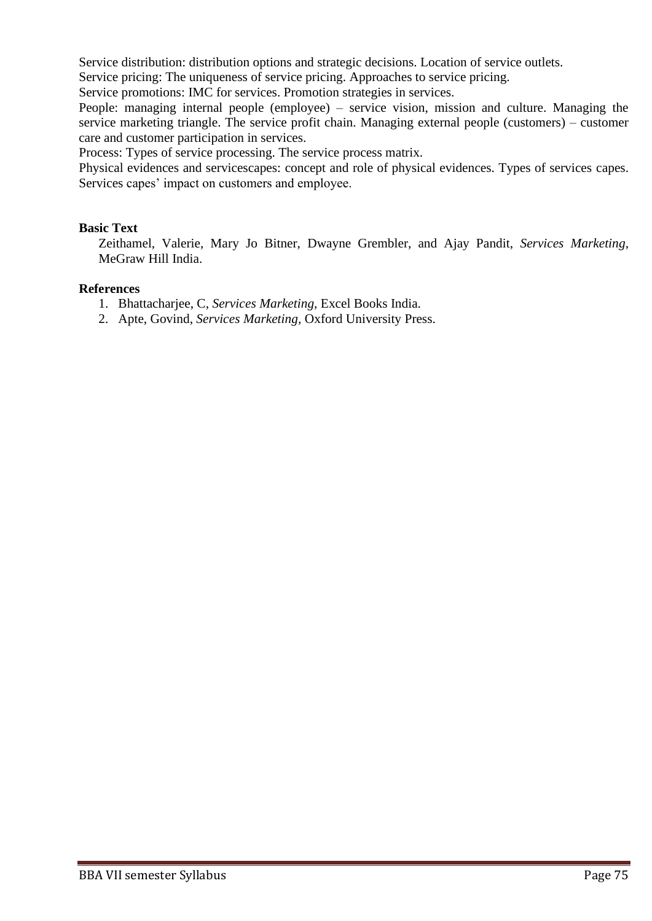Service distribution: distribution options and strategic decisions. Location of service outlets.

Service pricing: The uniqueness of service pricing. Approaches to service pricing.

Service promotions: IMC for services. Promotion strategies in services.

People: managing internal people (employee) – service vision, mission and culture. Managing the service marketing triangle. The service profit chain. Managing external people (customers) – customer care and customer participation in services.

Process: Types of service processing. The service process matrix.

Physical evidences and servicescapes: concept and role of physical evidences. Types of services capes. Services capes' impact on customers and employee.

#### **Basic Text**

Zeithamel, Valerie, Mary Jo Bitner, Dwayne Grembler, and Ajay Pandit, *Services Marketing*, MeGraw Hill India.

#### **References**

- 1. Bhattacharjee, C, *Services Marketing,* Excel Books India.
- 2. Apte, Govind, *Services Marketing,* Oxford University Press.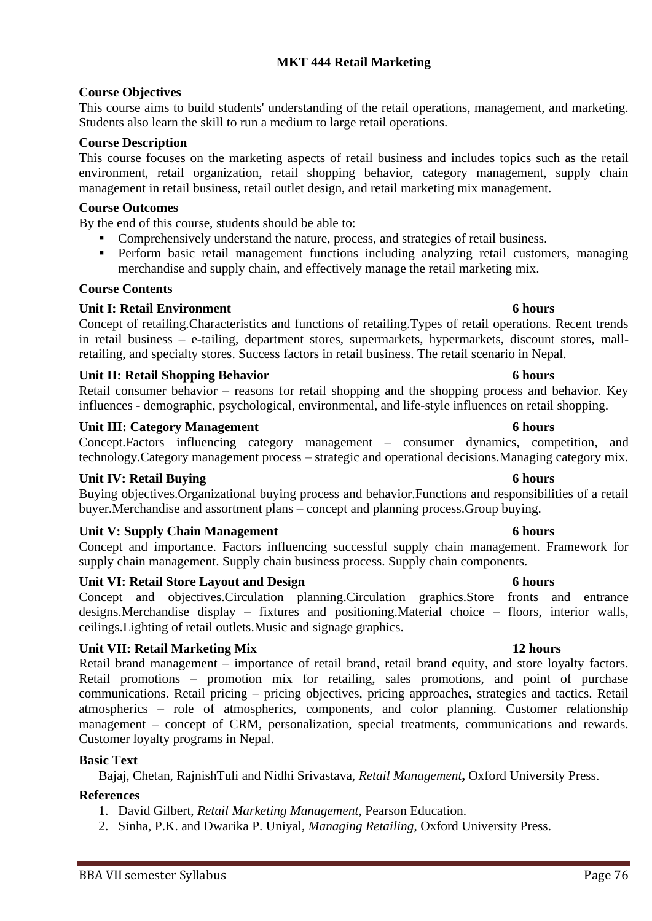influences - demographic, psychological, environmental, and life-style influences on retail shopping. **Unit III: Category Management 6 hours**

Retail consumer behavior – reasons for retail shopping and the shopping process and behavior. Key

Concept.Factors influencing category management – consumer dynamics, competition, and

technology.Category management process – strategic and operational decisions.Managing category mix.

#### **Unit IV: Retail Buying 6 hours**

**Course Objectives**

**Course Description**

**Course Outcomes**

**Course Contents**

Buying objectives.Organizational buying process and behavior.Functions and responsibilities of a retail buyer.Merchandise and assortment plans – concept and planning process.Group buying.

#### **Unit V: Supply Chain Management 6 hours**

Concept and importance. Factors influencing successful supply chain management. Framework for supply chain management. Supply chain business process. Supply chain components.

#### **Unit VI: Retail Store Layout and Design 6 hours**

Concept and objectives.Circulation planning.Circulation graphics.Store fronts and entrance designs.Merchandise display – fixtures and positioning.Material choice – floors, interior walls, ceilings.Lighting of retail outlets.Music and signage graphics.

#### **Unit VII: Retail Marketing Mix 12 hours**

Retail brand management – importance of retail brand, retail brand equity, and store loyalty factors. Retail promotions – promotion mix for retailing, sales promotions, and point of purchase communications. Retail pricing – pricing objectives, pricing approaches, strategies and tactics. Retail atmospherics – role of atmospherics, components, and color planning. Customer relationship management – concept of CRM, personalization, special treatments, communications and rewards. Customer loyalty programs in Nepal.

#### **Basic Text**

Bajaj, Chetan, RajnishTuli and Nidhi Srivastava, *Retail Management***,** Oxford University Press.

#### **References**

- 1. David Gilbert, *Retail Marketing Management,* Pearson Education.
- 2. Sinha, P.K. and Dwarika P. Uniyal, *Managing Retailing*, Oxford University Press.

## **MKT 444 Retail Marketing**

This course aims to build students' understanding of the retail operations, management, and marketing.

This course focuses on the marketing aspects of retail business and includes topics such as the retail environment, retail organization, retail shopping behavior, category management, supply chain

**•** Perform basic retail management functions including analyzing retail customers, managing

management in retail business, retail outlet design, and retail marketing mix management.

Comprehensively understand the nature, process, and strategies of retail business.

merchandise and supply chain, and effectively manage the retail marketing mix.

**Unit I: Retail Environment 6 hours**

Students also learn the skill to run a medium to large retail operations.

By the end of this course, students should be able to:

# retailing, and specialty stores. Success factors in retail business. The retail scenario in Nepal. **Unit II: Retail Shopping Behavior 6 hours**

#### Concept of retailing.Characteristics and functions of retailing.Types of retail operations. Recent trends in retail business – e-tailing, department stores, supermarkets, hypermarkets, discount stores, mall-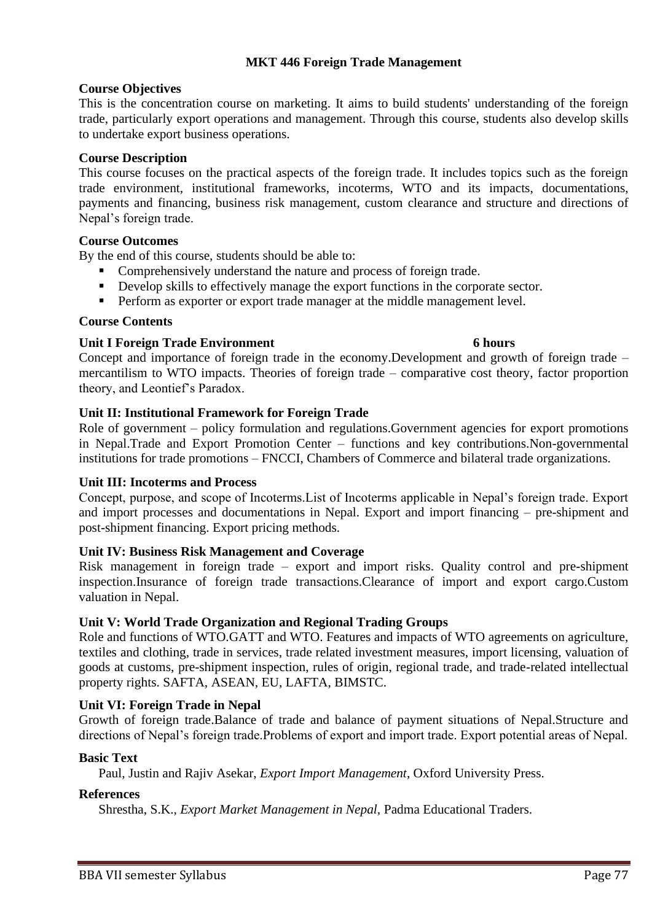# **MKT 446 Foreign Trade Management**

# **Course Objectives**

This is the concentration course on marketing. It aims to build students' understanding of the foreign trade, particularly export operations and management. Through this course, students also develop skills to undertake export business operations.

### **Course Description**

This course focuses on the practical aspects of the foreign trade. It includes topics such as the foreign trade environment, institutional frameworks, incoterms, WTO and its impacts, documentations, payments and financing, business risk management, custom clearance and structure and directions of Nepal's foreign trade.

### **Course Outcomes**

By the end of this course, students should be able to:

- Comprehensively understand the nature and process of foreign trade.
- **•** Develop skills to effectively manage the export functions in the corporate sector.
- **•** Perform as exporter or export trade manager at the middle management level.

### **Course Contents**

### **Unit I Foreign Trade Environment 6 hours**

## Concept and importance of foreign trade in the economy.Development and growth of foreign trade – mercantilism to WTO impacts. Theories of foreign trade – comparative cost theory, factor proportion theory, and Leontief's Paradox.

### **Unit II: Institutional Framework for Foreign Trade**

Role of government – policy formulation and regulations.Government agencies for export promotions in Nepal.Trade and Export Promotion Center – functions and key contributions.Non-governmental institutions for trade promotions – FNCCI, Chambers of Commerce and bilateral trade organizations.

#### **Unit III: Incoterms and Process**

Concept, purpose, and scope of Incoterms.List of Incoterms applicable in Nepal's foreign trade. Export and import processes and documentations in Nepal. Export and import financing – pre-shipment and post-shipment financing. Export pricing methods.

## **Unit IV: Business Risk Management and Coverage**

Risk management in foreign trade – export and import risks. Quality control and pre-shipment inspection.Insurance of foreign trade transactions.Clearance of import and export cargo.Custom valuation in Nepal.

#### **Unit V: World Trade Organization and Regional Trading Groups**

Role and functions of WTO.GATT and WTO. Features and impacts of WTO agreements on agriculture, textiles and clothing, trade in services, trade related investment measures, import licensing, valuation of goods at customs, pre-shipment inspection, rules of origin, regional trade, and trade-related intellectual property rights. SAFTA, ASEAN, EU, LAFTA, BIMSTC.

#### **Unit VI: Foreign Trade in Nepal**

Growth of foreign trade.Balance of trade and balance of payment situations of Nepal.Structure and directions of Nepal's foreign trade.Problems of export and import trade. Export potential areas of Nepal.

#### **Basic Text**

Paul, Justin and Rajiv Asekar, *Export Import Management*, Oxford University Press.

#### **References**

Shrestha, S.K., *Export Market Management in Nepal,* Padma Educational Traders.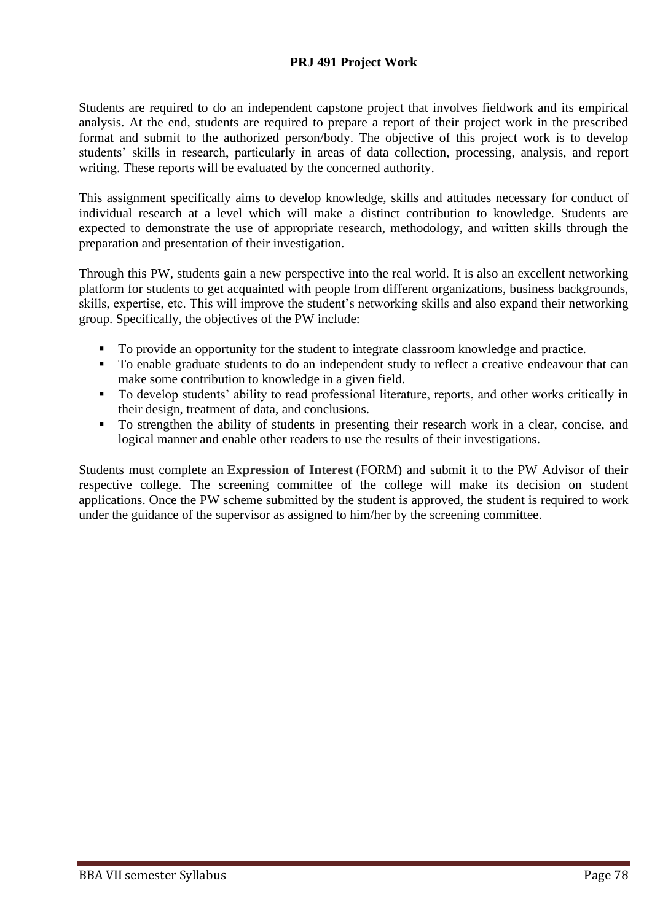# **PRJ 491 Project Work**

Students are required to do an independent capstone project that involves fieldwork and its empirical analysis. At the end, students are required to prepare a report of their project work in the prescribed format and submit to the authorized person/body. The objective of this project work is to develop students' skills in research, particularly in areas of data collection, processing, analysis, and report writing. These reports will be evaluated by the concerned authority.

This assignment specifically aims to develop knowledge, skills and attitudes necessary for conduct of individual research at a level which will make a distinct contribution to knowledge. Students are expected to demonstrate the use of appropriate research, methodology, and written skills through the preparation and presentation of their investigation.

Through this PW, students gain a new perspective into the real world. It is also an excellent networking platform for students to get acquainted with people from different organizations, business backgrounds, skills, expertise, etc. This will improve the student's networking skills and also expand their networking group. Specifically, the objectives of the PW include:

- To provide an opportunity for the student to integrate classroom knowledge and practice.
- To enable graduate students to do an independent study to reflect a creative endeavour that can make some contribution to knowledge in a given field.
- To develop students' ability to read professional literature, reports, and other works critically in their design, treatment of data, and conclusions.
- To strengthen the ability of students in presenting their research work in a clear, concise, and logical manner and enable other readers to use the results of their investigations.

Students must complete an **[Expression of Interest](https://www2.viu.ca/business/pdfs/Mgmt491_499ExpressionofInterestForm1.pdf)** (FORM) and submit it to the PW Advisor of their respective college. The screening committee of the college will make its decision on student applications. Once the PW scheme submitted by the student is approved, the student is required to work under the guidance of the supervisor as assigned to him/her by the screening committee.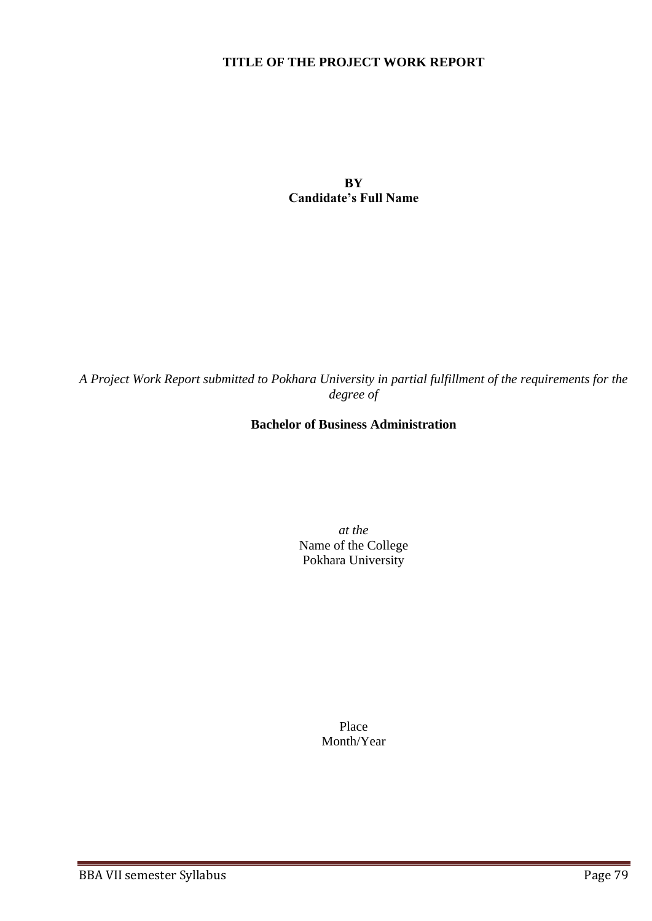## **TITLE OF THE PROJECT WORK REPORT**

**BY Candidate's Full Name**

*A Project Work Report submitted to Pokhara University in partial fulfillment of the requirements for the degree of*

# **Bachelor of Business Administration**

*at the* Name of the College Pokhara University

> Place Month/Year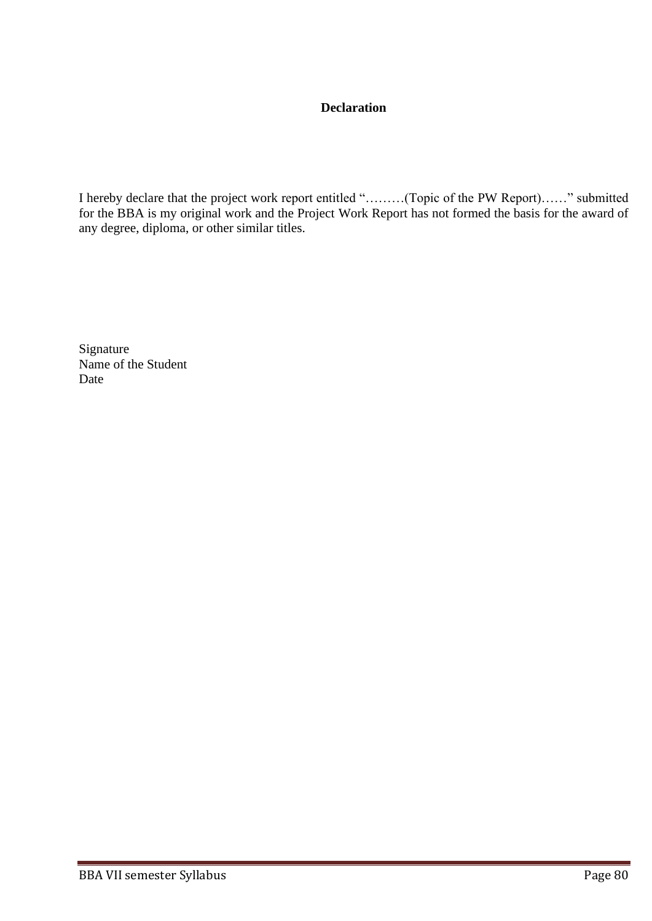# **Declaration**

I hereby declare that the project work report entitled "………(Topic of the PW Report)……" submitted for the BBA is my original work and the Project Work Report has not formed the basis for the award of any degree, diploma, or other similar titles.

Signature Name of the Student Date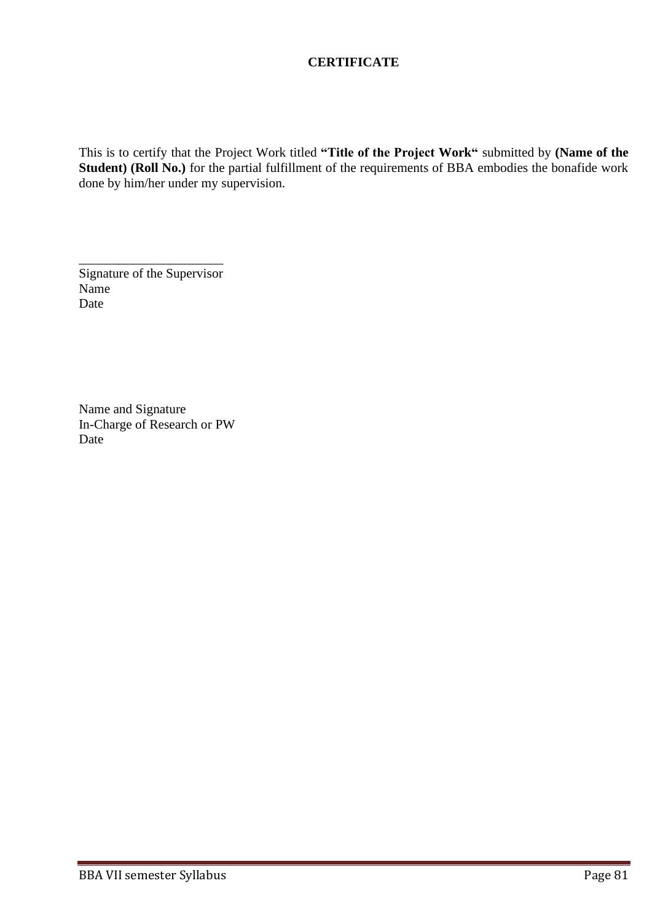# **CERTIFICATE**

This is to certify that the Project Work titled **"Title of the Project Work"** submitted by **(Name of the Student) (Roll No.)** for the partial fulfillment of the requirements of BBA embodies the bonafide work done by him/her under my supervision.

Signature of the Supervisor Name Date

\_\_\_\_\_\_\_\_\_\_\_\_\_\_\_\_\_\_\_\_\_\_

Name and Signature In-Charge of Research or PW Date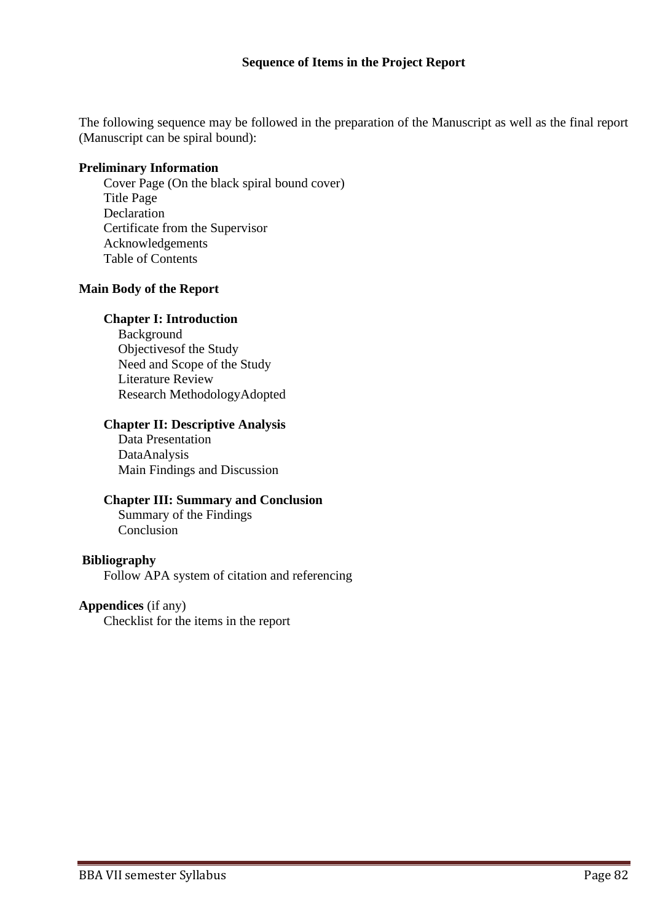#### **Sequence of Items in the Project Report**

The following sequence may be followed in the preparation of the Manuscript as well as the final report (Manuscript can be spiral bound):

#### **Preliminary Information**

Cover Page (On the black spiral bound cover) Title Page Declaration Certificate from the Supervisor Acknowledgements Table of Contents

#### **Main Body of the Report**

#### **Chapter I: Introduction**

Background Objectivesof the Study Need and Scope of the Study Literature Review Research MethodologyAdopted

#### **Chapter II: Descriptive Analysis**

Data Presentation DataAnalysis Main Findings and Discussion

#### **Chapter III: Summary and Conclusion**

Summary of the Findings Conclusion

#### **Bibliography**

Follow APA system of citation and referencing

## **Appendices** (if any)

Checklist for the items in the report